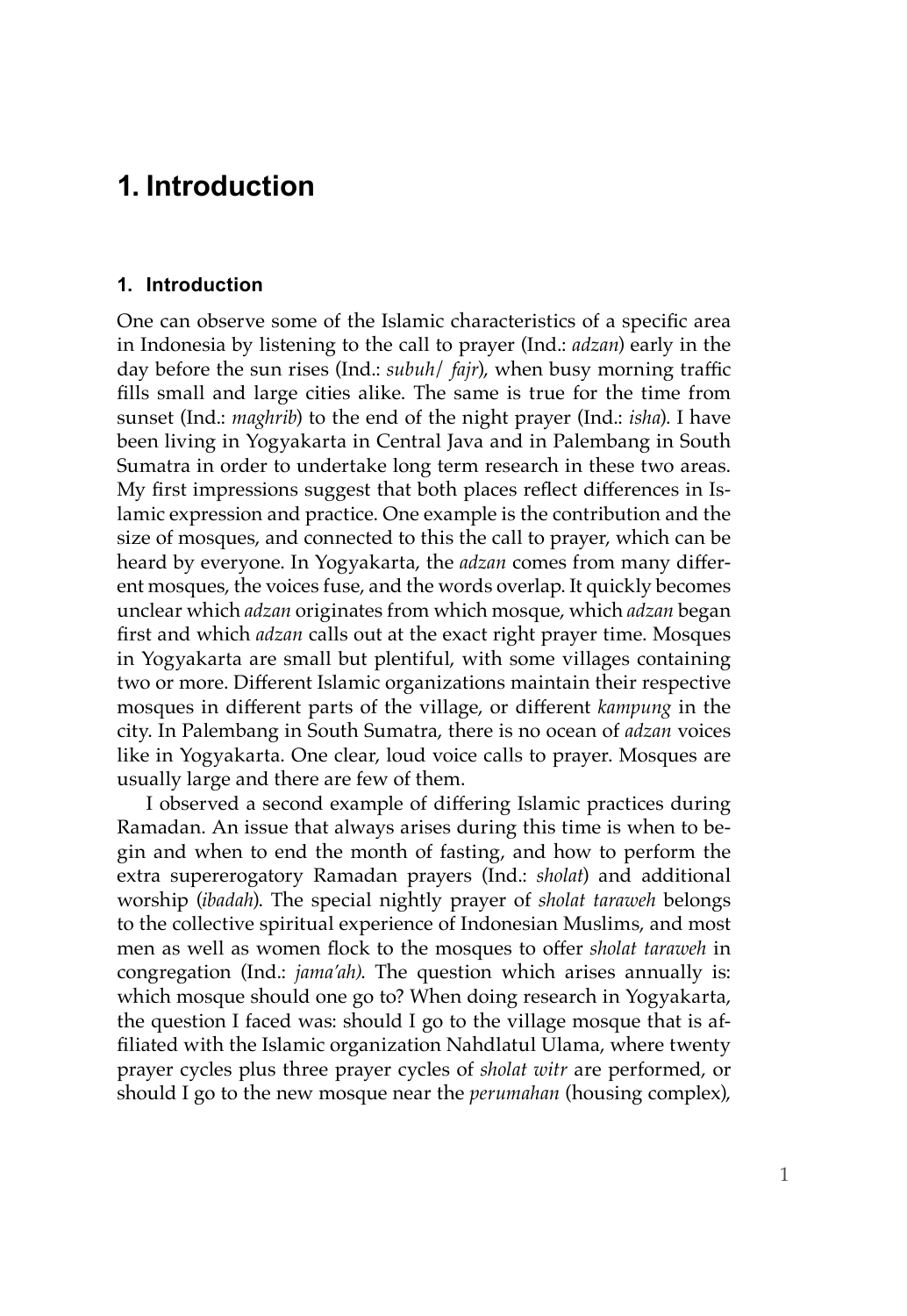# **1. Introduction**

## **1. Introduction**

One can observe some of the Islamic characteristics of a specific area in Indonesia by listening to the call to prayer (Ind.: *adzan*) early in the day before the sun rises (Ind.: *subuh*/ *fajr*), when busy morning traffic fills small and large cities alike. The same is true for the time from sunset (Ind.: *maghrib*) to the end of the night prayer (Ind.: *isha*). I have been living in Yogyakarta in Central Java and in Palembang in South Sumatra in order to undertake long term research in these two areas. My first impressions suggest that both places reflect differences in Islamic expression and practice. One example is the contribution and the size of mosques, and connected to this the call to prayer, which can be heard by everyone. In Yogyakarta, the *adzan* comes from many different mosques, the voices fuse, and the words overlap. It quickly becomes unclear which *adzan* originates from which mosque, which *adzan* began first and which *adzan* calls out at the exact right prayer time. Mosques in Yogyakarta are small but plentiful, with some villages containing two or more. Different Islamic organizations maintain their respective mosques in different parts of the village, or different *kampung* in the city. In Palembang in South Sumatra, there is no ocean of *adzan* voices like in Yogyakarta. One clear, loud voice calls to prayer. Mosques are usually large and there are few of them.

I observed a second example of differing Islamic practices during Ramadan. An issue that always arises during this time is when to begin and when to end the month of fasting, and how to perform the extra supererogatory Ramadan prayers (Ind.: *sholat*) and additional worship (*ibadah*). The special nightly prayer of *sholat taraweh* belongs to the collective spiritual experience of Indonesian Muslims, and most men as well as women flock to the mosques to offer *sholat taraweh* in congregation (Ind.: *jama'ah)*. The question which arises annually is: which mosque should one go to? When doing research in Yogyakarta, the question I faced was: should I go to the village mosque that is affiliated with the Islamic organization Nahdlatul Ulama, where twenty prayer cycles plus three prayer cycles of *sholat witr* are performed, or should I go to the new mosque near the *perumahan* (housing complex),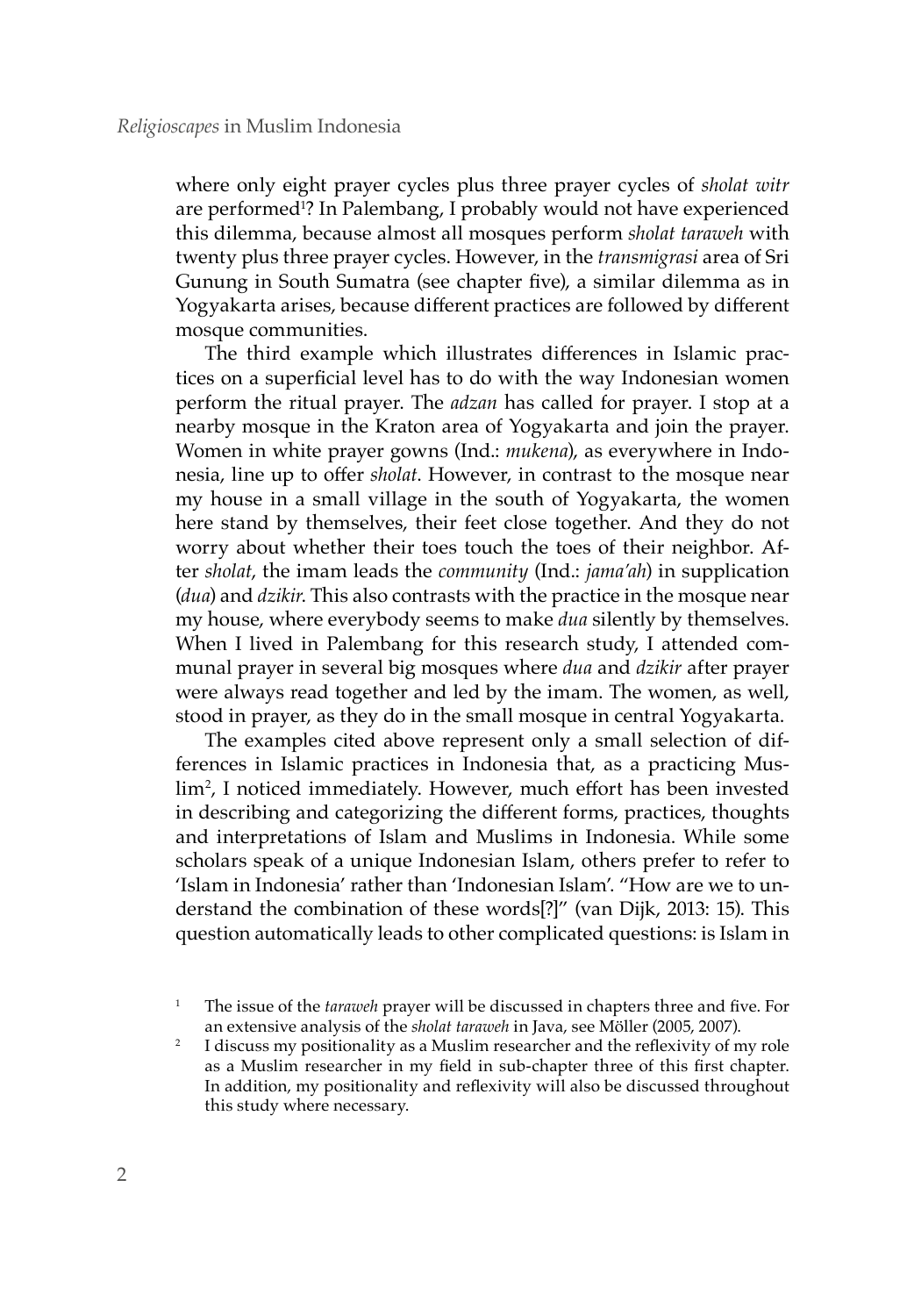where only eight prayer cycles plus three prayer cycles of *sholat witr* are performed<sup>1</sup>? In Palembang, I probably would not have experienced this dilemma, because almost all mosques perform *sholat taraweh* with twenty plus three prayer cycles. However, in the *transmigrasi* area of Sri Gunung in South Sumatra (see chapter five), a similar dilemma as in Yogyakarta arises, because different practices are followed by different mosque communities.

The third example which illustrates differences in Islamic practices on a superficial level has to do with the way Indonesian women perform the ritual prayer. The *adzan* has called for prayer. I stop at a nearby mosque in the Kraton area of Yogyakarta and join the prayer. Women in white prayer gowns (Ind.: *mukena*), as everywhere in Indonesia, line up to offer *sholat*. However, in contrast to the mosque near my house in a small village in the south of Yogyakarta, the women here stand by themselves, their feet close together. And they do not worry about whether their toes touch the toes of their neighbor. After *sholat*, the imam leads the *community* (Ind.: *jama'ah*) in supplication (*dua*) and *dzikir*. This also contrasts with the practice in the mosque near my house, where everybody seems to make *dua* silently by themselves. When I lived in Palembang for this research study, I attended communal prayer in several big mosques where *dua* and *dzikir* after prayer were always read together and led by the imam. The women, as well, stood in prayer, as they do in the small mosque in central Yogyakarta.

The examples cited above represent only a small selection of differences in Islamic practices in Indonesia that, as a practicing Muslim2 , I noticed immediately. However, much effort has been invested in describing and categorizing the different forms, practices, thoughts and interpretations of Islam and Muslims in Indonesia. While some scholars speak of a unique Indonesian Islam, others prefer to refer to 'Islam in Indonesia' rather than 'Indonesian Islam'. "How are we to understand the combination of these words[?]" (van Dijk, 2013: 15). This question automatically leads to other complicated questions: is Islam in

<sup>1</sup> The issue of the *taraweh* prayer will be discussed in chapters three and five. For an extensive analysis of the *sholat taraweh* in Java, see Möller (2005, 2007).

<sup>2</sup> I discuss my positionality as a Muslim researcher and the reflexivity of my role as a Muslim researcher in my field in sub-chapter three of this first chapter. In addition, my positionality and reflexivity will also be discussed throughout this study where necessary.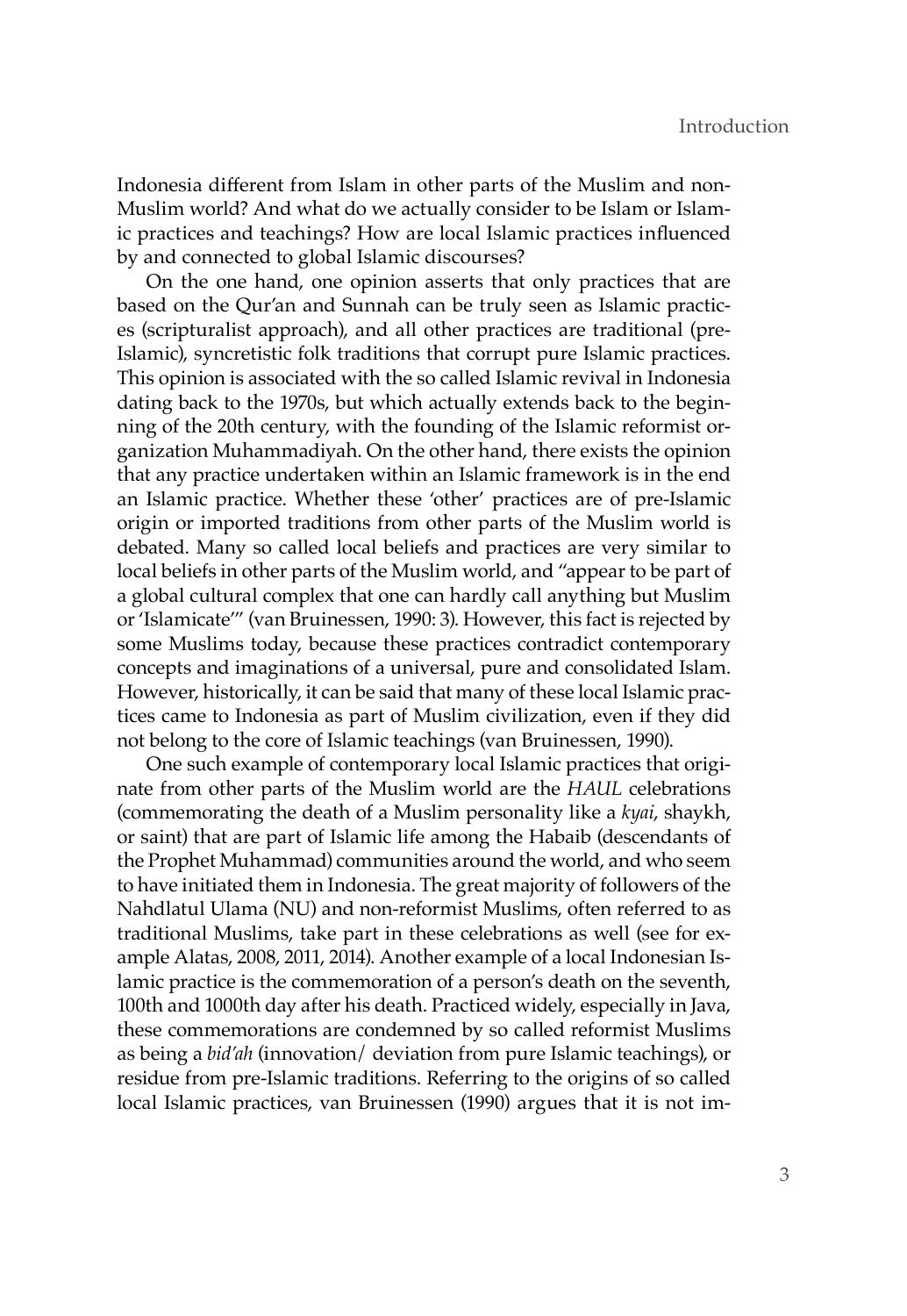Indonesia different from Islam in other parts of the Muslim and non-Muslim world? And what do we actually consider to be Islam or Islamic practices and teachings? How are local Islamic practices influenced by and connected to global Islamic discourses?

On the one hand, one opinion asserts that only practices that are based on the Qur'an and Sunnah can be truly seen as Islamic practices (scripturalist approach), and all other practices are traditional (pre-Islamic), syncretistic folk traditions that corrupt pure Islamic practices. This opinion is associated with the so called Islamic revival in Indonesia dating back to the 1970s, but which actually extends back to the beginning of the 20th century, with the founding of the Islamic reformist organization Muhammadiyah. On the other hand, there exists the opinion that any practice undertaken within an Islamic framework is in the end an Islamic practice. Whether these 'other' practices are of pre-Islamic origin or imported traditions from other parts of the Muslim world is debated. Many so called local beliefs and practices are very similar to local beliefs in other parts of the Muslim world, and "appear to be part of a global cultural complex that one can hardly call anything but Muslim or 'Islamicate'" (van Bruinessen, 1990: 3). However, this fact is rejected by some Muslims today, because these practices contradict contemporary concepts and imaginations of a universal, pure and consolidated Islam. However, historically, it can be said that many of these local Islamic practices came to Indonesia as part of Muslim civilization, even if they did not belong to the core of Islamic teachings (van Bruinessen, 1990).

One such example of contemporary local Islamic practices that originate from other parts of the Muslim world are the *HAUL* celebrations (commemorating the death of a Muslim personality like a *kyai*, shaykh, or saint) that are part of Islamic life among the Habaib (descendants of the Prophet Muhammad) communities around the world, and who seem to have initiated them in Indonesia. The great majority of followers of the Nahdlatul Ulama (NU) and non-reformist Muslims, often referred to as traditional Muslims, take part in these celebrations as well (see for example Alatas, 2008, 2011, 2014). Another example of a local Indonesian Islamic practice is the commemoration of a person's death on the seventh, 100th and 1000th day after his death. Practiced widely, especially in Java, these commemorations are condemned by so called reformist Muslims as being a *bid'ah* (innovation/ deviation from pure Islamic teachings), or residue from pre-Islamic traditions. Referring to the origins of so called local Islamic practices, van Bruinessen (1990) argues that it is not im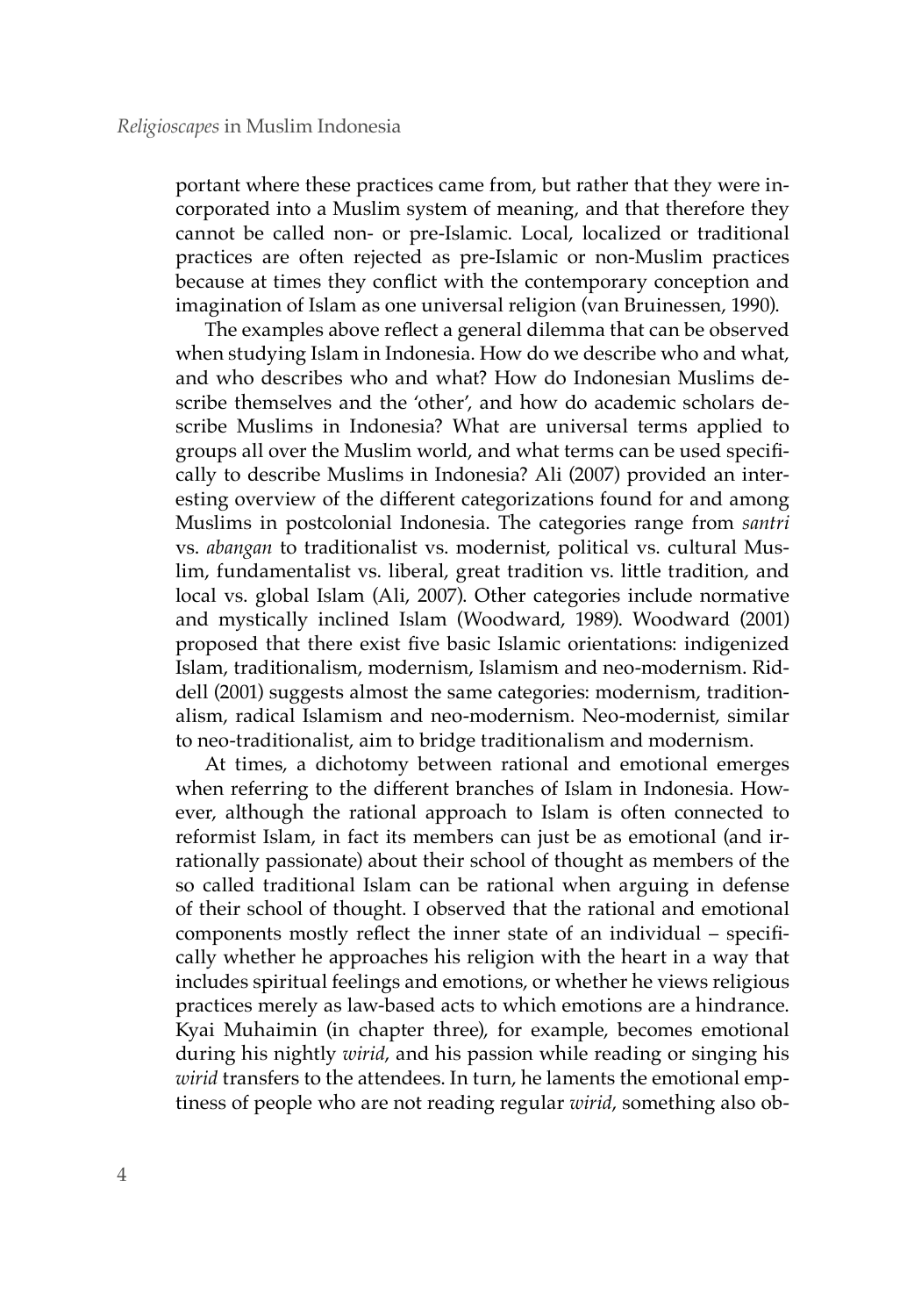portant where these practices came from, but rather that they were incorporated into a Muslim system of meaning, and that therefore they cannot be called non- or pre-Islamic. Local, localized or traditional practices are often rejected as pre-Islamic or non-Muslim practices because at times they conflict with the contemporary conception and imagination of Islam as one universal religion (van Bruinessen, 1990).

The examples above reflect a general dilemma that can be observed when studying Islam in Indonesia. How do we describe who and what, and who describes who and what? How do Indonesian Muslims describe themselves and the 'other', and how do academic scholars describe Muslims in Indonesia? What are universal terms applied to groups all over the Muslim world, and what terms can be used specifically to describe Muslims in Indonesia? Ali (2007) provided an interesting overview of the different categorizations found for and among Muslims in postcolonial Indonesia. The categories range from *santri* vs. *abangan* to traditionalist vs. modernist, political vs. cultural Muslim, fundamentalist vs. liberal, great tradition vs. little tradition, and local vs. global Islam (Ali, 2007). Other categories include normative and mystically inclined Islam (Woodward, 1989). Woodward (2001) proposed that there exist five basic Islamic orientations: indigenized Islam, traditionalism, modernism, Islamism and neo-modernism. Riddell (2001) suggests almost the same categories: modernism, traditionalism, radical Islamism and neo-modernism. Neo-modernist, similar to neo-traditionalist, aim to bridge traditionalism and modernism.

At times, a dichotomy between rational and emotional emerges when referring to the different branches of Islam in Indonesia. However, although the rational approach to Islam is often connected to reformist Islam, in fact its members can just be as emotional (and irrationally passionate) about their school of thought as members of the so called traditional Islam can be rational when arguing in defense of their school of thought. I observed that the rational and emotional components mostly reflect the inner state of an individual – specifically whether he approaches his religion with the heart in a way that includes spiritual feelings and emotions, or whether he views religious practices merely as law-based acts to which emotions are a hindrance. Kyai Muhaimin (in chapter three), for example, becomes emotional during his nightly *wirid*, and his passion while reading or singing his *wirid* transfers to the attendees. In turn, he laments the emotional emptiness of people who are not reading regular *wirid*, something also ob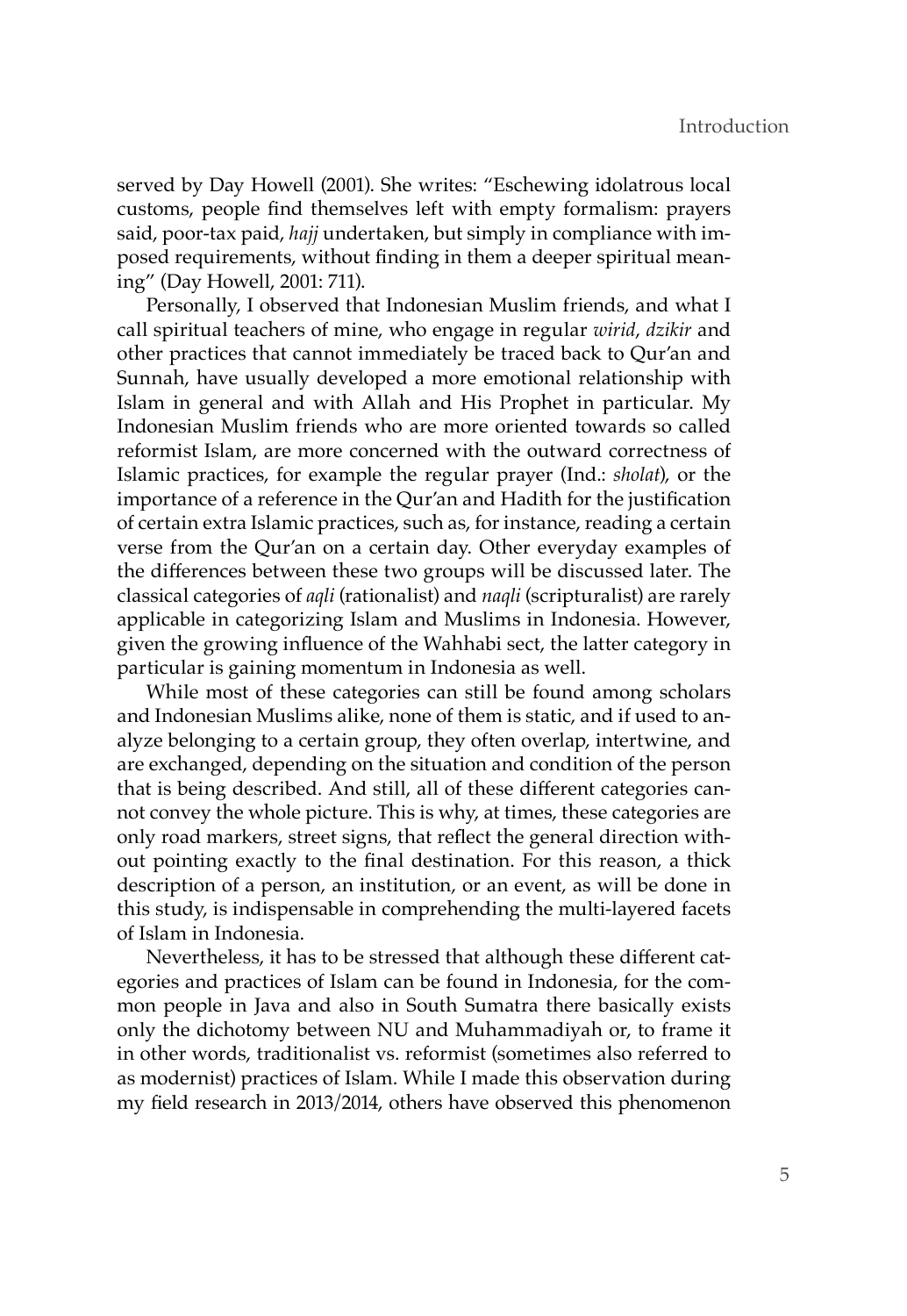served by Day Howell (2001). She writes: "Eschewing idolatrous local customs, people find themselves left with empty formalism: prayers said, poor-tax paid, *hajj* undertaken, but simply in compliance with imposed requirements, without finding in them a deeper spiritual meaning" (Day Howell, 2001: 711).

Personally, I observed that Indonesian Muslim friends, and what I call spiritual teachers of mine, who engage in regular *wirid*, *dzikir* and other practices that cannot immediately be traced back to Qur'an and Sunnah, have usually developed a more emotional relationship with Islam in general and with Allah and His Prophet in particular. My Indonesian Muslim friends who are more oriented towards so called reformist Islam, are more concerned with the outward correctness of Islamic practices, for example the regular prayer (Ind.: *sholat*), or the importance of a reference in the Qur'an and Hadith for the justification of certain extra Islamic practices, such as, for instance, reading a certain verse from the Qur'an on a certain day. Other everyday examples of the differences between these two groups will be discussed later. The classical categories of *aqli* (rationalist) and *naqli* (scripturalist) are rarely applicable in categorizing Islam and Muslims in Indonesia. However, given the growing influence of the Wahhabi sect, the latter category in particular is gaining momentum in Indonesia as well.

While most of these categories can still be found among scholars and Indonesian Muslims alike, none of them is static, and if used to analyze belonging to a certain group, they often overlap, intertwine, and are exchanged, depending on the situation and condition of the person that is being described. And still, all of these different categories cannot convey the whole picture. This is why, at times, these categories are only road markers, street signs, that reflect the general direction without pointing exactly to the final destination. For this reason, a thick description of a person, an institution, or an event, as will be done in this study, is indispensable in comprehending the multi-layered facets of Islam in Indonesia.

Nevertheless, it has to be stressed that although these different categories and practices of Islam can be found in Indonesia, for the common people in Java and also in South Sumatra there basically exists only the dichotomy between NU and Muhammadiyah or, to frame it in other words, traditionalist vs. reformist (sometimes also referred to as modernist) practices of Islam. While I made this observation during my field research in 2013/2014, others have observed this phenomenon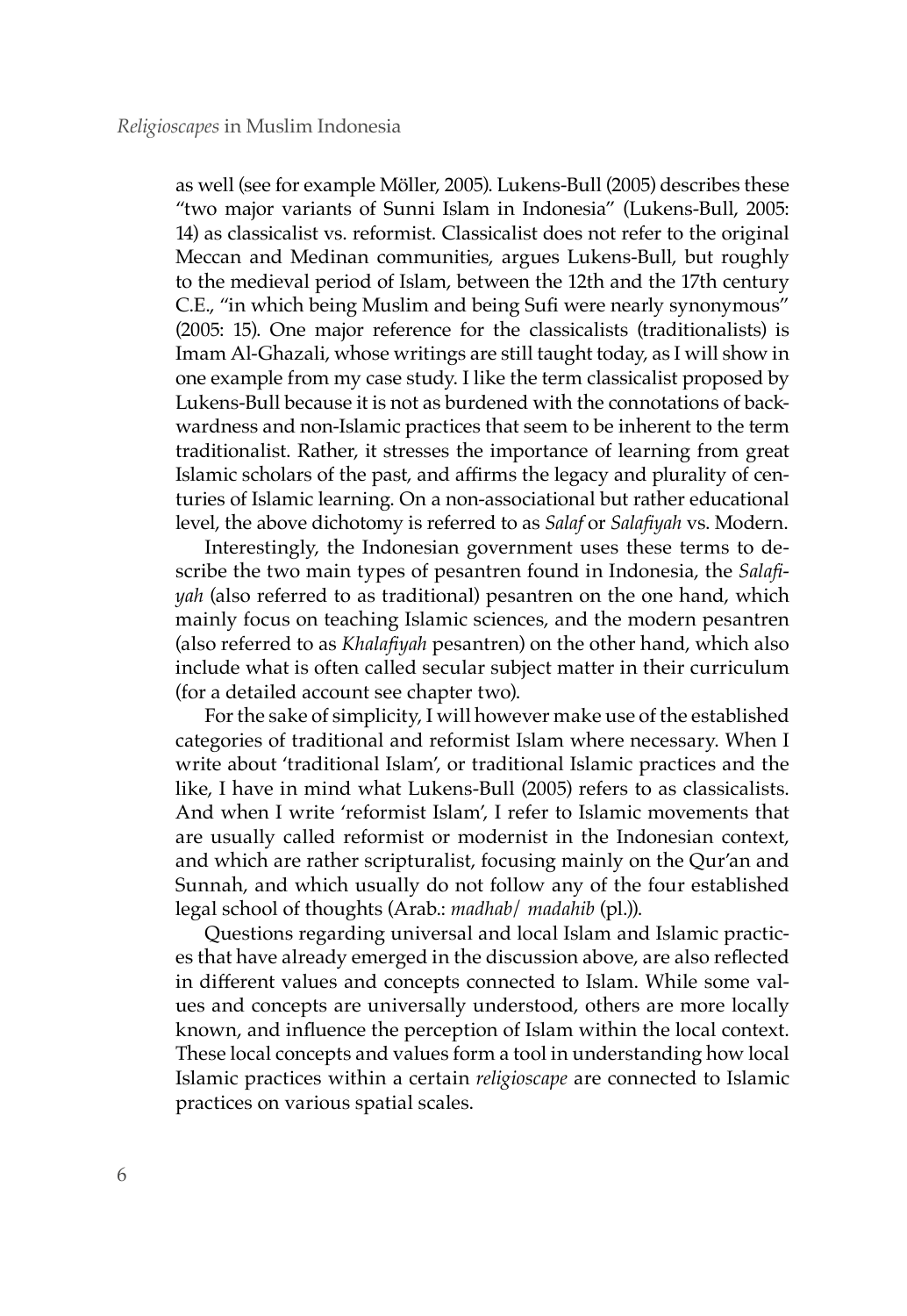as well (see for example Möller, 2005). Lukens-Bull (2005) describes these "two major variants of Sunni Islam in Indonesia" (Lukens-Bull, 2005: 14) as classicalist vs. reformist. Classicalist does not refer to the original Meccan and Medinan communities, argues Lukens-Bull, but roughly to the medieval period of Islam, between the 12th and the 17th century C.E., "in which being Muslim and being Sufi were nearly synonymous" (2005: 15). One major reference for the classicalists (traditionalists) is Imam Al-Ghazali, whose writings are still taught today, as I will show in one example from my case study. I like the term classicalist proposed by Lukens-Bull because it is not as burdened with the connotations of backwardness and non-Islamic practices that seem to be inherent to the term traditionalist. Rather, it stresses the importance of learning from great Islamic scholars of the past, and affirms the legacy and plurality of centuries of Islamic learning. On a non-associational but rather educational level, the above dichotomy is referred to as *Salaf* or *Salafiyah* vs. Modern.

Interestingly, the Indonesian government uses these terms to describe the two main types of pesantren found in Indonesia, the *Salafiyah* (also referred to as traditional) pesantren on the one hand, which mainly focus on teaching Islamic sciences, and the modern pesantren (also referred to as *Khalafiyah* pesantren) on the other hand, which also include what is often called secular subject matter in their curriculum (for a detailed account see chapter two).

For the sake of simplicity, I will however make use of the established categories of traditional and reformist Islam where necessary. When I write about 'traditional Islam', or traditional Islamic practices and the like, I have in mind what Lukens-Bull (2005) refers to as classicalists. And when I write 'reformist Islam', I refer to Islamic movements that are usually called reformist or modernist in the Indonesian context, and which are rather scripturalist, focusing mainly on the Qur'an and Sunnah, and which usually do not follow any of the four established legal school of thoughts (Arab.: *madhab*/ *madahib* (pl.)).

Questions regarding universal and local Islam and Islamic practices that have already emerged in the discussion above, are also reflected in different values and concepts connected to Islam. While some values and concepts are universally understood, others are more locally known, and influence the perception of Islam within the local context. These local concepts and values form a tool in understanding how local Islamic practices within a certain *religioscape* are connected to Islamic practices on various spatial scales.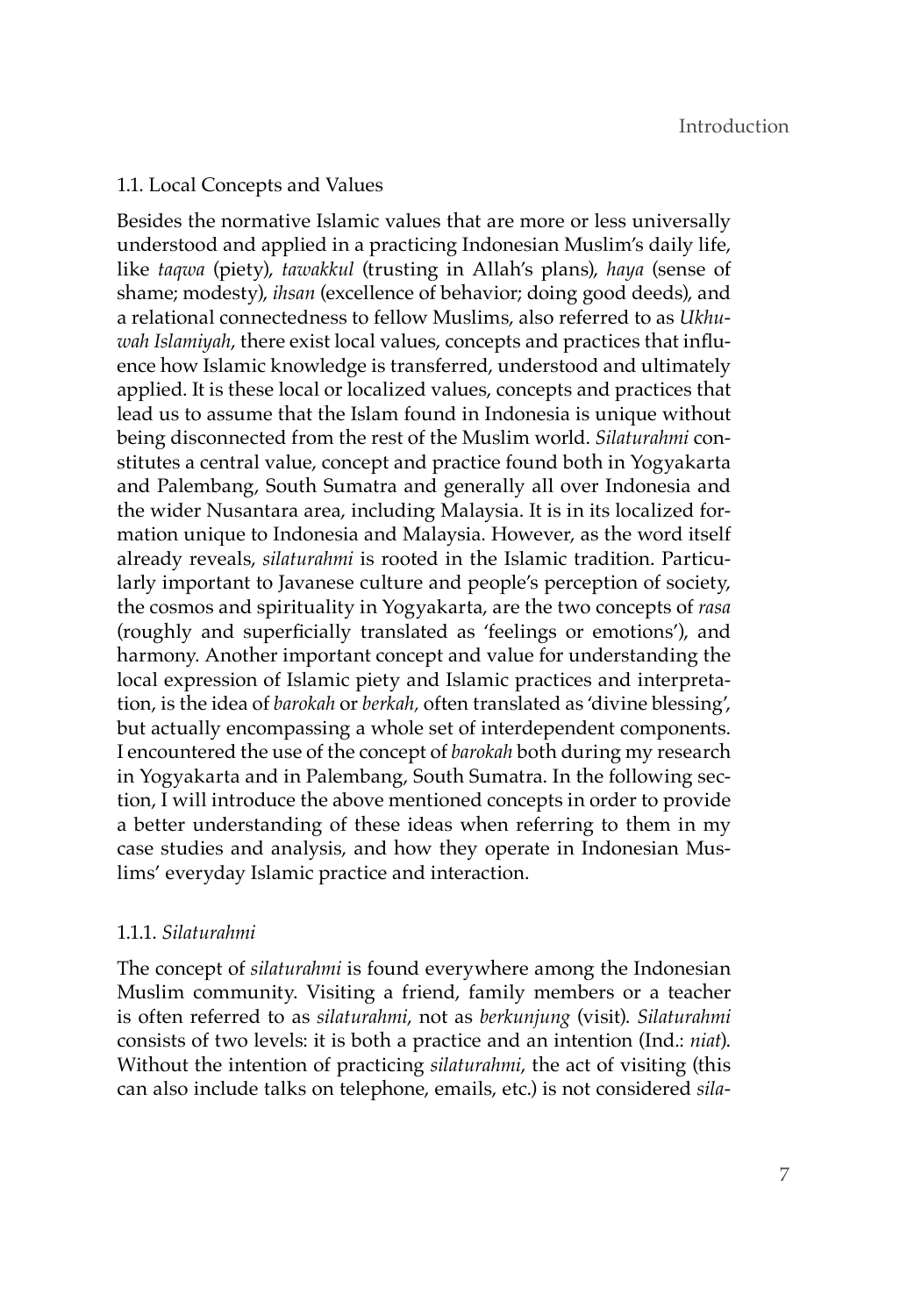# 1.1. Local Concepts and Values

Besides the normative Islamic values that are more or less universally understood and applied in a practicing Indonesian Muslim's daily life, like *taqwa* (piety), *tawakkul* (trusting in Allah's plans), *haya* (sense of shame; modesty), *ihsan* (excellence of behavior; doing good deeds), and a relational connectedness to fellow Muslims, also referred to as *Ukhuwah Islamiyah*, there exist local values, concepts and practices that influence how Islamic knowledge is transferred, understood and ultimately applied. It is these local or localized values, concepts and practices that lead us to assume that the Islam found in Indonesia is unique without being disconnected from the rest of the Muslim world. *Silaturahmi* constitutes a central value, concept and practice found both in Yogyakarta and Palembang, South Sumatra and generally all over Indonesia and the wider Nusantara area, including Malaysia. It is in its localized formation unique to Indonesia and Malaysia. However, as the word itself already reveals, *silaturahmi* is rooted in the Islamic tradition. Particularly important to Javanese culture and people's perception of society, the cosmos and spirituality in Yogyakarta, are the two concepts of *rasa* (roughly and superficially translated as 'feelings or emotions'), and harmony. Another important concept and value for understanding the local expression of Islamic piety and Islamic practices and interpretation, is the idea of *barokah* or *berkah,* often translated as 'divine blessing', but actually encompassing a whole set of interdependent components. I encountered the use of the concept of *barokah* both during my research in Yogyakarta and in Palembang, South Sumatra. In the following section, I will introduce the above mentioned concepts in order to provide a better understanding of these ideas when referring to them in my case studies and analysis, and how they operate in Indonesian Muslims' everyday Islamic practice and interaction.

# 1.1.1. *Silaturahmi*

The concept of *silaturahmi* is found everywhere among the Indonesian Muslim community. Visiting a friend, family members or a teacher is often referred to as *silaturahmi*, not as *berkunjung* (visit). *Silaturahmi* consists of two levels: it is both a practice and an intention (Ind.: *niat*). Without the intention of practicing *silaturahmi*, the act of visiting (this can also include talks on telephone, emails, etc.) is not considered *sila-*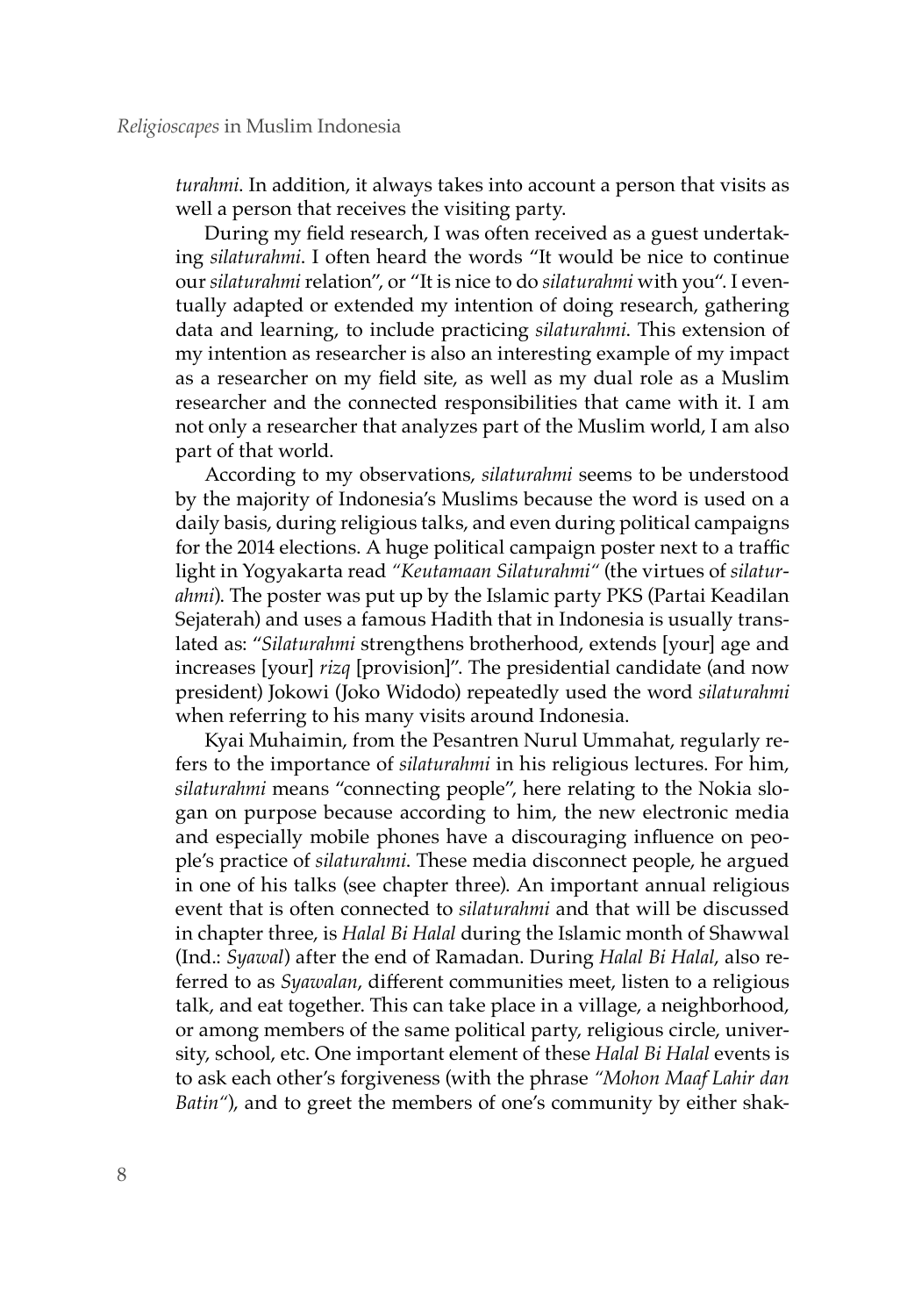*turahmi*. In addition, it always takes into account a person that visits as well a person that receives the visiting party.

During my field research, I was often received as a guest undertaking *silaturahmi*. I often heard the words "It would be nice to continue our *silaturahmi* relation", or "It is nice to do *silaturahmi* with you". I eventually adapted or extended my intention of doing research, gathering data and learning, to include practicing *silaturahmi*. This extension of my intention as researcher is also an interesting example of my impact as a researcher on my field site, as well as my dual role as a Muslim researcher and the connected responsibilities that came with it. I am not only a researcher that analyzes part of the Muslim world, I am also part of that world.

According to my observations, *silaturahmi* seems to be understood by the majority of Indonesia's Muslims because the word is used on a daily basis, during religious talks, and even during political campaigns for the 2014 elections. A huge political campaign poster next to a traffic light in Yogyakarta read *"Keutamaan Silaturahmi"* (the virtues of *silaturahmi*). The poster was put up by the Islamic party PKS (Partai Keadilan Sejaterah) and uses a famous Hadith that in Indonesia is usually translated as: "*Silaturahmi* strengthens brotherhood, extends [your] age and increases [your] *rizq* [provision]". The presidential candidate (and now president) Jokowi (Joko Widodo) repeatedly used the word *silaturahmi*  when referring to his many visits around Indonesia.

Kyai Muhaimin, from the Pesantren Nurul Ummahat, regularly refers to the importance of *silaturahmi* in his religious lectures. For him, *silaturahmi* means "connecting people", here relating to the Nokia slogan on purpose because according to him, the new electronic media and especially mobile phones have a discouraging influence on people's practice of *silaturahmi*. These media disconnect people, he argued in one of his talks (see chapter three). An important annual religious event that is often connected to *silaturahmi* and that will be discussed in chapter three, is *Halal Bi Halal* during the Islamic month of Shawwal (Ind.: *Syawal*) after the end of Ramadan. During *Halal Bi Halal*, also referred to as *Syawalan*, different communities meet, listen to a religious talk, and eat together. This can take place in a village, a neighborhood, or among members of the same political party, religious circle, university, school, etc. One important element of these *Halal Bi Halal* events is to ask each other's forgiveness (with the phrase *"Mohon Maaf Lahir dan Batin"*), and to greet the members of one's community by either shak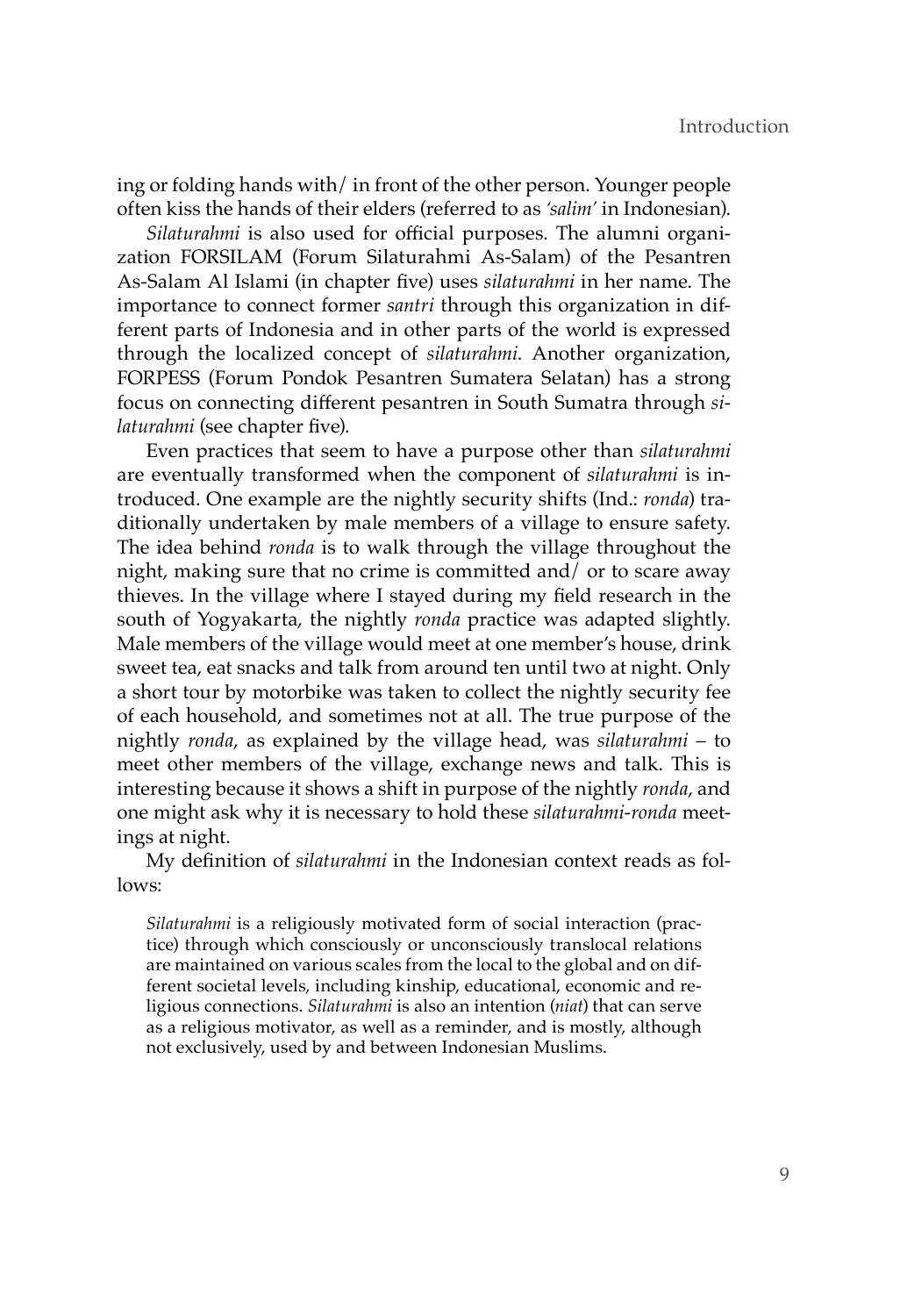ing or folding hands with/ in front of the other person. Younger people often kiss the hands of their elders (referred to as *'salim'* in Indonesian).

*Silaturahmi* is also used for official purposes. The alumni organization FORSILAM (Forum Silaturahmi As-Salam) of the Pesantren As-Salam Al Islami (in chapter five) uses *silaturahmi* in her name. The importance to connect former *santri* through this organization in different parts of Indonesia and in other parts of the world is expressed through the localized concept of *silaturahmi*. Another organization, FORPESS (Forum Pondok Pesantren Sumatera Selatan) has a strong focus on connecting different pesantren in South Sumatra through *silaturahmi* (see chapter five).

Even practices that seem to have a purpose other than *silaturahmi* are eventually transformed when the component of *silaturahmi* is introduced. One example are the nightly security shifts (Ind.: *ronda*) traditionally undertaken by male members of a village to ensure safety. The idea behind *ronda* is to walk through the village throughout the night, making sure that no crime is committed and/ or to scare away thieves. In the village where I stayed during my field research in the south of Yogyakarta, the nightly *ronda* practice was adapted slightly. Male members of the village would meet at one member's house, drink sweet tea, eat snacks and talk from around ten until two at night. Only a short tour by motorbike was taken to collect the nightly security fee of each household, and sometimes not at all. The true purpose of the nightly *ronda*, as explained by the village head, was *silaturahmi* – to meet other members of the village, exchange news and talk. This is interesting because it shows a shift in purpose of the nightly *ronda*, and one might ask why it is necessary to hold these *silaturahmi-ronda* meetings at night.

My definition of *silaturahmi* in the Indonesian context reads as follows:

*Silaturahmi* is a religiously motivated form of social interaction (practice) through which consciously or unconsciously translocal relations are maintained on various scales from the local to the global and on different societal levels, including kinship, educational, economic and religious connections. *Silaturahmi* is also an intention (*niat*) that can serve as a religious motivator, as well as a reminder, and is mostly, although not exclusively, used by and between Indonesian Muslims.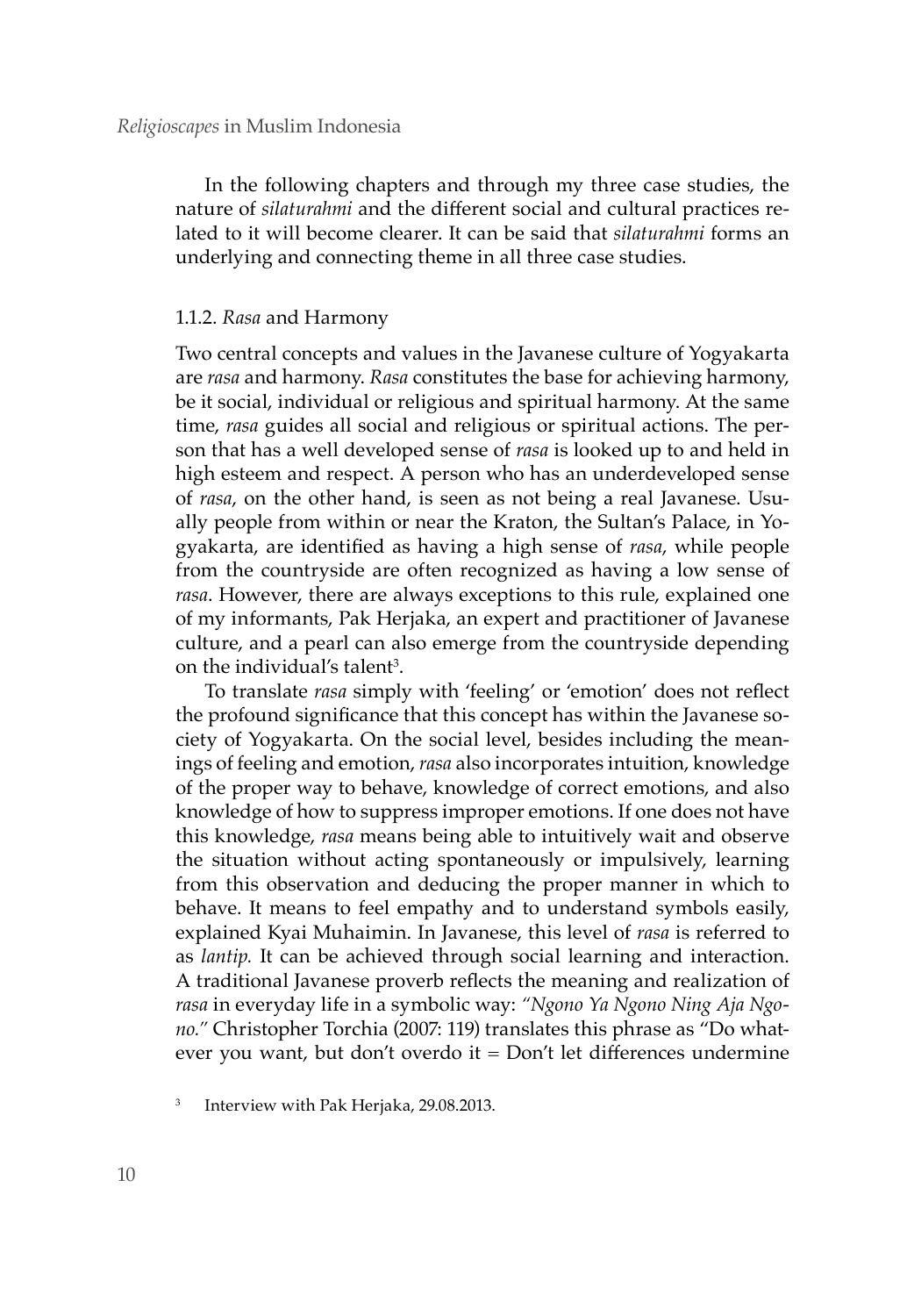In the following chapters and through my three case studies, the nature of *silaturahmi* and the different social and cultural practices related to it will become clearer. It can be said that *silaturahmi* forms an underlying and connecting theme in all three case studies.

# 1.1.2. *Rasa* and Harmony

Two central concepts and values in the Javanese culture of Yogyakarta are *rasa* and harmony. *Rasa* constitutes the base for achieving harmony, be it social, individual or religious and spiritual harmony. At the same time, *rasa* guides all social and religious or spiritual actions. The person that has a well developed sense of *rasa* is looked up to and held in high esteem and respect. A person who has an underdeveloped sense of *rasa*, on the other hand, is seen as not being a real Javanese. Usually people from within or near the Kraton, the Sultan's Palace, in Yogyakarta, are identified as having a high sense of *rasa*, while people from the countryside are often recognized as having a low sense of *rasa*. However, there are always exceptions to this rule, explained one of my informants, Pak Herjaka, an expert and practitioner of Javanese culture, and a pearl can also emerge from the countryside depending on the individual's talent<sup>3</sup>.

To translate *rasa* simply with 'feeling' or 'emotion' does not reflect the profound significance that this concept has within the Javanese society of Yogyakarta. On the social level, besides including the meanings of feeling and emotion, *rasa* also incorporates intuition, knowledge of the proper way to behave, knowledge of correct emotions, and also knowledge of how to suppress improper emotions. If one does not have this knowledge, *rasa* means being able to intuitively wait and observe the situation without acting spontaneously or impulsively, learning from this observation and deducing the proper manner in which to behave. It means to feel empathy and to understand symbols easily, explained Kyai Muhaimin. In Javanese, this level of *rasa* is referred to as *lantip.* It can be achieved through social learning and interaction. A traditional Javanese proverb reflects the meaning and realization of *rasa* in everyday life in a symbolic way: *"Ngono Ya Ngono Ning Aja Ngono."* Christopher Torchia (2007: 119) translates this phrase as "Do whatever you want, but don't overdo it  $=$  Don't let differences undermine

<sup>3</sup> Interview with Pak Herjaka, 29.08.2013.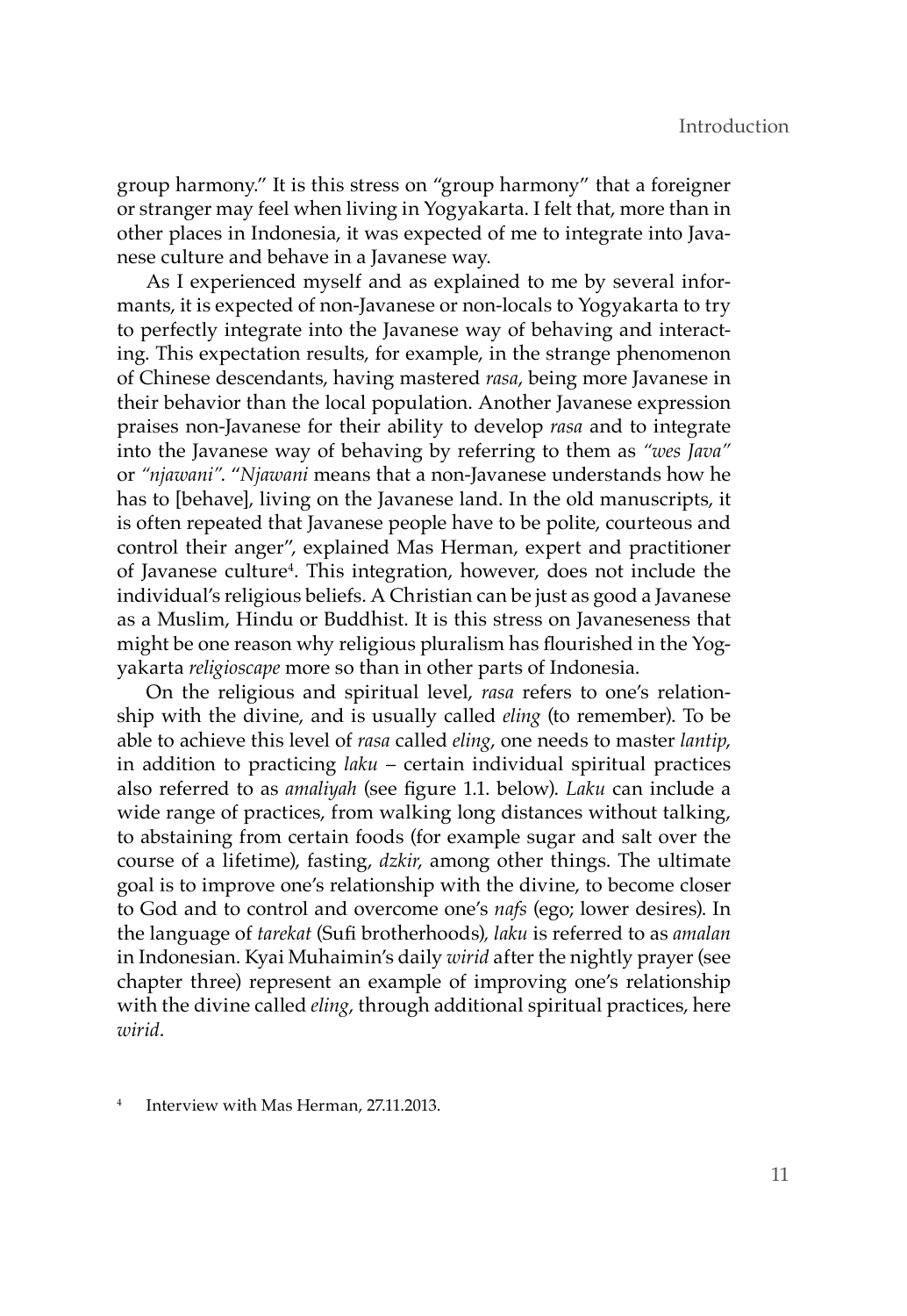group harmony." It is this stress on "group harmony" that a foreigner or stranger may feel when living in Yogyakarta. I felt that, more than in other places in Indonesia, it was expected of me to integrate into Javanese culture and behave in a Javanese way.

As I experienced myself and as explained to me by several informants, it is expected of non-Javanese or non-locals to Yogyakarta to try to perfectly integrate into the Javanese way of behaving and interacting. This expectation results, for example, in the strange phenomenon of Chinese descendants, having mastered *rasa*, being more Javanese in their behavior than the local population. Another Javanese expression praises non-Javanese for their ability to develop *rasa* and to integrate into the Javanese way of behaving by referring to them as *"wes Java"* or *"njawani"*. "*Njawani* means that a non-Javanese understands how he has to [behave], living on the Javanese land. In the old manuscripts, it is often repeated that Javanese people have to be polite, courteous and control their anger", explained Mas Herman, expert and practitioner of Javanese culture<sup>4</sup>. This integration, however, does not include the individual's religious beliefs. A Christian can be just as good a Javanese as a Muslim, Hindu or Buddhist. It is this stress on Javaneseness that might be one reason why religious pluralism has flourished in the Yogyakarta *religioscape* more so than in other parts of Indonesia.

On the religious and spiritual level, *rasa* refers to one's relationship with the divine, and is usually called *eling* (to remember). To be able to achieve this level of *rasa* called *eling*, one needs to master *lantip*, in addition to practicing *laku* – certain individual spiritual practices also referred to as *amaliyah* (see figure 1.1. below). *Laku* can include a wide range of practices, from walking long distances without talking, to abstaining from certain foods (for example sugar and salt over the course of a lifetime), fasting, *dzkir*, among other things. The ultimate goal is to improve one's relationship with the divine, to become closer to God and to control and overcome one's *nafs* (ego; lower desires). In the language of *tarekat* (Sufi brotherhoods)*, laku* is referred to as *amalan* in Indonesian. Kyai Muhaimin's daily *wirid* after the nightly prayer (see chapter three) represent an example of improving one's relationship with the divine called *eling*, through additional spiritual practices, here *wirid*.

<sup>4</sup> Interview with Mas Herman, 27.11.2013.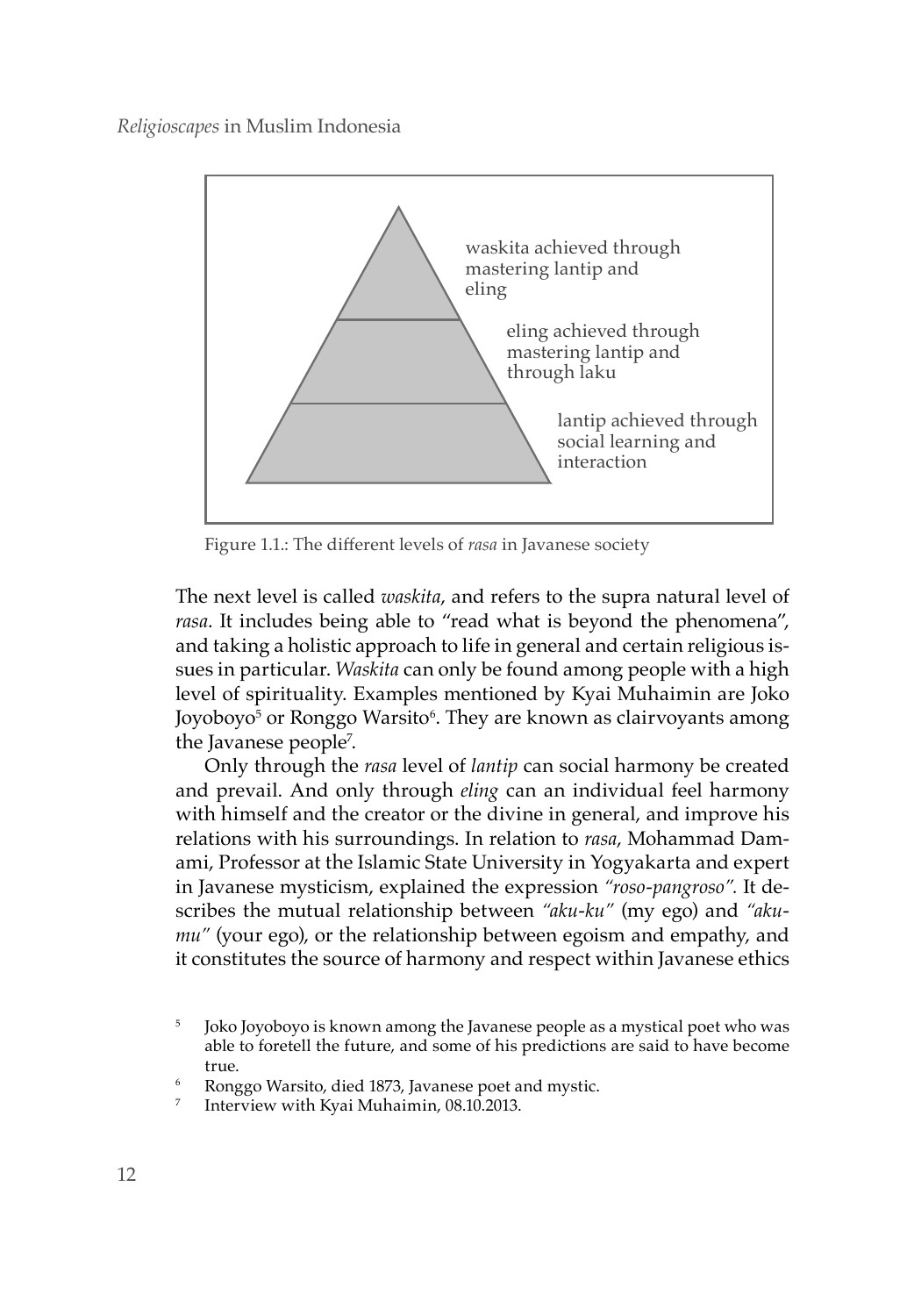

Figure 1.1.: The different levels of *rasa* in Javanese society

The next level is called *waskita*, and refers to the supra natural level of *rasa*. It includes being able to "read what is beyond the phenomena", and taking a holistic approach to life in general and certain religious issues in particular. *Waskita* can only be found among people with a high level of spirituality. Examples mentioned by Kyai Muhaimin are Joko Joyoboyo<sup>5</sup> or Ronggo Warsito<sup>6</sup>. They are known as clairvoyants among the Javanese people7 .

Only through the *rasa* level of *lantip* can social harmony be created and prevail. And only through *eling* can an individual feel harmony with himself and the creator or the divine in general, and improve his relations with his surroundings. In relation to *rasa*, Mohammad Damami, Professor at the Islamic State University in Yogyakarta and expert in Javanese mysticism, explained the expression *"roso-pangroso".* It describes the mutual relationship between *"aku-ku"* (my ego) and *"akumu"* (your ego), or the relationship between egoism and empathy, and it constitutes the source of harmony and respect within Javanese ethics

<sup>&</sup>lt;sup>5</sup> Joko Joyoboyo is known among the Javanese people as a mystical poet who was able to foretell the future, and some of his predictions are said to have become true.<br>Ronggo Warsito, died 1873, Javanese poet and mystic.<br>Interview with Kyai Muhaimin, 08.10.2013.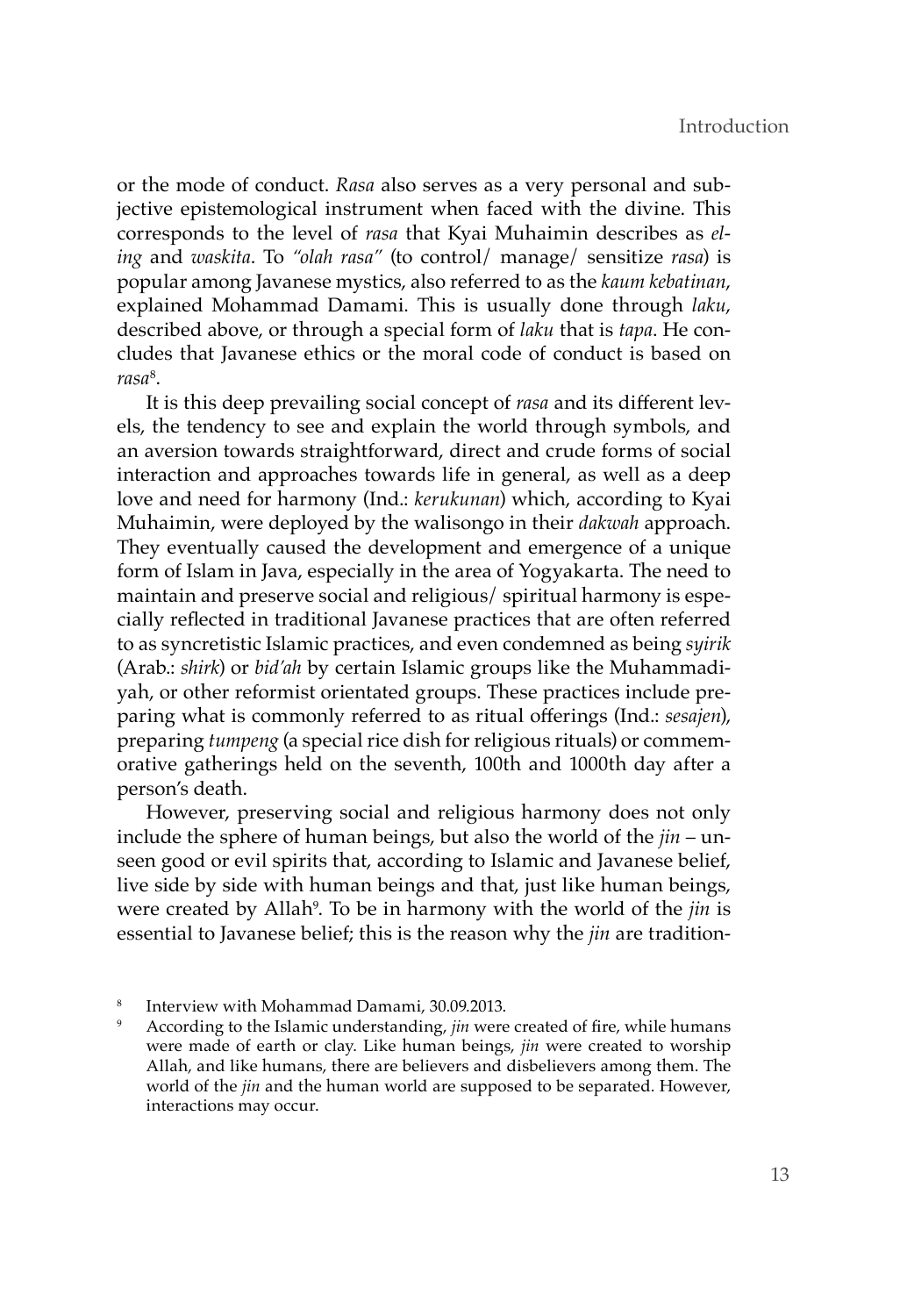or the mode of conduct. *Rasa* also serves as a very personal and subjective epistemological instrument when faced with the divine. This corresponds to the level of *rasa* that Kyai Muhaimin describes as *eling* and *waskita*. To *"olah rasa"* (to control/ manage/ sensitize *rasa*) is popular among Javanese mystics, also referred to as the *kaum kebatinan*, explained Mohammad Damami. This is usually done through *laku*, described above, or through a special form of *laku* that is *tapa*. He concludes that Javanese ethics or the moral code of conduct is based on *rasa*<sup>8</sup> .

It is this deep prevailing social concept of *rasa* and its different levels, the tendency to see and explain the world through symbols, and an aversion towards straightforward, direct and crude forms of social interaction and approaches towards life in general, as well as a deep love and need for harmony (Ind.: *kerukunan*) which, according to Kyai Muhaimin, were deployed by the walisongo in their *dakwah* approach. They eventually caused the development and emergence of a unique form of Islam in Java, especially in the area of Yogyakarta. The need to maintain and preserve social and religious/ spiritual harmony is especially reflected in traditional Javanese practices that are often referred to as syncretistic Islamic practices, and even condemned as being *syirik*  (Arab.: *shirk*) or *bid'ah* by certain Islamic groups like the Muhammadiyah, or other reformist orientated groups. These practices include preparing what is commonly referred to as ritual offerings (Ind.: *sesajen*), preparing *tumpeng* (a special rice dish for religious rituals) or commemorative gatherings held on the seventh, 100th and 1000th day after a person's death.

However, preserving social and religious harmony does not only include the sphere of human beings, but also the world of the *jin* – unseen good or evil spirits that, according to Islamic and Javanese belief, live side by side with human beings and that, just like human beings, were created by Allah<sup>9</sup>. To be in harmony with the world of the *jin* is essential to Javanese belief; this is the reason why the *jin* are tradition-

<sup>8</sup> Interview with Mohammad Damami, 30.09.2013.

According to the Islamic understanding, *jin* were created of fire, while humans were made of earth or clay. Like human beings, *jin* were created to worship Allah, and like humans, there are believers and disbelievers among them. The world of the *jin* and the human world are supposed to be separated. However, interactions may occur.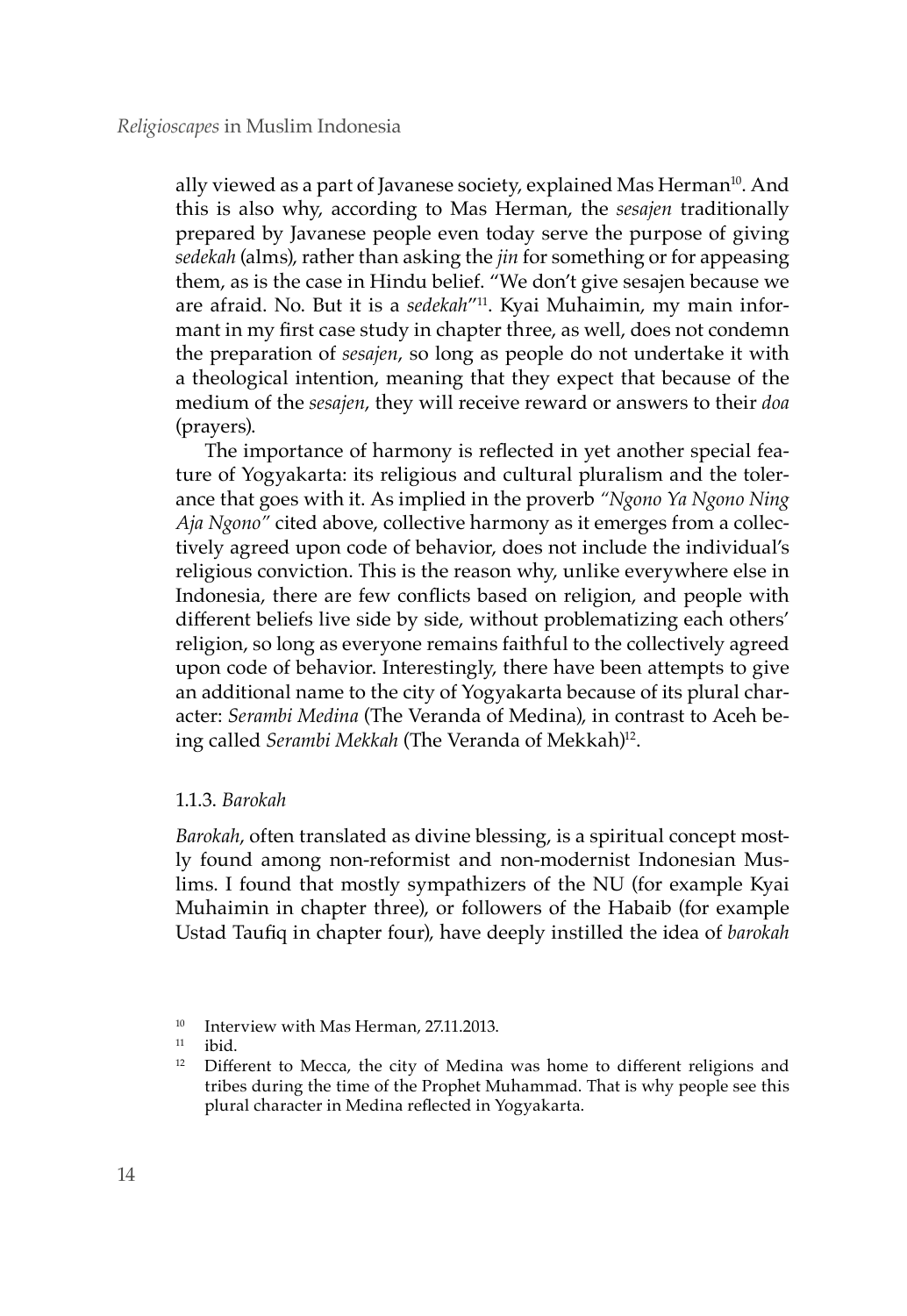ally viewed as a part of Javanese society, explained Mas Herman<sup>10</sup>. And this is also why, according to Mas Herman, the *sesajen* traditionally prepared by Javanese people even today serve the purpose of giving *sedekah* (alms), rather than asking the *jin* for something or for appeasing them, as is the case in Hindu belief. "We don't give sesajen because we are afraid. No. But it is a *sedekah*"11. Kyai Muhaimin, my main informant in my first case study in chapter three, as well, does not condemn the preparation of *sesajen*, so long as people do not undertake it with a theological intention, meaning that they expect that because of the medium of the *sesajen*, they will receive reward or answers to their *doa* (prayers).

The importance of harmony is reflected in yet another special feature of Yogyakarta: its religious and cultural pluralism and the tolerance that goes with it. As implied in the proverb *"Ngono Ya Ngono Ning Aja Ngono"* cited above, collective harmony as it emerges from a collectively agreed upon code of behavior, does not include the individual's religious conviction. This is the reason why, unlike everywhere else in Indonesia, there are few conflicts based on religion, and people with different beliefs live side by side, without problematizing each others' religion, so long as everyone remains faithful to the collectively agreed upon code of behavior. Interestingly, there have been attempts to give an additional name to the city of Yogyakarta because of its plural character: *Serambi Medina* (The Veranda of Medina), in contrast to Aceh being called *Serambi Mekkah* (The Veranda of Mekkah)<sup>12</sup>.

# 1.1.3. *Barokah*

*Barokah*, often translated as divine blessing, is a spiritual concept mostly found among non-reformist and non-modernist Indonesian Muslims. I found that mostly sympathizers of the NU (for example Kyai Muhaimin in chapter three), or followers of the Habaib (for example Ustad Taufiq in chapter four), have deeply instilled the idea of *barokah* 

<sup>&</sup>lt;sup>10</sup> Interview with Mas Herman, 27.11.2013.

<sup>&</sup>lt;sup>11</sup> ibid.<br><sup>12</sup> Diffe

Different to Mecca, the city of Medina was home to different religions and tribes during the time of the Prophet Muhammad. That is why people see this plural character in Medina reflected in Yogyakarta.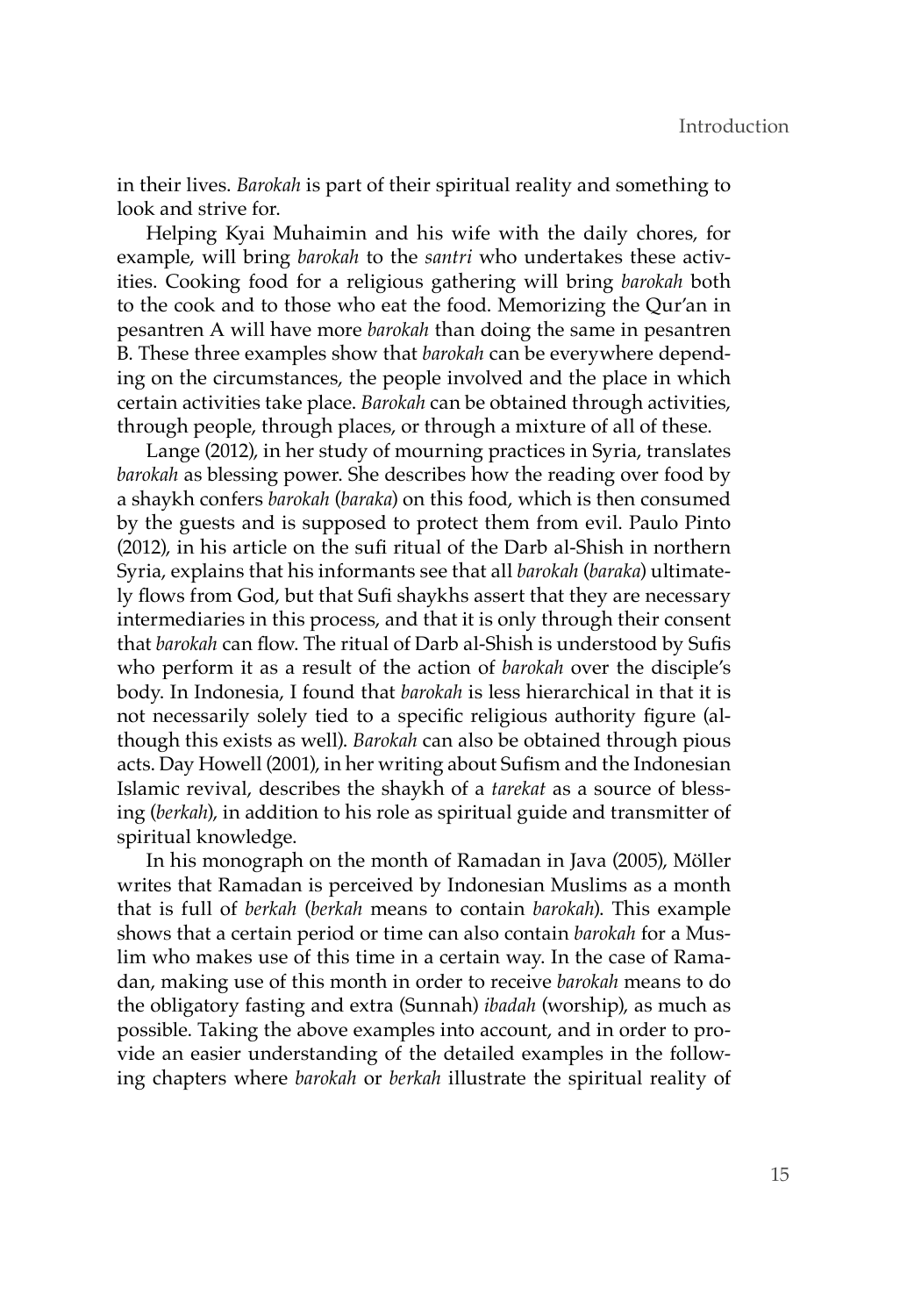in their lives. *Barokah* is part of their spiritual reality and something to look and strive for.

Helping Kyai Muhaimin and his wife with the daily chores, for example, will bring *barokah* to the *santri* who undertakes these activities. Cooking food for a religious gathering will bring *barokah* both to the cook and to those who eat the food. Memorizing the Qur'an in pesantren A will have more *barokah* than doing the same in pesantren B. These three examples show that *barokah* can be everywhere depending on the circumstances, the people involved and the place in which certain activities take place. *Barokah* can be obtained through activities, through people, through places, or through a mixture of all of these.

Lange (2012), in her study of mourning practices in Syria, translates *barokah* as blessing power. She describes how the reading over food by a shaykh confers *barokah* (*baraka*) on this food, which is then consumed by the guests and is supposed to protect them from evil. Paulo Pinto (2012), in his article on the sufi ritual of the Darb al-Shish in northern Syria, explains that his informants see that all *barokah* (*baraka*) ultimately flows from God, but that Sufi shaykhs assert that they are necessary intermediaries in this process, and that it is only through their consent that *barokah* can flow. The ritual of Darb al-Shish is understood by Sufis who perform it as a result of the action of *barokah* over the disciple's body. In Indonesia, I found that *barokah* is less hierarchical in that it is not necessarily solely tied to a specific religious authority figure (although this exists as well). *Barokah* can also be obtained through pious acts. Day Howell (2001), in her writing about Sufism and the Indonesian Islamic revival, describes the shaykh of a *tarekat* as a source of blessing (*berkah*), in addition to his role as spiritual guide and transmitter of spiritual knowledge.

In his monograph on the month of Ramadan in Java (2005), Möller writes that Ramadan is perceived by Indonesian Muslims as a month that is full of *berkah* (*berkah* means to contain *barokah*). This example shows that a certain period or time can also contain *barokah* for a Muslim who makes use of this time in a certain way. In the case of Ramadan, making use of this month in order to receive *barokah* means to do the obligatory fasting and extra (Sunnah) *ibadah* (worship), as much as possible. Taking the above examples into account, and in order to provide an easier understanding of the detailed examples in the following chapters where *barokah* or *berkah* illustrate the spiritual reality of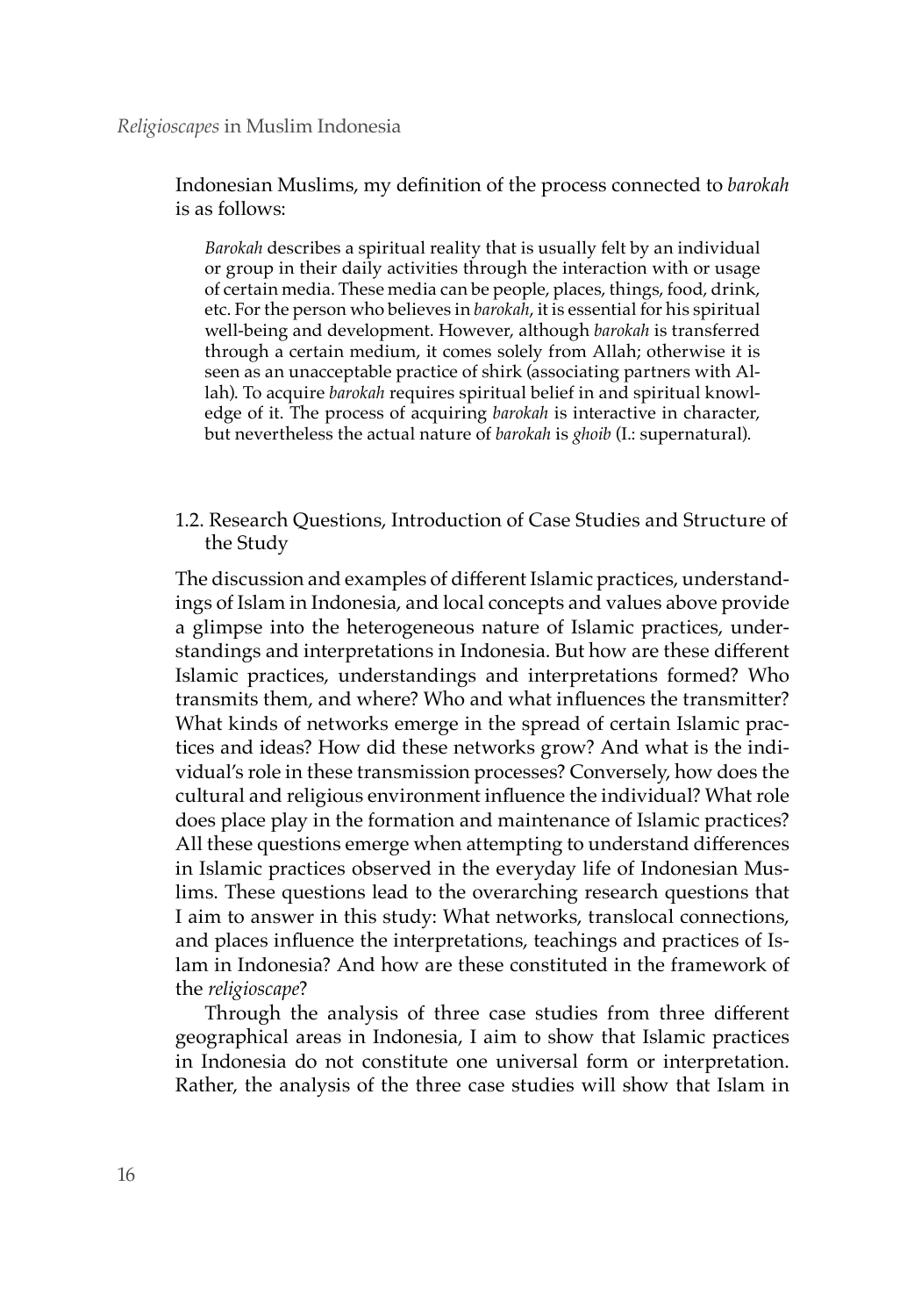#### *Religioscapes* in Muslim Indonesia

Indonesian Muslims, my definition of the process connected to *barokah* is as follows:

*Barokah* describes a spiritual reality that is usually felt by an individual or group in their daily activities through the interaction with or usage of certain media. These media can be people, places, things, food, drink, etc. For the person who believes in *barokah*, it is essential for his spiritual well-being and development. However, although *barokah* is transferred through a certain medium, it comes solely from Allah; otherwise it is seen as an unacceptable practice of shirk (associating partners with Allah). To acquire *barokah* requires spiritual belief in and spiritual knowledge of it. The process of acquiring *barokah* is interactive in character, but nevertheless the actual nature of *barokah* is *ghoib* (I.: supernatural).

1.2. Research Questions, Introduction of Case Studies and Structure of the Study

The discussion and examples of different Islamic practices, understandings of Islam in Indonesia, and local concepts and values above provide a glimpse into the heterogeneous nature of Islamic practices, understandings and interpretations in Indonesia. But how are these different Islamic practices, understandings and interpretations formed? Who transmits them, and where? Who and what influences the transmitter? What kinds of networks emerge in the spread of certain Islamic practices and ideas? How did these networks grow? And what is the individual's role in these transmission processes? Conversely, how does the cultural and religious environment influence the individual? What role does place play in the formation and maintenance of Islamic practices? All these questions emerge when attempting to understand differences in Islamic practices observed in the everyday life of Indonesian Muslims. These questions lead to the overarching research questions that I aim to answer in this study: What networks, translocal connections, and places influence the interpretations, teachings and practices of Islam in Indonesia? And how are these constituted in the framework of the *religioscape*?

Through the analysis of three case studies from three different geographical areas in Indonesia, I aim to show that Islamic practices in Indonesia do not constitute one universal form or interpretation. Rather, the analysis of the three case studies will show that Islam in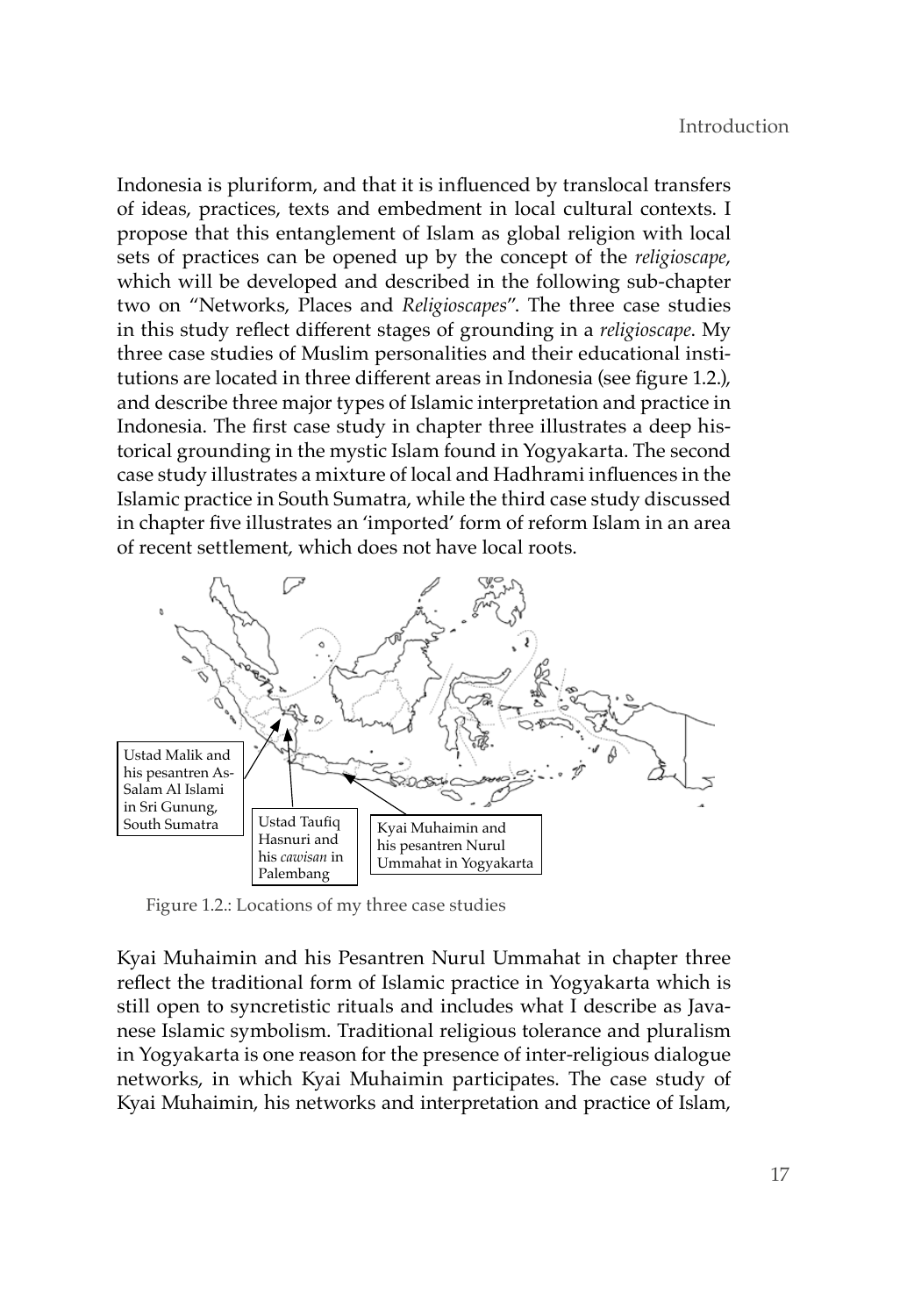Indonesia is pluriform, and that it is influenced by translocal transfers of ideas, practices, texts and embedment in local cultural contexts. I propose that this entanglement of Islam as global religion with local sets of practices can be opened up by the concept of the *religioscape*, which will be developed and described in the following sub-chapter two on "Networks, Places and *Religioscapes*". The three case studies in this study reflect different stages of grounding in a *religioscape*. My three case studies of Muslim personalities and their educational institutions are located in three different areas in Indonesia (see figure 1.2.), and describe three major types of Islamic interpretation and practice in Indonesia. The first case study in chapter three illustrates a deep historical grounding in the mystic Islam found in Yogyakarta. The second case study illustrates a mixture of local and Hadhrami influences in the Islamic practice in South Sumatra, while the third case study discussed in chapter five illustrates an 'imported' form of reform Islam in an area of recent settlement, which does not have local roots.



Figure 1.2.: Locations of my three case studies

Kyai Muhaimin and his Pesantren Nurul Ummahat in chapter three reflect the traditional form of Islamic practice in Yogyakarta which is still open to syncretistic rituals and includes what I describe as Javanese Islamic symbolism. Traditional religious tolerance and pluralism in Yogyakarta is one reason for the presence of inter-religious dialogue networks, in which Kyai Muhaimin participates. The case study of Kyai Muhaimin, his networks and interpretation and practice of Islam,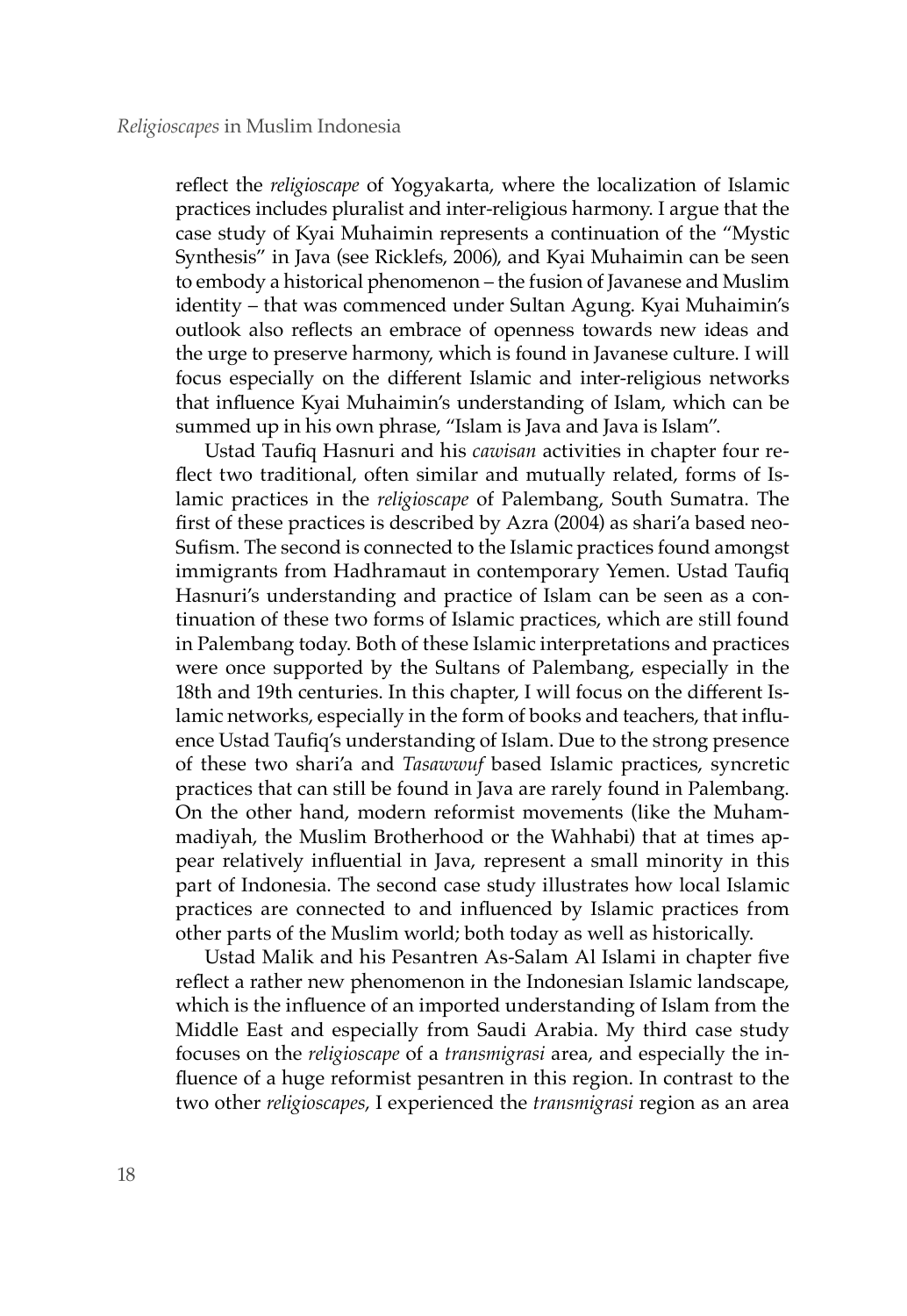reflect the *religioscape* of Yogyakarta, where the localization of Islamic practices includes pluralist and inter-religious harmony. I argue that the case study of Kyai Muhaimin represents a continuation of the "Mystic Synthesis" in Java (see Ricklefs, 2006), and Kyai Muhaimin can be seen to embody a historical phenomenon – the fusion of Javanese and Muslim identity – that was commenced under Sultan Agung. Kyai Muhaimin's outlook also reflects an embrace of openness towards new ideas and the urge to preserve harmony, which is found in Javanese culture. I will focus especially on the different Islamic and inter-religious networks that influence Kyai Muhaimin's understanding of Islam, which can be summed up in his own phrase, "Islam is Java and Java is Islam".

Ustad Taufiq Hasnuri and his *cawisan* activities in chapter four reflect two traditional, often similar and mutually related, forms of Islamic practices in the *religioscape* of Palembang, South Sumatra. The first of these practices is described by Azra (2004) as shari'a based neo-Sufism. The second is connected to the Islamic practices found amongst immigrants from Hadhramaut in contemporary Yemen. Ustad Taufiq Hasnuri's understanding and practice of Islam can be seen as a continuation of these two forms of Islamic practices, which are still found in Palembang today. Both of these Islamic interpretations and practices were once supported by the Sultans of Palembang, especially in the 18th and 19th centuries. In this chapter, I will focus on the different Islamic networks, especially in the form of books and teachers, that influence Ustad Taufiq's understanding of Islam. Due to the strong presence of these two shari'a and *Tasawwuf* based Islamic practices, syncretic practices that can still be found in Java are rarely found in Palembang. On the other hand, modern reformist movements (like the Muhammadiyah, the Muslim Brotherhood or the Wahhabi) that at times appear relatively influential in Java, represent a small minority in this part of Indonesia. The second case study illustrates how local Islamic practices are connected to and influenced by Islamic practices from other parts of the Muslim world; both today as well as historically.

Ustad Malik and his Pesantren As-Salam Al Islami in chapter five reflect a rather new phenomenon in the Indonesian Islamic landscape, which is the influence of an imported understanding of Islam from the Middle East and especially from Saudi Arabia. My third case study focuses on the *religioscape* of a *transmigrasi* area, and especially the influence of a huge reformist pesantren in this region. In contrast to the two other *religioscapes*, I experienced the *transmigrasi* region as an area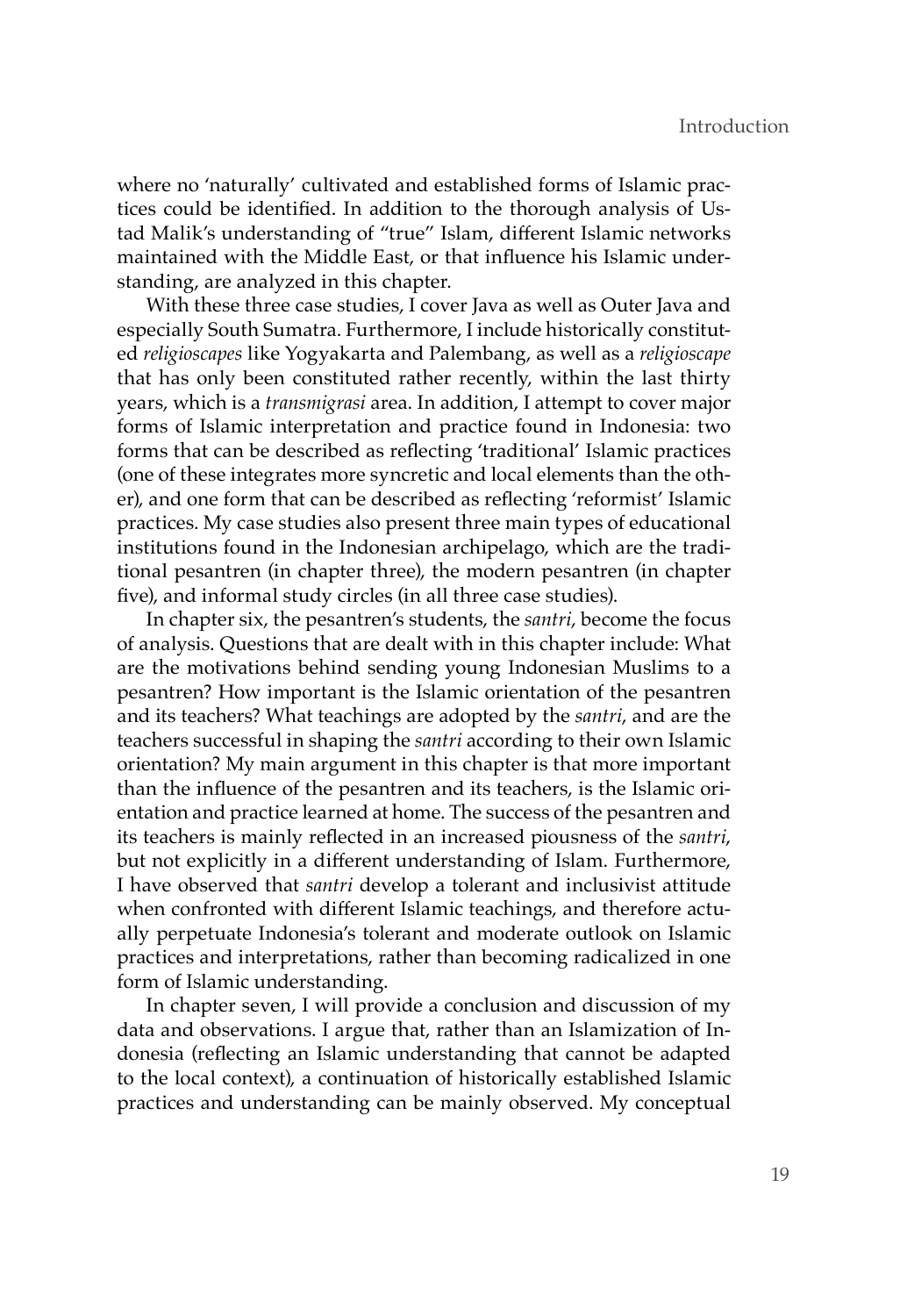where no 'naturally' cultivated and established forms of Islamic practices could be identified. In addition to the thorough analysis of Ustad Malik's understanding of "true" Islam, different Islamic networks maintained with the Middle East, or that influence his Islamic understanding, are analyzed in this chapter.

With these three case studies, I cover Java as well as Outer Java and especially South Sumatra. Furthermore, I include historically constituted *religioscapes* like Yogyakarta and Palembang, as well as a *religioscape* that has only been constituted rather recently, within the last thirty years, which is a *transmigrasi* area. In addition, I attempt to cover major forms of Islamic interpretation and practice found in Indonesia: two forms that can be described as reflecting 'traditional' Islamic practices (one of these integrates more syncretic and local elements than the other), and one form that can be described as reflecting 'reformist' Islamic practices. My case studies also present three main types of educational institutions found in the Indonesian archipelago, which are the traditional pesantren (in chapter three), the modern pesantren (in chapter five), and informal study circles (in all three case studies).

In chapter six, the pesantren's students, the *santri*, become the focus of analysis. Questions that are dealt with in this chapter include: What are the motivations behind sending young Indonesian Muslims to a pesantren? How important is the Islamic orientation of the pesantren and its teachers? What teachings are adopted by the *santri*, and are the teachers successful in shaping the *santri* according to their own Islamic orientation? My main argument in this chapter is that more important than the influence of the pesantren and its teachers, is the Islamic orientation and practice learned at home. The success of the pesantren and its teachers is mainly reflected in an increased piousness of the *santri*, but not explicitly in a different understanding of Islam. Furthermore, I have observed that *santri* develop a tolerant and inclusivist attitude when confronted with different Islamic teachings, and therefore actually perpetuate Indonesia's tolerant and moderate outlook on Islamic practices and interpretations, rather than becoming radicalized in one form of Islamic understanding.

In chapter seven, I will provide a conclusion and discussion of my data and observations. I argue that, rather than an Islamization of Indonesia (reflecting an Islamic understanding that cannot be adapted to the local context), a continuation of historically established Islamic practices and understanding can be mainly observed. My conceptual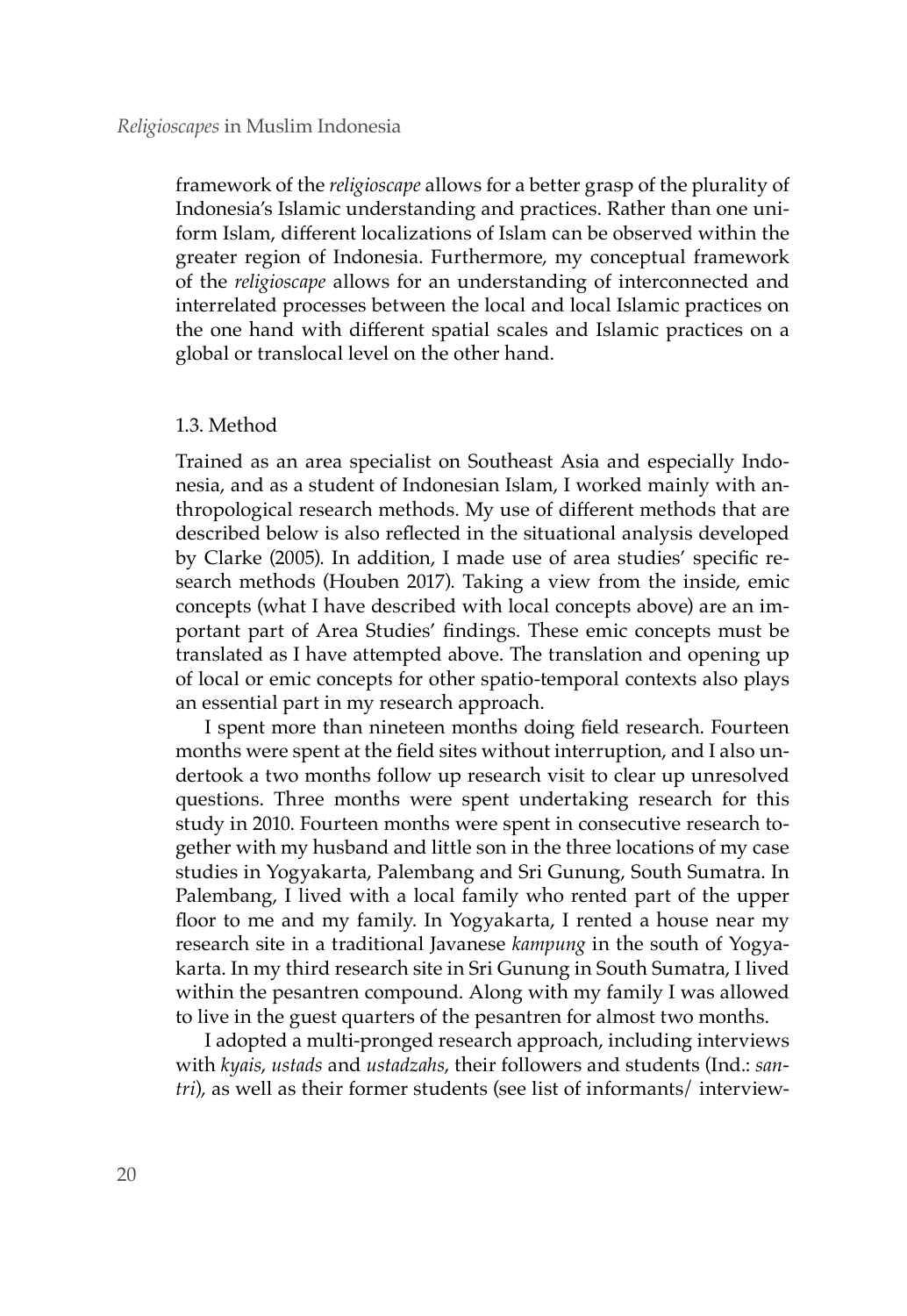framework of the *religioscape* allows for a better grasp of the plurality of Indonesia's Islamic understanding and practices. Rather than one uniform Islam, different localizations of Islam can be observed within the greater region of Indonesia. Furthermore, my conceptual framework of the *religioscape* allows for an understanding of interconnected and interrelated processes between the local and local Islamic practices on the one hand with different spatial scales and Islamic practices on a global or translocal level on the other hand.

## 1.3. Method

Trained as an area specialist on Southeast Asia and especially Indonesia, and as a student of Indonesian Islam, I worked mainly with anthropological research methods. My use of different methods that are described below is also reflected in the situational analysis developed by Clarke (2005). In addition, I made use of area studies' specific research methods (Houben 2017). Taking a view from the inside, emic concepts (what I have described with local concepts above) are an important part of Area Studies' findings. These emic concepts must be translated as I have attempted above. The translation and opening up of local or emic concepts for other spatio-temporal contexts also plays an essential part in my research approach.

I spent more than nineteen months doing field research. Fourteen months were spent at the field sites without interruption, and I also undertook a two months follow up research visit to clear up unresolved questions. Three months were spent undertaking research for this study in 2010. Fourteen months were spent in consecutive research together with my husband and little son in the three locations of my case studies in Yogyakarta, Palembang and Sri Gunung, South Sumatra. In Palembang, I lived with a local family who rented part of the upper floor to me and my family. In Yogyakarta, I rented a house near my research site in a traditional Javanese *kampung* in the south of Yogyakarta. In my third research site in Sri Gunung in South Sumatra, I lived within the pesantren compound. Along with my family I was allowed to live in the guest quarters of the pesantren for almost two months.

I adopted a multi-pronged research approach, including interviews with *kyais*, *ustads* and *ustadzahs*, their followers and students (Ind.: *santri*), as well as their former students (see list of informants/ interview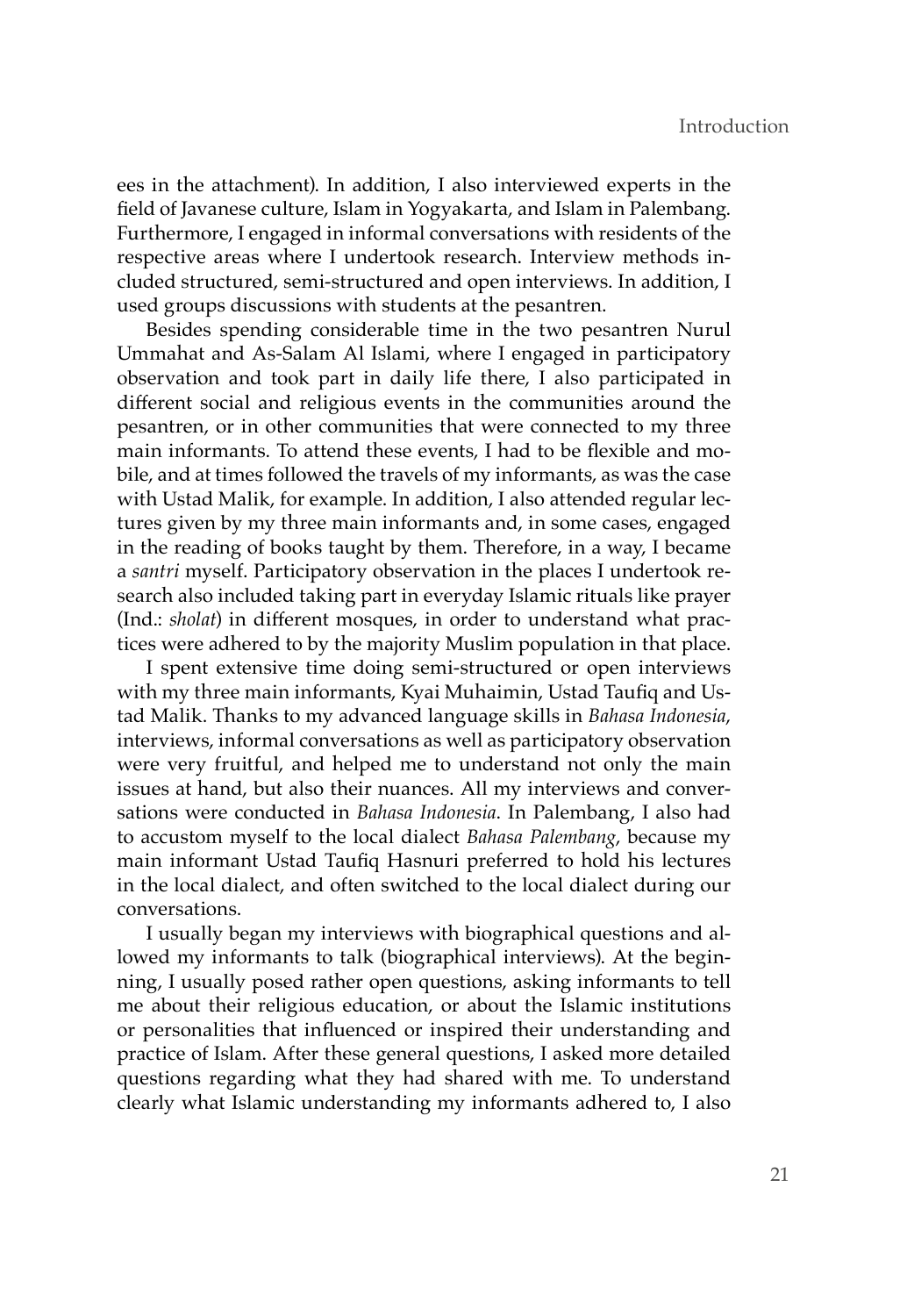ees in the attachment). In addition, I also interviewed experts in the field of Javanese culture, Islam in Yogyakarta, and Islam in Palembang. Furthermore, I engaged in informal conversations with residents of the respective areas where I undertook research. Interview methods included structured, semi-structured and open interviews. In addition, I used groups discussions with students at the pesantren.

Besides spending considerable time in the two pesantren Nurul Ummahat and As-Salam Al Islami, where I engaged in participatory observation and took part in daily life there, I also participated in different social and religious events in the communities around the pesantren, or in other communities that were connected to my three main informants. To attend these events, I had to be flexible and mobile, and at times followed the travels of my informants, as was the case with Ustad Malik, for example. In addition, I also attended regular lectures given by my three main informants and, in some cases, engaged in the reading of books taught by them. Therefore, in a way, I became a *santri* myself. Participatory observation in the places I undertook research also included taking part in everyday Islamic rituals like prayer (Ind.: *sholat*) in different mosques, in order to understand what practices were adhered to by the majority Muslim population in that place.

I spent extensive time doing semi-structured or open interviews with my three main informants, Kyai Muhaimin, Ustad Taufiq and Ustad Malik. Thanks to my advanced language skills in *Bahasa Indonesia*, interviews, informal conversations as well as participatory observation were very fruitful, and helped me to understand not only the main issues at hand, but also their nuances. All my interviews and conversations were conducted in *Bahasa Indonesia*. In Palembang, I also had to accustom myself to the local dialect *Bahasa Palembang*, because my main informant Ustad Taufiq Hasnuri preferred to hold his lectures in the local dialect, and often switched to the local dialect during our conversations.

I usually began my interviews with biographical questions and allowed my informants to talk (biographical interviews). At the beginning, I usually posed rather open questions, asking informants to tell me about their religious education, or about the Islamic institutions or personalities that influenced or inspired their understanding and practice of Islam. After these general questions, I asked more detailed questions regarding what they had shared with me. To understand clearly what Islamic understanding my informants adhered to, I also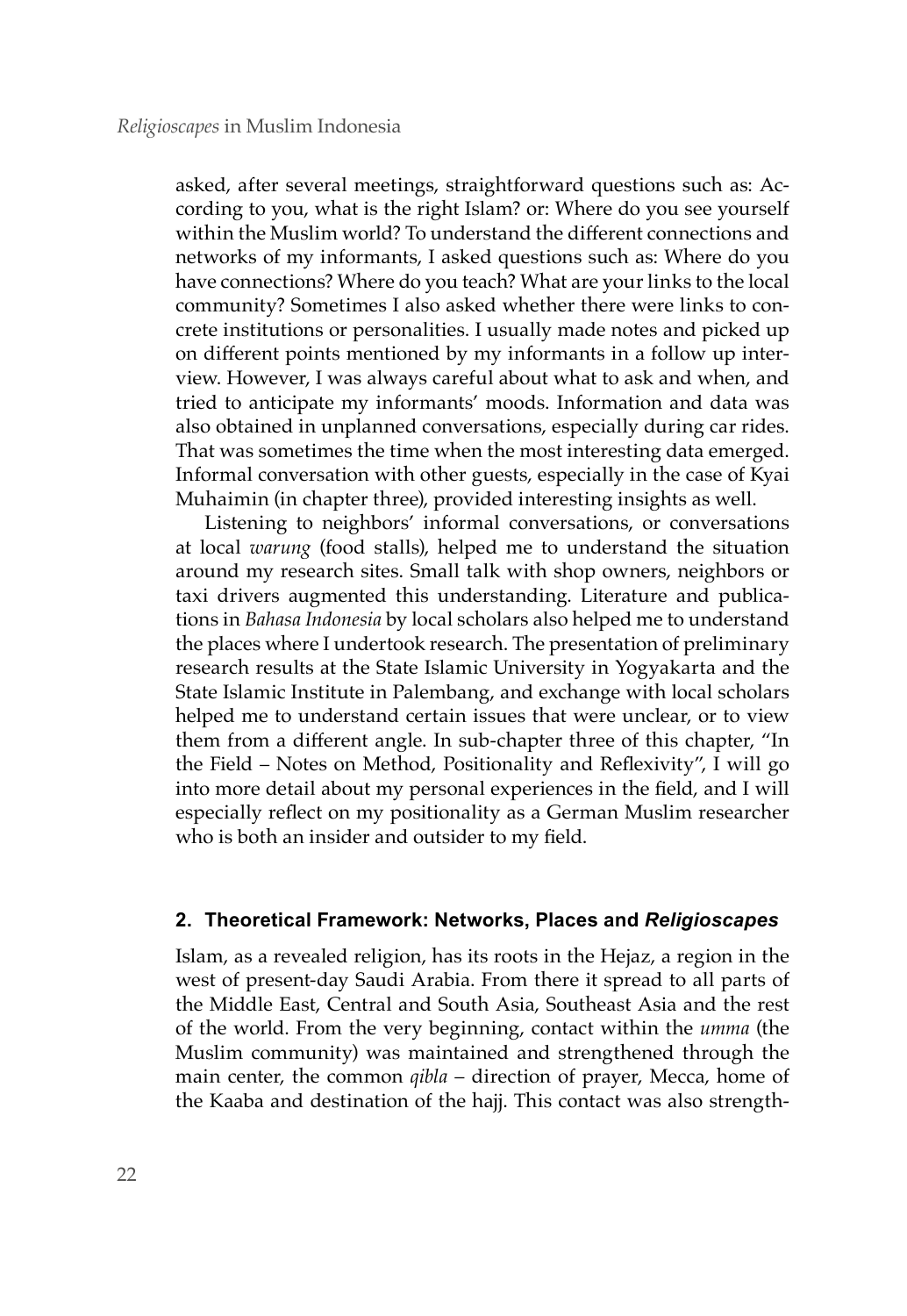asked, after several meetings, straightforward questions such as: According to you, what is the right Islam? or: Where do you see yourself within the Muslim world? To understand the different connections and networks of my informants, I asked questions such as: Where do you have connections? Where do you teach? What are your links to the local community? Sometimes I also asked whether there were links to concrete institutions or personalities. I usually made notes and picked up on different points mentioned by my informants in a follow up interview. However, I was always careful about what to ask and when, and tried to anticipate my informants' moods. Information and data was also obtained in unplanned conversations, especially during car rides. That was sometimes the time when the most interesting data emerged. Informal conversation with other guests, especially in the case of Kyai Muhaimin (in chapter three), provided interesting insights as well.

Listening to neighbors' informal conversations, or conversations at local *warung* (food stalls), helped me to understand the situation around my research sites. Small talk with shop owners, neighbors or taxi drivers augmented this understanding. Literature and publications in *Bahasa Indonesia* by local scholars also helped me to understand the places where I undertook research. The presentation of preliminary research results at the State Islamic University in Yogyakarta and the State Islamic Institute in Palembang, and exchange with local scholars helped me to understand certain issues that were unclear, or to view them from a different angle. In sub-chapter three of this chapter, "In the Field – Notes on Method, Positionality and Reflexivity", I will go into more detail about my personal experiences in the field, and I will especially reflect on my positionality as a German Muslim researcher who is both an insider and outsider to my field.

# **2. Theoretical Framework: Networks, Places and** *Religioscapes*

Islam, as a revealed religion, has its roots in the Hejaz, a region in the west of present-day Saudi Arabia. From there it spread to all parts of the Middle East, Central and South Asia, Southeast Asia and the rest of the world. From the very beginning, contact within the *umma* (the Muslim community) was maintained and strengthened through the main center, the common *qibla* – direction of prayer, Mecca, home of the Kaaba and destination of the hajj. This contact was also strength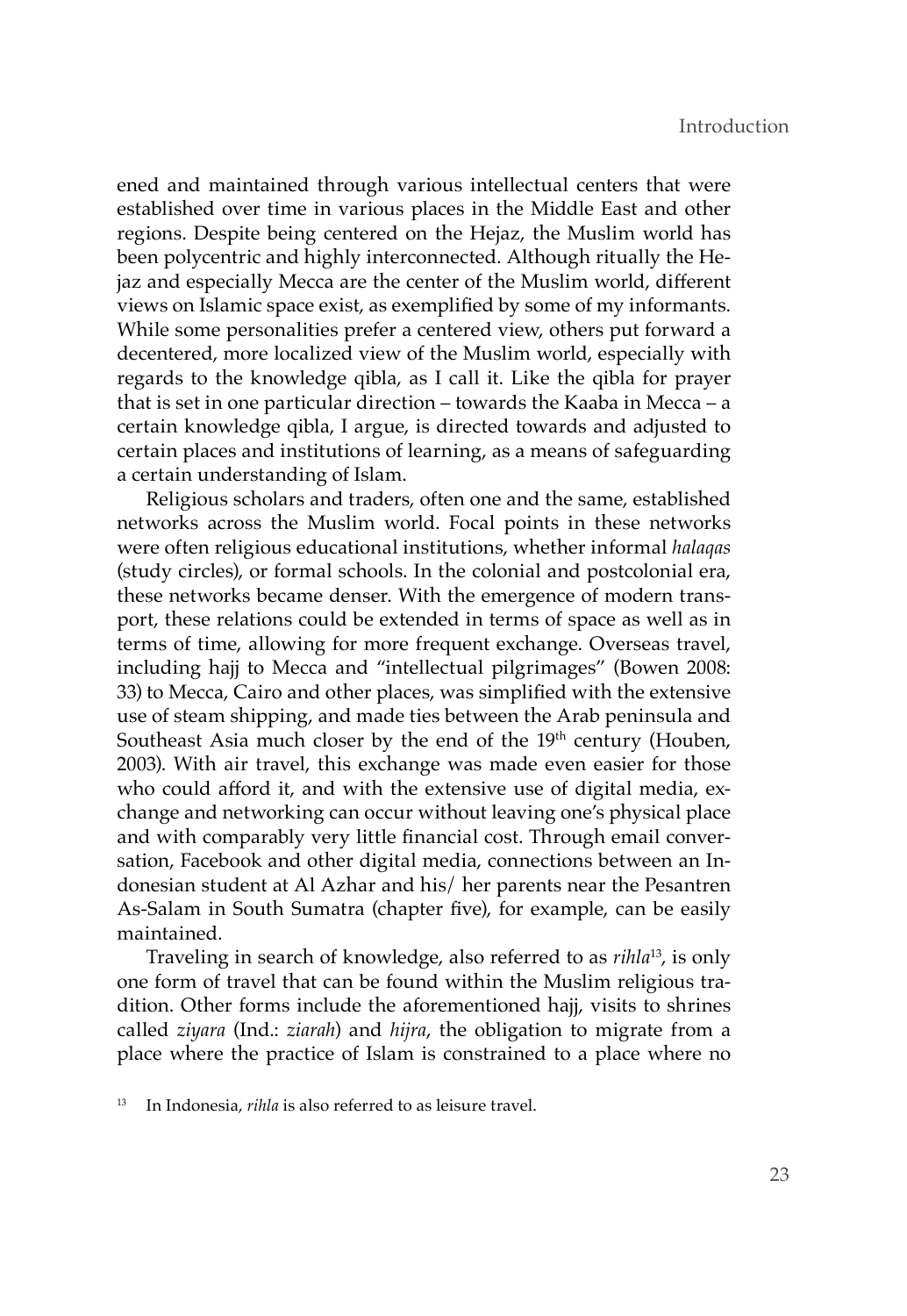ened and maintained through various intellectual centers that were established over time in various places in the Middle East and other regions. Despite being centered on the Hejaz, the Muslim world has been polycentric and highly interconnected. Although ritually the Hejaz and especially Mecca are the center of the Muslim world, different views on Islamic space exist, as exemplified by some of my informants. While some personalities prefer a centered view, others put forward a decentered, more localized view of the Muslim world, especially with regards to the knowledge qibla, as I call it. Like the qibla for prayer that is set in one particular direction – towards the Kaaba in Mecca – a certain knowledge qibla, I argue, is directed towards and adjusted to certain places and institutions of learning, as a means of safeguarding a certain understanding of Islam.

Religious scholars and traders, often one and the same, established networks across the Muslim world. Focal points in these networks were often religious educational institutions, whether informal *halaqas* (study circles), or formal schools. In the colonial and postcolonial era, these networks became denser. With the emergence of modern transport, these relations could be extended in terms of space as well as in terms of time, allowing for more frequent exchange. Overseas travel, including hajj to Mecca and "intellectual pilgrimages" (Bowen 2008: 33) to Mecca, Cairo and other places, was simplified with the extensive use of steam shipping, and made ties between the Arab peninsula and Southeast Asia much closer by the end of the 19<sup>th</sup> century (Houben, 2003). With air travel, this exchange was made even easier for those who could afford it, and with the extensive use of digital media, exchange and networking can occur without leaving one's physical place and with comparably very little financial cost. Through email conversation, Facebook and other digital media, connections between an Indonesian student at Al Azhar and his/ her parents near the Pesantren As-Salam in South Sumatra (chapter five), for example, can be easily maintained.

Traveling in search of knowledge, also referred to as *rihla*<sup>13</sup>, is only one form of travel that can be found within the Muslim religious tradition. Other forms include the aforementioned hajj, visits to shrines called *ziyara* (Ind.: *ziarah*) and *hijra*, the obligation to migrate from a place where the practice of Islam is constrained to a place where no

<sup>13</sup> In Indonesia, *rihla* is also referred to as leisure travel.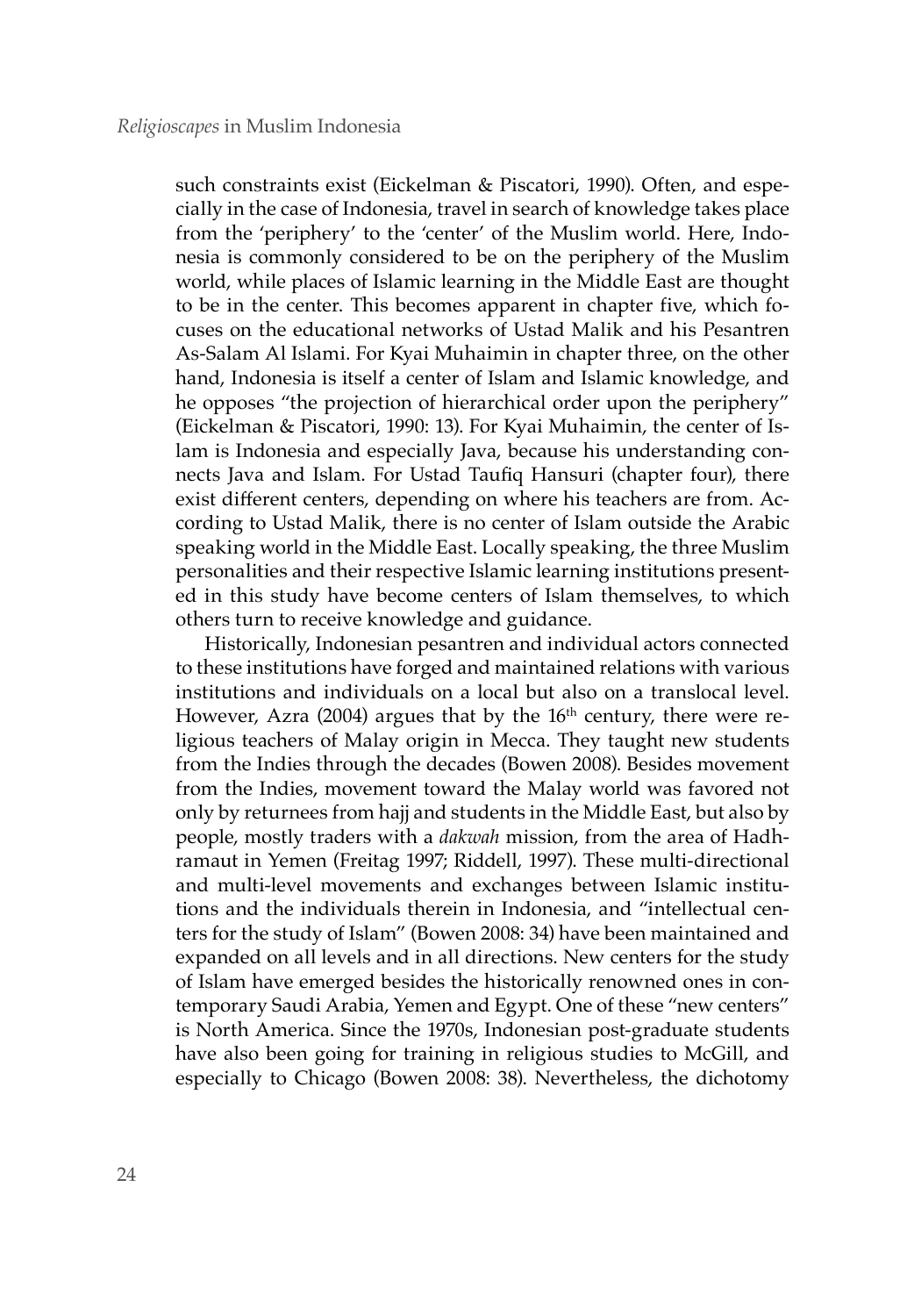such constraints exist (Eickelman & Piscatori, 1990). Often, and especially in the case of Indonesia, travel in search of knowledge takes place from the 'periphery' to the 'center' of the Muslim world. Here, Indonesia is commonly considered to be on the periphery of the Muslim world, while places of Islamic learning in the Middle East are thought to be in the center. This becomes apparent in chapter five, which focuses on the educational networks of Ustad Malik and his Pesantren As-Salam Al Islami. For Kyai Muhaimin in chapter three, on the other hand, Indonesia is itself a center of Islam and Islamic knowledge, and he opposes "the projection of hierarchical order upon the periphery" (Eickelman & Piscatori, 1990: 13). For Kyai Muhaimin, the center of Islam is Indonesia and especially Java, because his understanding connects Java and Islam. For Ustad Taufiq Hansuri (chapter four), there exist different centers, depending on where his teachers are from. According to Ustad Malik, there is no center of Islam outside the Arabic speaking world in the Middle East. Locally speaking, the three Muslim personalities and their respective Islamic learning institutions presented in this study have become centers of Islam themselves, to which others turn to receive knowledge and guidance.

Historically, Indonesian pesantren and individual actors connected to these institutions have forged and maintained relations with various institutions and individuals on a local but also on a translocal level. However, Azra (2004) argues that by the  $16<sup>th</sup>$  century, there were religious teachers of Malay origin in Mecca. They taught new students from the Indies through the decades (Bowen 2008). Besides movement from the Indies, movement toward the Malay world was favored not only by returnees from hajj and students in the Middle East, but also by people, mostly traders with a *dakwah* mission, from the area of Hadhramaut in Yemen (Freitag 1997; Riddell, 1997). These multi-directional and multi-level movements and exchanges between Islamic institutions and the individuals therein in Indonesia, and "intellectual centers for the study of Islam" (Bowen 2008: 34) have been maintained and expanded on all levels and in all directions. New centers for the study of Islam have emerged besides the historically renowned ones in contemporary Saudi Arabia, Yemen and Egypt. One of these "new centers" is North America. Since the 1970s, Indonesian post-graduate students have also been going for training in religious studies to McGill, and especially to Chicago (Bowen 2008: 38). Nevertheless, the dichotomy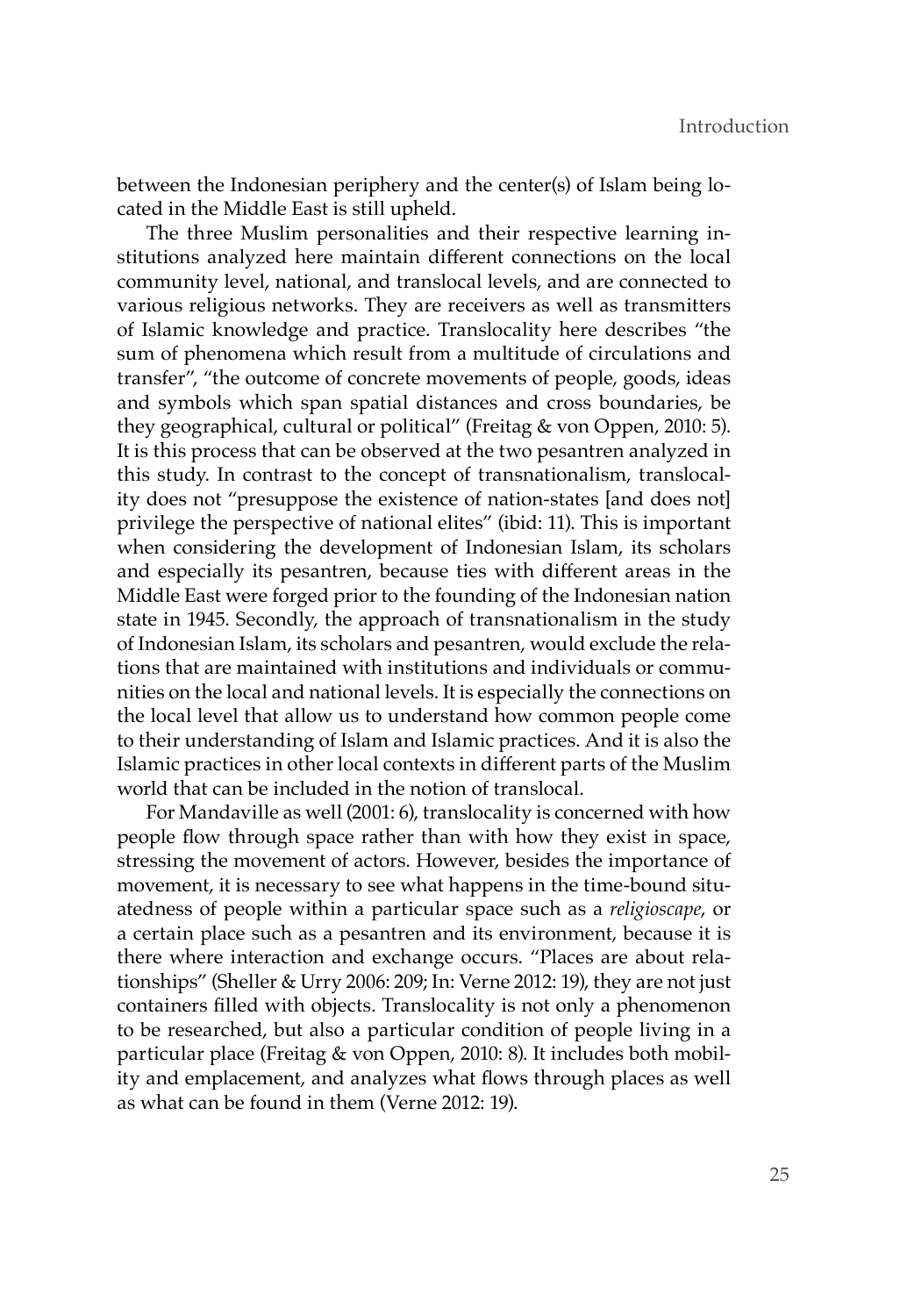between the Indonesian periphery and the center(s) of Islam being located in the Middle East is still upheld.

The three Muslim personalities and their respective learning institutions analyzed here maintain different connections on the local community level, national, and translocal levels, and are connected to various religious networks. They are receivers as well as transmitters of Islamic knowledge and practice. Translocality here describes "the sum of phenomena which result from a multitude of circulations and transfer", "the outcome of concrete movements of people, goods, ideas and symbols which span spatial distances and cross boundaries, be they geographical, cultural or political" (Freitag & von Oppen, 2010: 5). It is this process that can be observed at the two pesantren analyzed in this study. In contrast to the concept of transnationalism, translocality does not "presuppose the existence of nation-states [and does not] privilege the perspective of national elites" (ibid: 11). This is important when considering the development of Indonesian Islam, its scholars and especially its pesantren, because ties with different areas in the Middle East were forged prior to the founding of the Indonesian nation state in 1945. Secondly, the approach of transnationalism in the study of Indonesian Islam, its scholars and pesantren, would exclude the relations that are maintained with institutions and individuals or communities on the local and national levels. It is especially the connections on the local level that allow us to understand how common people come to their understanding of Islam and Islamic practices. And it is also the Islamic practices in other local contexts in different parts of the Muslim world that can be included in the notion of translocal.

For Mandaville as well (2001: 6), translocality is concerned with how people flow through space rather than with how they exist in space, stressing the movement of actors. However, besides the importance of movement, it is necessary to see what happens in the time-bound situatedness of people within a particular space such as a *religioscape*, or a certain place such as a pesantren and its environment, because it is there where interaction and exchange occurs. "Places are about relationships" (Sheller & Urry 2006: 209; In: Verne 2012: 19), they are not just containers filled with objects. Translocality is not only a phenomenon to be researched, but also a particular condition of people living in a particular place (Freitag & von Oppen, 2010: 8). It includes both mobility and emplacement, and analyzes what flows through places as well as what can be found in them (Verne 2012: 19).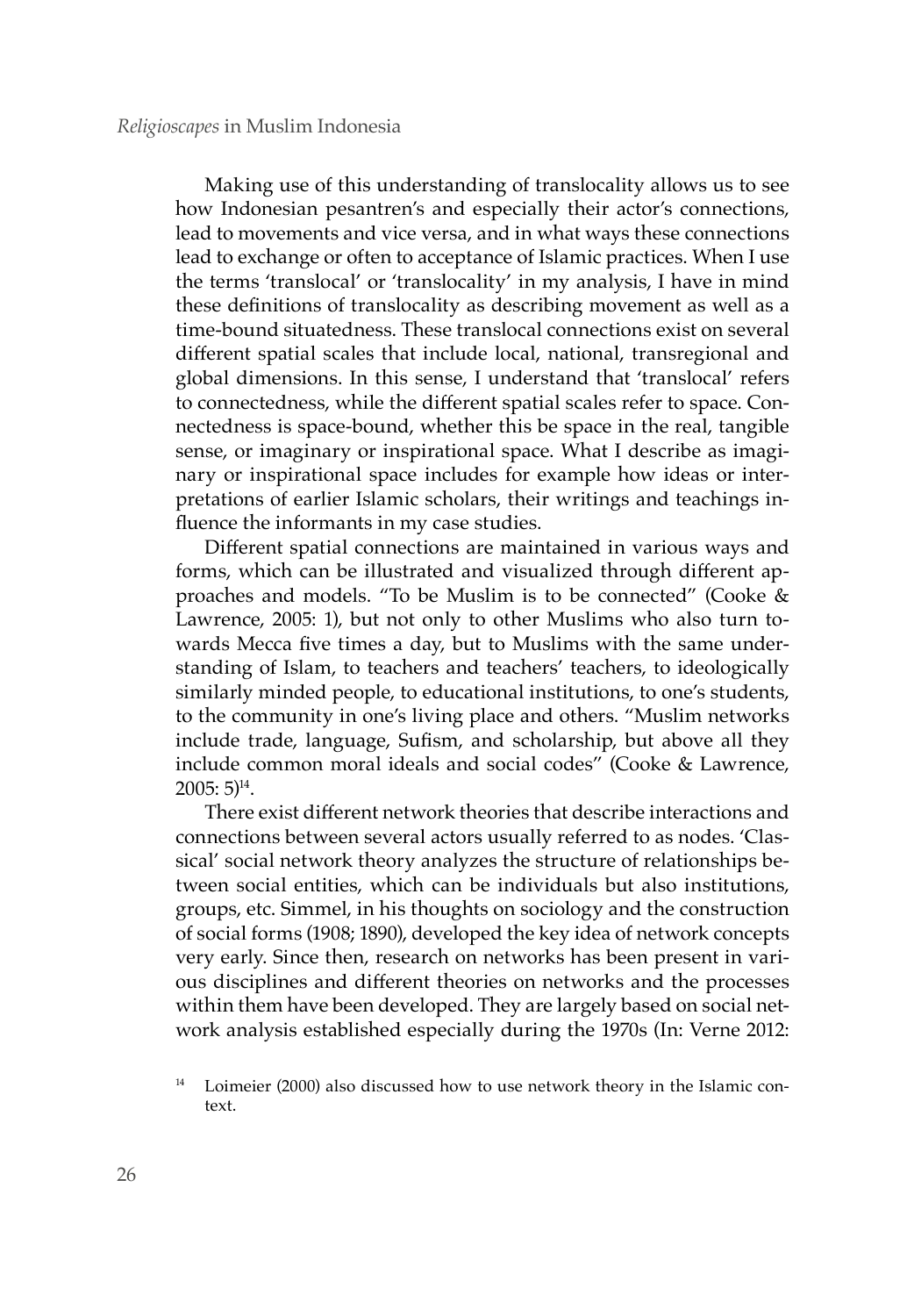Making use of this understanding of translocality allows us to see how Indonesian pesantren's and especially their actor's connections, lead to movements and vice versa, and in what ways these connections lead to exchange or often to acceptance of Islamic practices. When I use the terms 'translocal' or 'translocality' in my analysis, I have in mind these definitions of translocality as describing movement as well as a time-bound situatedness. These translocal connections exist on several different spatial scales that include local, national, transregional and global dimensions. In this sense, I understand that 'translocal' refers to connectedness, while the different spatial scales refer to space. Connectedness is space-bound, whether this be space in the real, tangible sense, or imaginary or inspirational space. What I describe as imaginary or inspirational space includes for example how ideas or interpretations of earlier Islamic scholars, their writings and teachings influence the informants in my case studies.

Different spatial connections are maintained in various ways and forms, which can be illustrated and visualized through different approaches and models. "To be Muslim is to be connected" (Cooke & Lawrence, 2005: 1), but not only to other Muslims who also turn towards Mecca five times a day, but to Muslims with the same understanding of Islam, to teachers and teachers' teachers, to ideologically similarly minded people, to educational institutions, to one's students, to the community in one's living place and others. "Muslim networks include trade, language, Sufism, and scholarship, but above all they include common moral ideals and social codes" (Cooke & Lawrence,  $2005:5$ <sup>14</sup>.

There exist different network theories that describe interactions and connections between several actors usually referred to as nodes. 'Classical' social network theory analyzes the structure of relationships between social entities, which can be individuals but also institutions, groups, etc. Simmel, in his thoughts on sociology and the construction of social forms (1908; 1890), developed the key idea of network concepts very early. Since then, research on networks has been present in various disciplines and different theories on networks and the processes within them have been developed. They are largely based on social network analysis established especially during the 1970s (In: Verne 2012:

Loimeier (2000) also discussed how to use network theory in the Islamic context.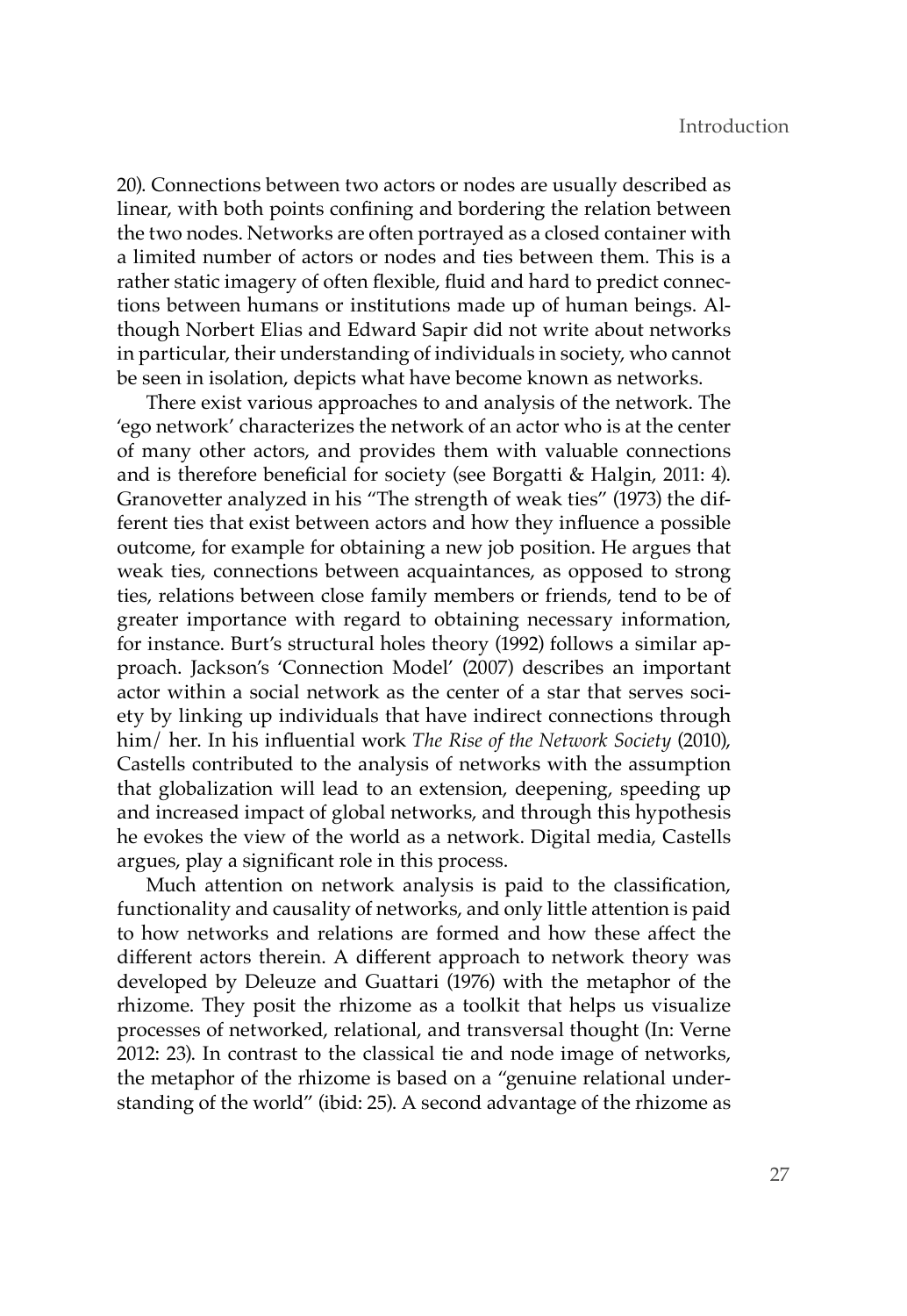20). Connections between two actors or nodes are usually described as linear, with both points confining and bordering the relation between the two nodes. Networks are often portrayed as a closed container with a limited number of actors or nodes and ties between them. This is a rather static imagery of often flexible, fluid and hard to predict connections between humans or institutions made up of human beings. Although Norbert Elias and Edward Sapir did not write about networks in particular, their understanding of individuals in society, who cannot be seen in isolation, depicts what have become known as networks.

There exist various approaches to and analysis of the network. The 'ego network' characterizes the network of an actor who is at the center of many other actors, and provides them with valuable connections and is therefore beneficial for society (see Borgatti & Halgin, 2011: 4). Granovetter analyzed in his "The strength of weak ties" (1973) the different ties that exist between actors and how they influence a possible outcome, for example for obtaining a new job position. He argues that weak ties, connections between acquaintances, as opposed to strong ties, relations between close family members or friends, tend to be of greater importance with regard to obtaining necessary information, for instance. Burt's structural holes theory (1992) follows a similar approach. Jackson's 'Connection Model' (2007) describes an important actor within a social network as the center of a star that serves society by linking up individuals that have indirect connections through him/ her. In his influential work *The Rise of the Network Society* (2010), Castells contributed to the analysis of networks with the assumption that globalization will lead to an extension, deepening, speeding up and increased impact of global networks, and through this hypothesis he evokes the view of the world as a network. Digital media, Castells argues, play a significant role in this process.

Much attention on network analysis is paid to the classification, functionality and causality of networks, and only little attention is paid to how networks and relations are formed and how these affect the different actors therein. A different approach to network theory was developed by Deleuze and Guattari (1976) with the metaphor of the rhizome. They posit the rhizome as a toolkit that helps us visualize processes of networked, relational, and transversal thought (In: Verne 2012: 23). In contrast to the classical tie and node image of networks, the metaphor of the rhizome is based on a "genuine relational understanding of the world" (ibid: 25). A second advantage of the rhizome as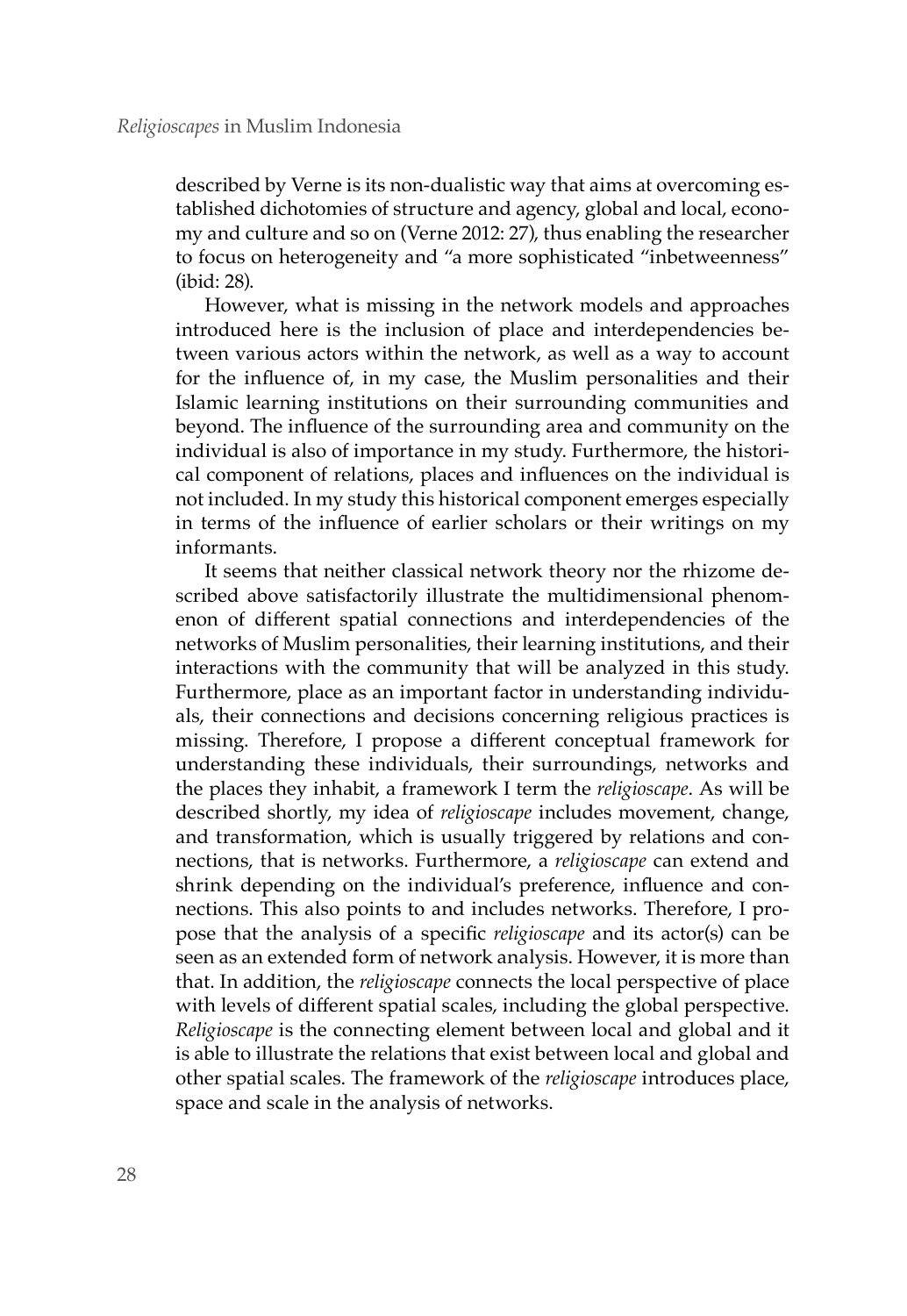described by Verne is its non-dualistic way that aims at overcoming established dichotomies of structure and agency, global and local, economy and culture and so on (Verne 2012: 27), thus enabling the researcher to focus on heterogeneity and "a more sophisticated "inbetweenness" (ibid: 28).

However, what is missing in the network models and approaches introduced here is the inclusion of place and interdependencies between various actors within the network, as well as a way to account for the influence of, in my case, the Muslim personalities and their Islamic learning institutions on their surrounding communities and beyond. The influence of the surrounding area and community on the individual is also of importance in my study. Furthermore, the historical component of relations, places and influences on the individual is not included. In my study this historical component emerges especially in terms of the influence of earlier scholars or their writings on my informants.

It seems that neither classical network theory nor the rhizome described above satisfactorily illustrate the multidimensional phenomenon of different spatial connections and interdependencies of the networks of Muslim personalities, their learning institutions, and their interactions with the community that will be analyzed in this study. Furthermore, place as an important factor in understanding individuals, their connections and decisions concerning religious practices is missing. Therefore, I propose a different conceptual framework for understanding these individuals, their surroundings, networks and the places they inhabit, a framework I term the *religioscape*. As will be described shortly, my idea of *religioscape* includes movement, change, and transformation, which is usually triggered by relations and connections, that is networks. Furthermore, a *religioscape* can extend and shrink depending on the individual's preference, influence and connections. This also points to and includes networks. Therefore, I propose that the analysis of a specific *religioscape* and its actor(s) can be seen as an extended form of network analysis. However, it is more than that. In addition, the *religioscape* connects the local perspective of place with levels of different spatial scales, including the global perspective. *Religioscape* is the connecting element between local and global and it is able to illustrate the relations that exist between local and global and other spatial scales. The framework of the *religioscape* introduces place, space and scale in the analysis of networks.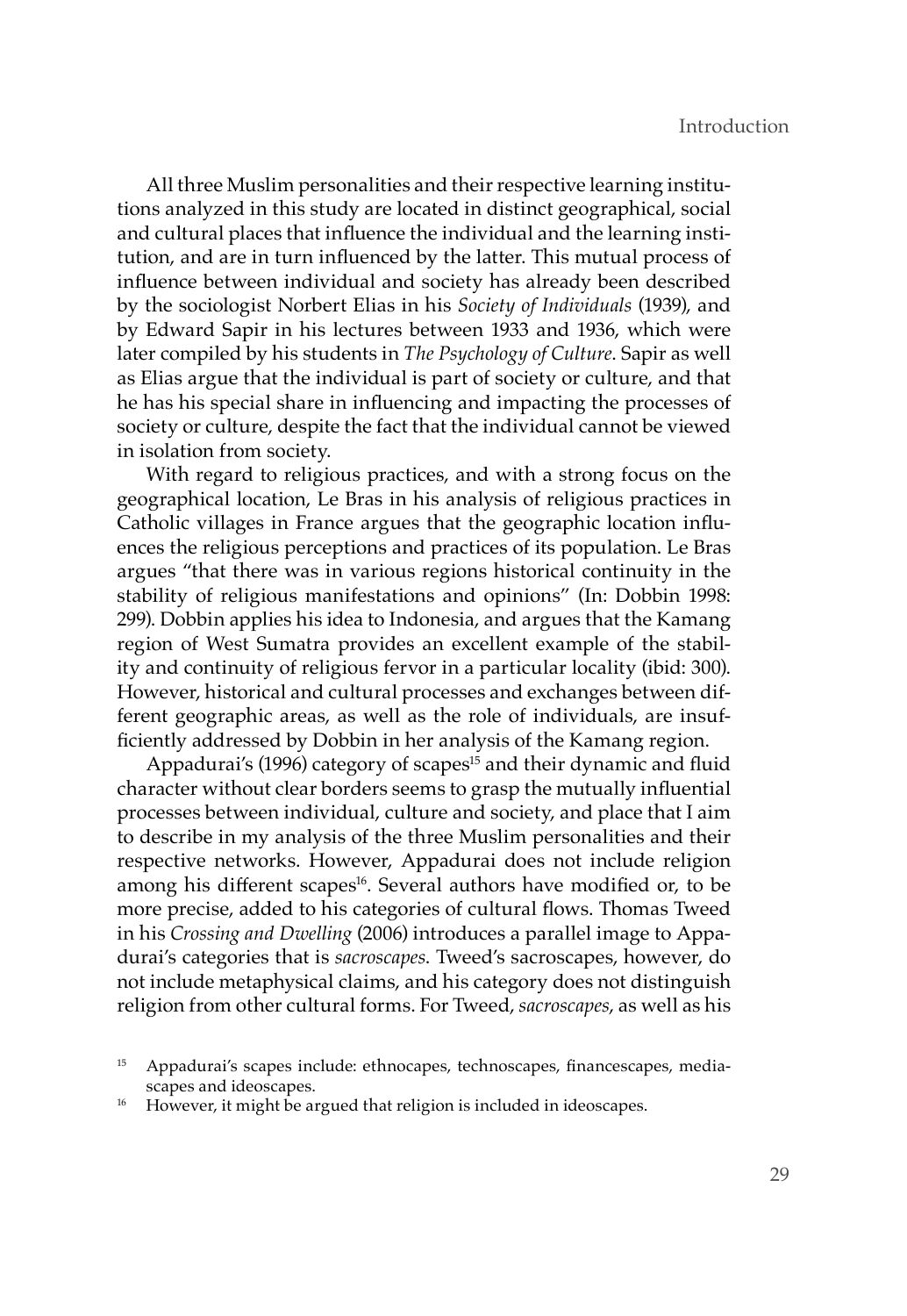All three Muslim personalities and their respective learning institutions analyzed in this study are located in distinct geographical, social and cultural places that influence the individual and the learning institution, and are in turn influenced by the latter. This mutual process of influence between individual and society has already been described by the sociologist Norbert Elias in his *Society of Individuals* (1939), and by Edward Sapir in his lectures between 1933 and 1936, which were later compiled by his students in *The Psychology of Culture*. Sapir as well as Elias argue that the individual is part of society or culture, and that he has his special share in influencing and impacting the processes of society or culture, despite the fact that the individual cannot be viewed in isolation from society.

With regard to religious practices, and with a strong focus on the geographical location, Le Bras in his analysis of religious practices in Catholic villages in France argues that the geographic location influences the religious perceptions and practices of its population. Le Bras argues "that there was in various regions historical continuity in the stability of religious manifestations and opinions" (In: Dobbin 1998: 299). Dobbin applies his idea to Indonesia, and argues that the Kamang region of West Sumatra provides an excellent example of the stability and continuity of religious fervor in a particular locality (ibid: 300). However, historical and cultural processes and exchanges between different geographic areas, as well as the role of individuals, are insufficiently addressed by Dobbin in her analysis of the Kamang region.

Appadurai's (1996) category of scapes<sup>15</sup> and their dynamic and fluid character without clear borders seems to grasp the mutually influential processes between individual, culture and society, and place that I aim to describe in my analysis of the three Muslim personalities and their respective networks. However, Appadurai does not include religion among his different scapes<sup>16</sup>. Several authors have modified or, to be more precise, added to his categories of cultural flows. Thomas Tweed in his *Crossing and Dwelling* (2006) introduces a parallel image to Appadurai's categories that is *sacroscapes*. Tweed's sacroscapes, however, do not include metaphysical claims, and his category does not distinguish religion from other cultural forms. For Tweed, *sacroscapes*, as well as his

<sup>15</sup> Appadurai's scapes include: ethnocapes, technoscapes, financescapes, mediascapes and ideoscapes.<br>However, it might be argued that religion is included in ideoscapes.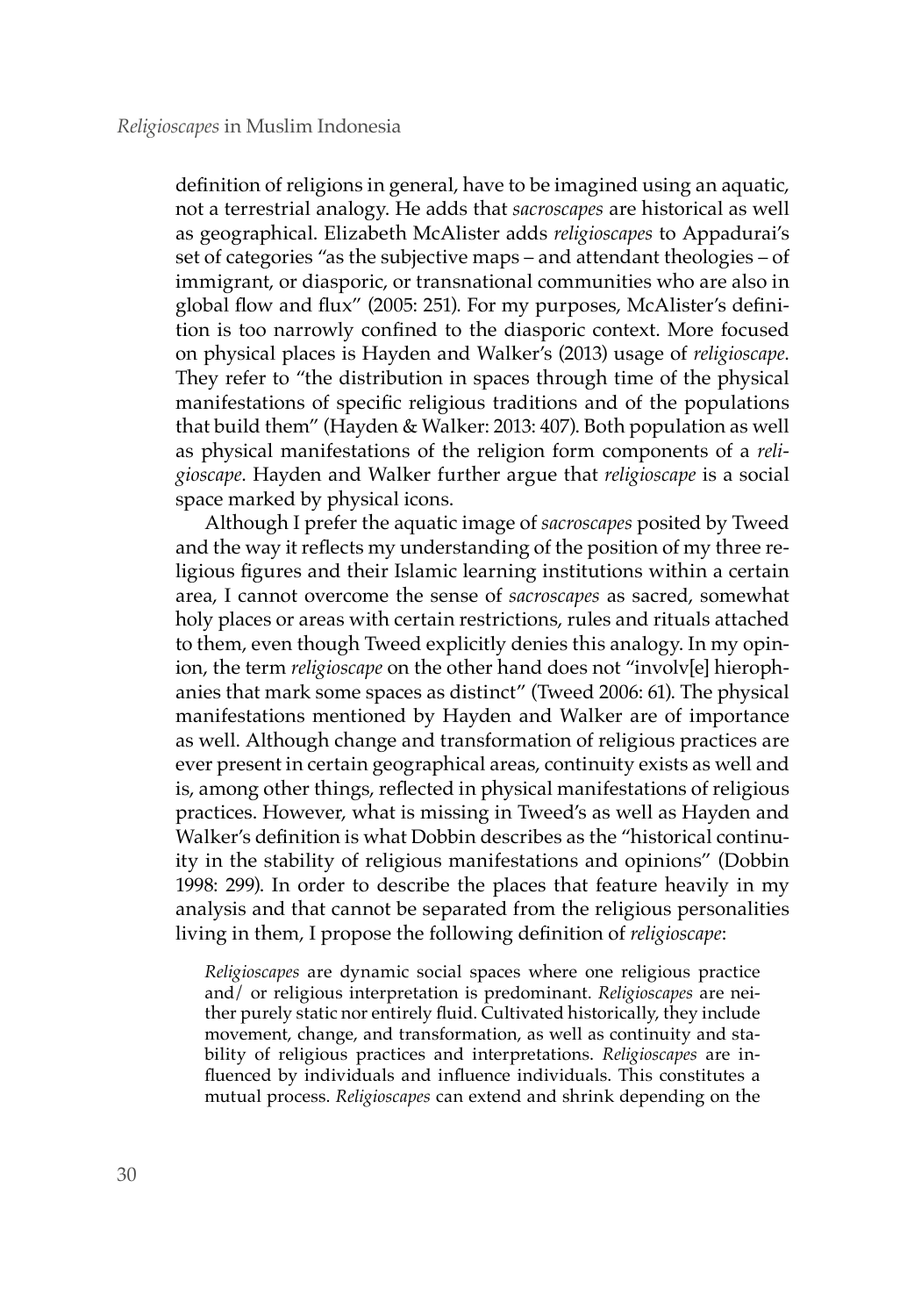definition of religions in general, have to be imagined using an aquatic, not a terrestrial analogy. He adds that *sacroscapes* are historical as well as geographical. Elizabeth McAlister adds *religioscapes* to Appadurai's set of categories "as the subjective maps – and attendant theologies – of immigrant, or diasporic, or transnational communities who are also in global flow and flux" (2005: 251). For my purposes, McAlister's definition is too narrowly confined to the diasporic context. More focused on physical places is Hayden and Walker's (2013) usage of *religioscape*. They refer to "the distribution in spaces through time of the physical manifestations of specific religious traditions and of the populations that build them" (Hayden & Walker: 2013: 407). Both population as well as physical manifestations of the religion form components of a *religioscape*. Hayden and Walker further argue that *religioscape* is a social space marked by physical icons.

Although I prefer the aquatic image of *sacroscapes* posited by Tweed and the way it reflects my understanding of the position of my three religious figures and their Islamic learning institutions within a certain area, I cannot overcome the sense of *sacroscapes* as sacred, somewhat holy places or areas with certain restrictions, rules and rituals attached to them, even though Tweed explicitly denies this analogy. In my opinion, the term *religioscape* on the other hand does not "involv[e] hierophanies that mark some spaces as distinct" (Tweed 2006: 61). The physical manifestations mentioned by Hayden and Walker are of importance as well. Although change and transformation of religious practices are ever present in certain geographical areas, continuity exists as well and is, among other things, reflected in physical manifestations of religious practices. However, what is missing in Tweed's as well as Hayden and Walker's definition is what Dobbin describes as the "historical continuity in the stability of religious manifestations and opinions" (Dobbin 1998: 299). In order to describe the places that feature heavily in my analysis and that cannot be separated from the religious personalities living in them, I propose the following definition of *religioscape*:

*Religioscapes* are dynamic social spaces where one religious practice and/ or religious interpretation is predominant. *Religioscapes* are neither purely static nor entirely fluid. Cultivated historically, they include movement, change, and transformation, as well as continuity and stability of religious practices and interpretations. *Religioscapes* are influenced by individuals and influence individuals. This constitutes a mutual process. *Religioscapes* can extend and shrink depending on the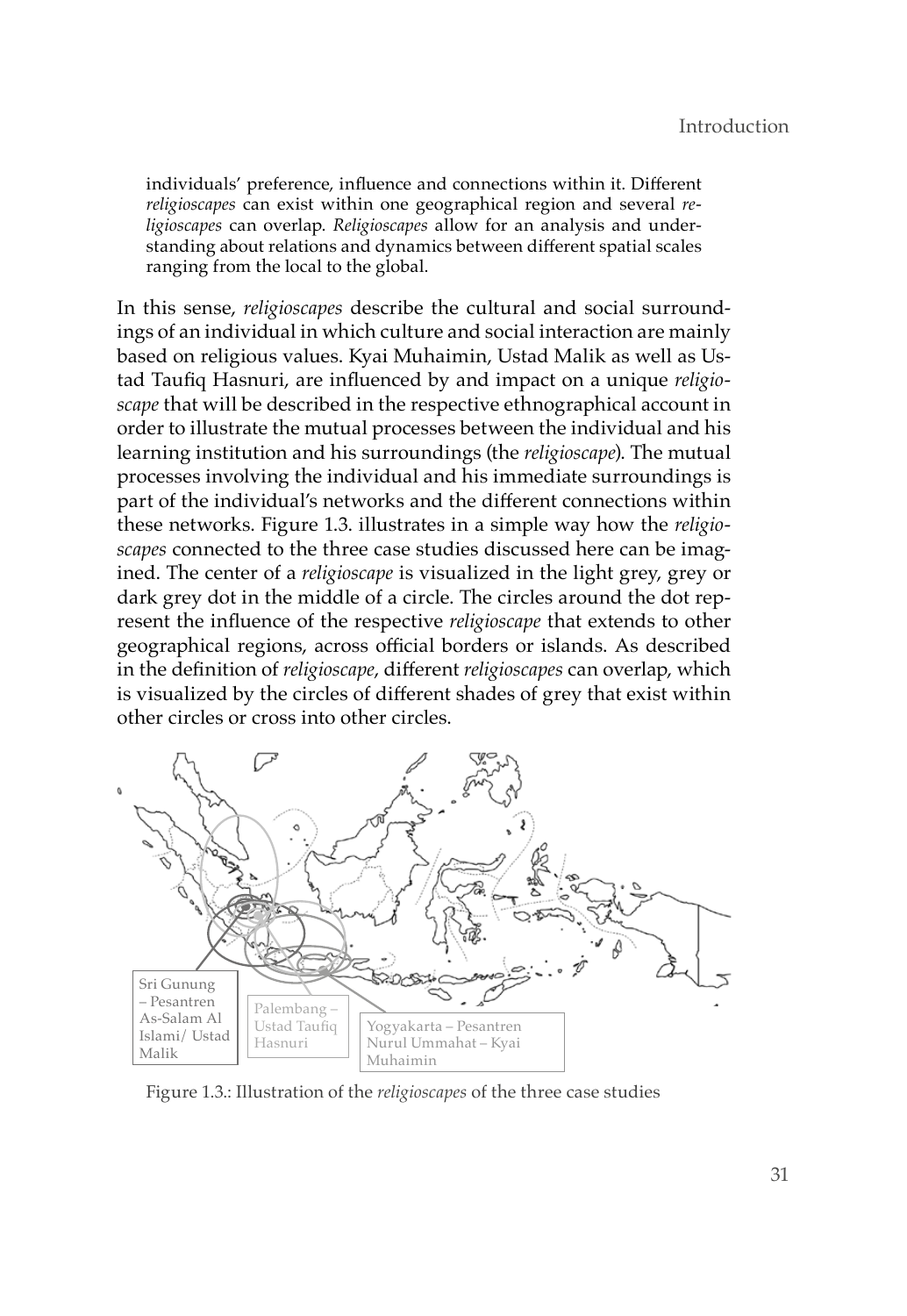individuals' preference, influence and connections within it. Different *religioscapes* can exist within one geographical region and several *religioscapes* can overlap. *Religioscapes* allow for an analysis and understanding about relations and dynamics between different spatial scales ranging from the local to the global.

In this sense, *religioscapes* describe the cultural and social surroundings of an individual in which culture and social interaction are mainly based on religious values. Kyai Muhaimin, Ustad Malik as well as Ustad Taufiq Hasnuri, are influenced by and impact on a unique *religioscape* that will be described in the respective ethnographical account in order to illustrate the mutual processes between the individual and his learning institution and his surroundings (the *religioscape*). The mutual processes involving the individual and his immediate surroundings is part of the individual's networks and the different connections within these networks. Figure 1.3. illustrates in a simple way how the *religioscapes* connected to the three case studies discussed here can be imagined. The center of a *religioscape* is visualized in the light grey, grey or dark grey dot in the middle of a circle. The circles around the dot represent the influence of the respective *religioscape* that extends to other geographical regions, across official borders or islands. As described in the definition of *religioscape*, different *religioscapes* can overlap, which is visualized by the circles of different shades of grey that exist within other circles or cross into other circles.



Figure 1.3.: Illustration of the *religioscapes* of the three case studies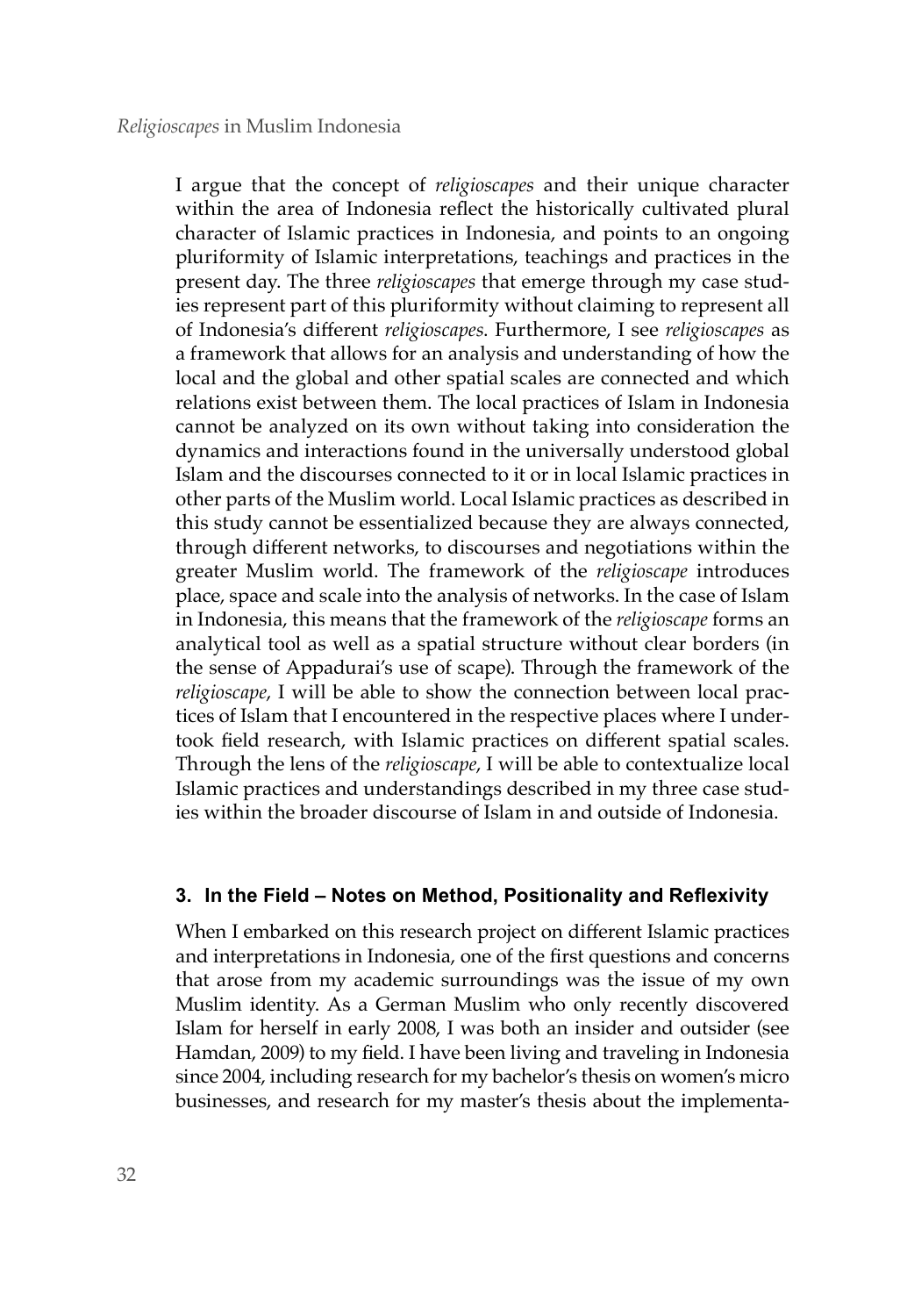I argue that the concept of *religioscapes* and their unique character within the area of Indonesia reflect the historically cultivated plural character of Islamic practices in Indonesia, and points to an ongoing pluriformity of Islamic interpretations, teachings and practices in the present day. The three *religioscapes* that emerge through my case studies represent part of this pluriformity without claiming to represent all of Indonesia's different *religioscapes*. Furthermore, I see *religioscapes* as a framework that allows for an analysis and understanding of how the local and the global and other spatial scales are connected and which relations exist between them. The local practices of Islam in Indonesia cannot be analyzed on its own without taking into consideration the dynamics and interactions found in the universally understood global Islam and the discourses connected to it or in local Islamic practices in other parts of the Muslim world. Local Islamic practices as described in this study cannot be essentialized because they are always connected, through different networks, to discourses and negotiations within the greater Muslim world. The framework of the *religioscape* introduces place, space and scale into the analysis of networks. In the case of Islam in Indonesia, this means that the framework of the *religioscape* forms an analytical tool as well as a spatial structure without clear borders (in the sense of Appadurai's use of scape). Through the framework of the *religioscape*, I will be able to show the connection between local practices of Islam that I encountered in the respective places where I undertook field research, with Islamic practices on different spatial scales. Through the lens of the *religioscape*, I will be able to contextualize local Islamic practices and understandings described in my three case studies within the broader discourse of Islam in and outside of Indonesia.

# **3. In the Field – Notes on Method, Positionality and Reflexivity**

When I embarked on this research project on different Islamic practices and interpretations in Indonesia, one of the first questions and concerns that arose from my academic surroundings was the issue of my own Muslim identity. As a German Muslim who only recently discovered Islam for herself in early 2008, I was both an insider and outsider (see Hamdan, 2009) to my field. I have been living and traveling in Indonesia since 2004, including research for my bachelor's thesis on women's micro businesses, and research for my master's thesis about the implementa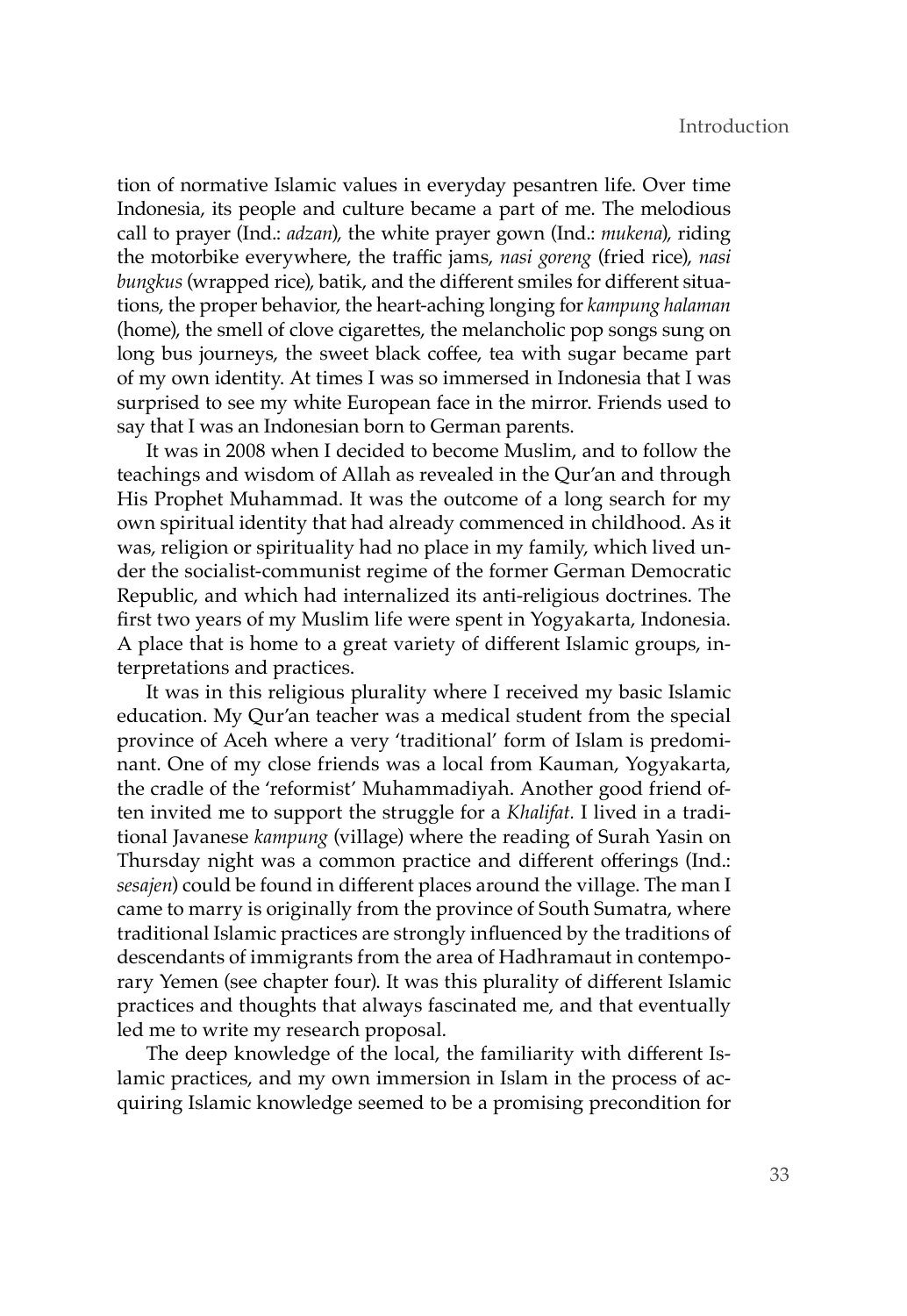tion of normative Islamic values in everyday pesantren life. Over time Indonesia, its people and culture became a part of me. The melodious call to prayer (Ind.: *adzan*), the white prayer gown (Ind.: *mukena*), riding the motorbike everywhere, the traffic jams, *nasi goreng* (fried rice), *nasi bungkus* (wrapped rice), batik, and the different smiles for different situations, the proper behavior, the heart-aching longing for *kampung halaman* (home), the smell of clove cigarettes, the melancholic pop songs sung on long bus journeys, the sweet black coffee, tea with sugar became part of my own identity. At times I was so immersed in Indonesia that I was surprised to see my white European face in the mirror. Friends used to say that I was an Indonesian born to German parents.

It was in 2008 when I decided to become Muslim, and to follow the teachings and wisdom of Allah as revealed in the Qur'an and through His Prophet Muhammad. It was the outcome of a long search for my own spiritual identity that had already commenced in childhood. As it was, religion or spirituality had no place in my family, which lived under the socialist-communist regime of the former German Democratic Republic, and which had internalized its anti-religious doctrines. The first two years of my Muslim life were spent in Yogyakarta, Indonesia. A place that is home to a great variety of different Islamic groups, interpretations and practices.

It was in this religious plurality where I received my basic Islamic education. My Qur'an teacher was a medical student from the special province of Aceh where a very 'traditional' form of Islam is predominant. One of my close friends was a local from Kauman, Yogyakarta, the cradle of the 'reformist' Muhammadiyah. Another good friend often invited me to support the struggle for a *Khalifat.* I lived in a traditional Javanese *kampung* (village) where the reading of Surah Yasin on Thursday night was a common practice and different offerings (Ind.: *sesajen*) could be found in different places around the village. The man I came to marry is originally from the province of South Sumatra, where traditional Islamic practices are strongly influenced by the traditions of descendants of immigrants from the area of Hadhramaut in contemporary Yemen (see chapter four). It was this plurality of different Islamic practices and thoughts that always fascinated me, and that eventually led me to write my research proposal.

The deep knowledge of the local, the familiarity with different Islamic practices, and my own immersion in Islam in the process of acquiring Islamic knowledge seemed to be a promising precondition for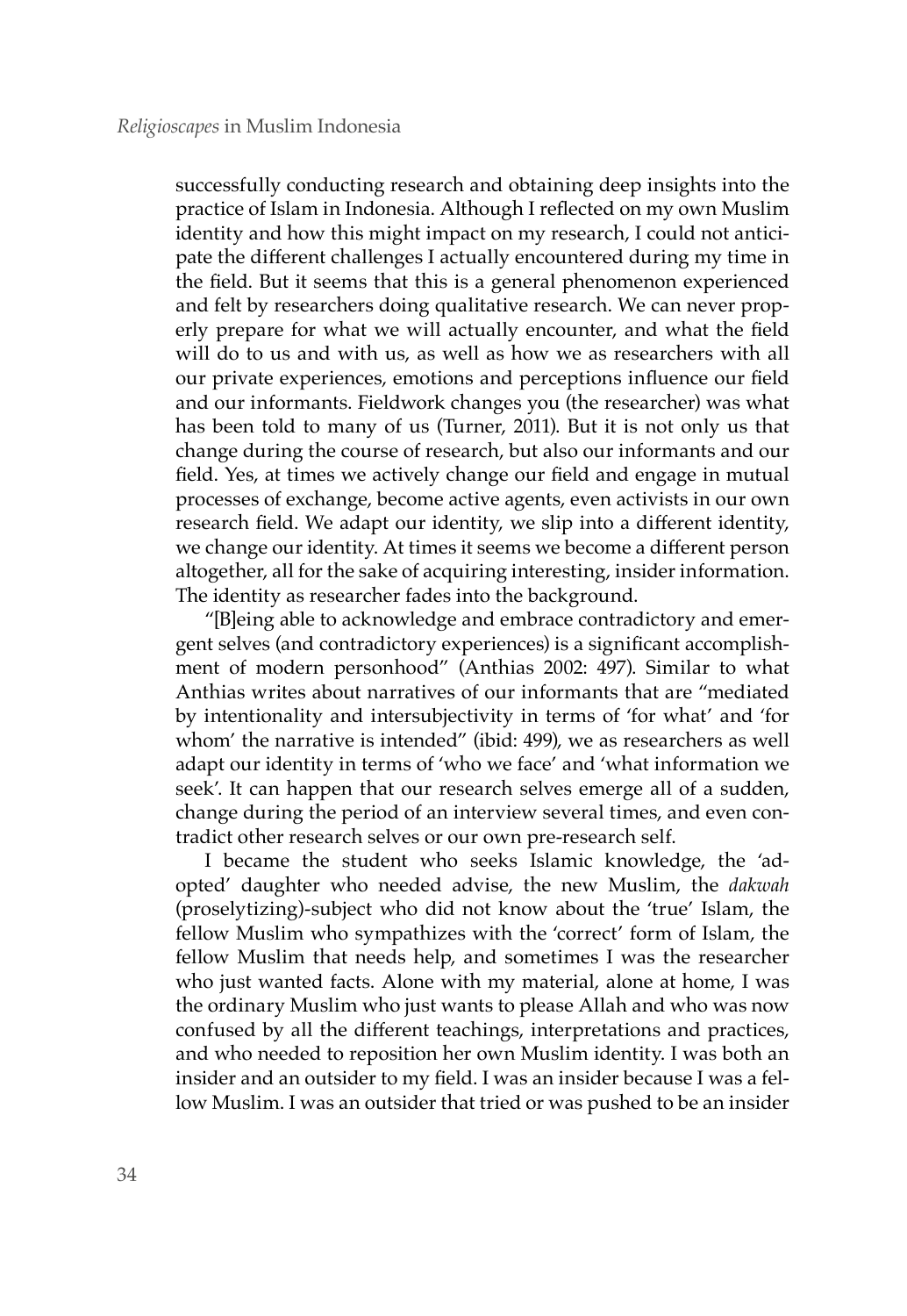successfully conducting research and obtaining deep insights into the practice of Islam in Indonesia. Although I reflected on my own Muslim identity and how this might impact on my research, I could not anticipate the different challenges I actually encountered during my time in the field. But it seems that this is a general phenomenon experienced and felt by researchers doing qualitative research. We can never properly prepare for what we will actually encounter, and what the field will do to us and with us, as well as how we as researchers with all our private experiences, emotions and perceptions influence our field and our informants. Fieldwork changes you (the researcher) was what has been told to many of us (Turner, 2011). But it is not only us that change during the course of research, but also our informants and our field. Yes, at times we actively change our field and engage in mutual processes of exchange, become active agents, even activists in our own research field. We adapt our identity, we slip into a different identity, we change our identity. At times it seems we become a different person altogether, all for the sake of acquiring interesting, insider information. The identity as researcher fades into the background.

"[B]eing able to acknowledge and embrace contradictory and emergent selves (and contradictory experiences) is a significant accomplishment of modern personhood" (Anthias 2002: 497). Similar to what Anthias writes about narratives of our informants that are "mediated by intentionality and intersubjectivity in terms of 'for what' and 'for whom' the narrative is intended" (ibid: 499), we as researchers as well adapt our identity in terms of 'who we face' and 'what information we seek'. It can happen that our research selves emerge all of a sudden, change during the period of an interview several times, and even contradict other research selves or our own pre-research self.

I became the student who seeks Islamic knowledge, the 'adopted' daughter who needed advise, the new Muslim, the *dakwah* (proselytizing)-subject who did not know about the 'true' Islam, the fellow Muslim who sympathizes with the 'correct' form of Islam, the fellow Muslim that needs help, and sometimes I was the researcher who just wanted facts. Alone with my material, alone at home, I was the ordinary Muslim who just wants to please Allah and who was now confused by all the different teachings, interpretations and practices, and who needed to reposition her own Muslim identity. I was both an insider and an outsider to my field. I was an insider because I was a fellow Muslim. I was an outsider that tried or was pushed to be an insider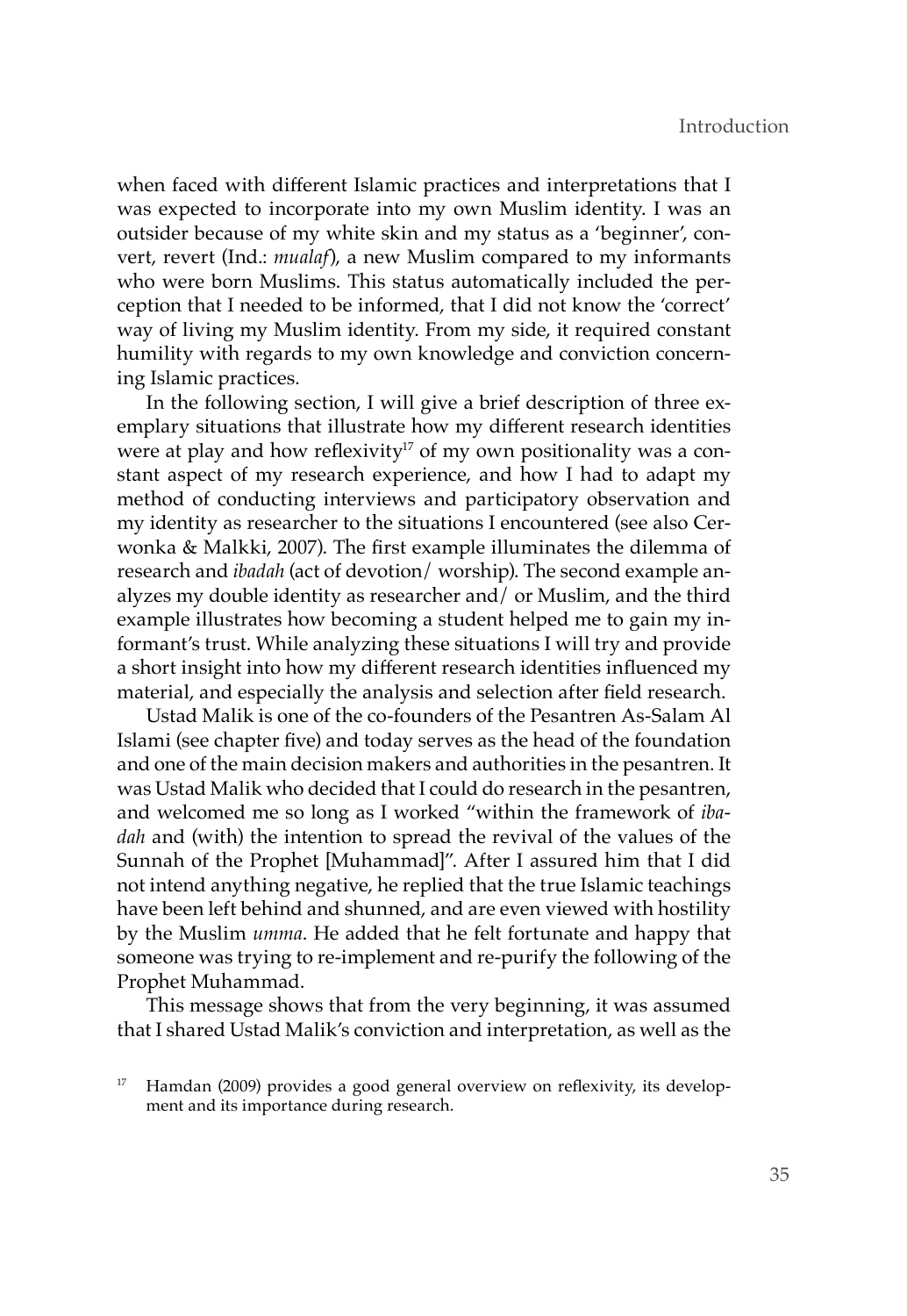when faced with different Islamic practices and interpretations that I was expected to incorporate into my own Muslim identity. I was an outsider because of my white skin and my status as a 'beginner', convert, revert (Ind.: *mualaf*), a new Muslim compared to my informants who were born Muslims. This status automatically included the perception that I needed to be informed, that I did not know the 'correct' way of living my Muslim identity. From my side, it required constant humility with regards to my own knowledge and conviction concerning Islamic practices.

In the following section, I will give a brief description of three exemplary situations that illustrate how my different research identities were at play and how reflexivity<sup>17</sup> of my own positionality was a constant aspect of my research experience, and how I had to adapt my method of conducting interviews and participatory observation and my identity as researcher to the situations I encountered (see also Cerwonka & Malkki, 2007). The first example illuminates the dilemma of research and *ibadah* (act of devotion/ worship). The second example analyzes my double identity as researcher and/ or Muslim, and the third example illustrates how becoming a student helped me to gain my informant's trust. While analyzing these situations I will try and provide a short insight into how my different research identities influenced my material, and especially the analysis and selection after field research.

Ustad Malik is one of the co-founders of the Pesantren As-Salam Al Islami (see chapter five) and today serves as the head of the foundation and one of the main decision makers and authorities in the pesantren. It was Ustad Malik who decided that I could do research in the pesantren, and welcomed me so long as I worked "within the framework of *ibadah* and (with) the intention to spread the revival of the values of the Sunnah of the Prophet [Muhammad]". After I assured him that I did not intend anything negative, he replied that the true Islamic teachings have been left behind and shunned, and are even viewed with hostility by the Muslim *umma*. He added that he felt fortunate and happy that someone was trying to re-implement and re-purify the following of the Prophet Muhammad.

This message shows that from the very beginning, it was assumed that I shared Ustad Malik's conviction and interpretation, as well as the

Hamdan (2009) provides a good general overview on reflexivity, its development and its importance during research.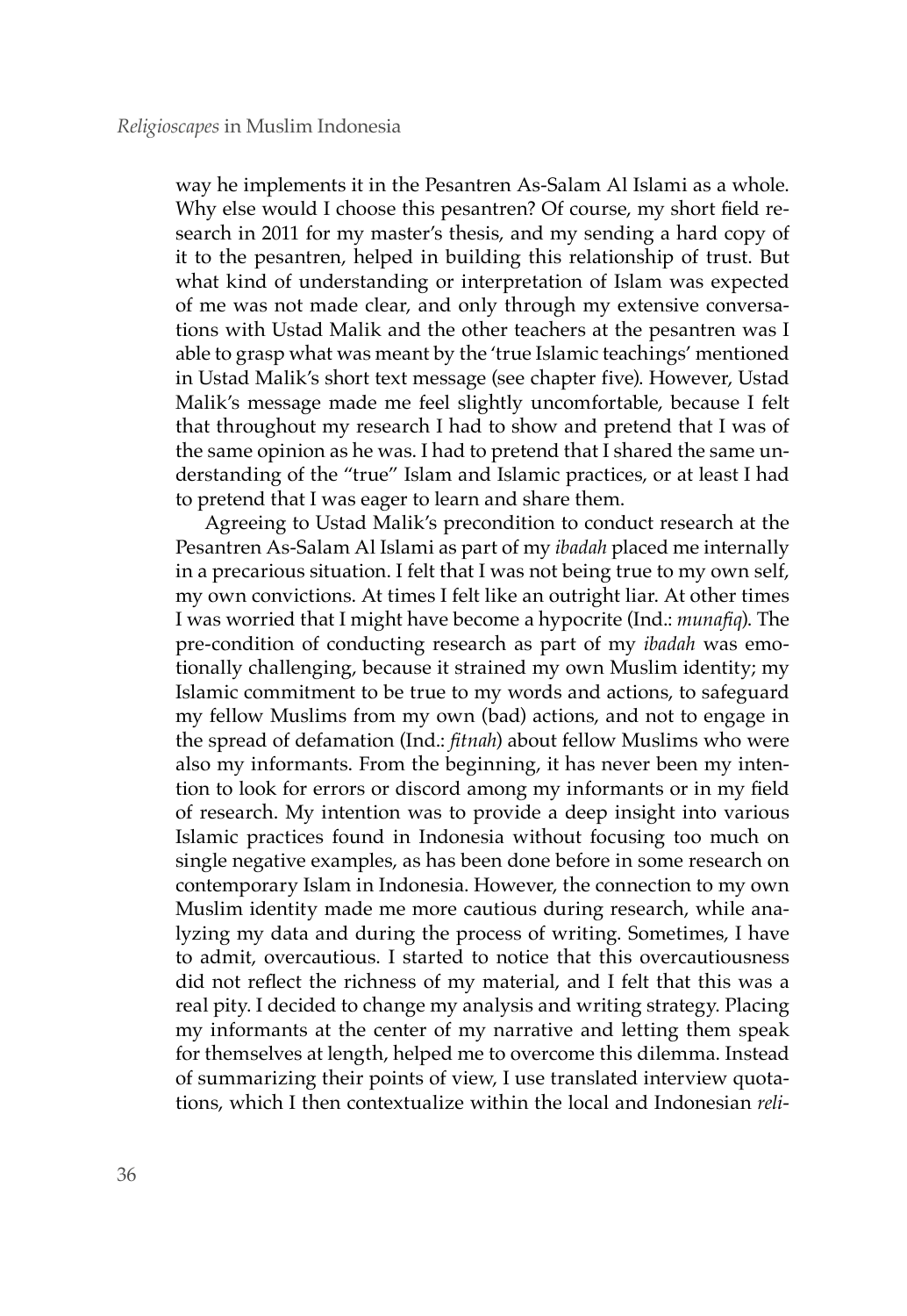way he implements it in the Pesantren As-Salam Al Islami as a whole. Why else would I choose this pesantren? Of course, my short field research in 2011 for my master's thesis, and my sending a hard copy of it to the pesantren, helped in building this relationship of trust. But what kind of understanding or interpretation of Islam was expected of me was not made clear, and only through my extensive conversations with Ustad Malik and the other teachers at the pesantren was I able to grasp what was meant by the 'true Islamic teachings' mentioned in Ustad Malik's short text message (see chapter five). However, Ustad Malik's message made me feel slightly uncomfortable, because I felt that throughout my research I had to show and pretend that I was of the same opinion as he was. I had to pretend that I shared the same understanding of the "true" Islam and Islamic practices, or at least I had to pretend that I was eager to learn and share them.

Agreeing to Ustad Malik's precondition to conduct research at the Pesantren As-Salam Al Islami as part of my *ibadah* placed me internally in a precarious situation. I felt that I was not being true to my own self, my own convictions. At times I felt like an outright liar. At other times I was worried that I might have become a hypocrite (Ind.: *munafiq*). The pre-condition of conducting research as part of my *ibadah* was emotionally challenging, because it strained my own Muslim identity; my Islamic commitment to be true to my words and actions, to safeguard my fellow Muslims from my own (bad) actions, and not to engage in the spread of defamation (Ind.: *fitnah*) about fellow Muslims who were also my informants. From the beginning, it has never been my intention to look for errors or discord among my informants or in my field of research. My intention was to provide a deep insight into various Islamic practices found in Indonesia without focusing too much on single negative examples, as has been done before in some research on contemporary Islam in Indonesia. However, the connection to my own Muslim identity made me more cautious during research, while analyzing my data and during the process of writing. Sometimes, I have to admit, overcautious. I started to notice that this overcautiousness did not reflect the richness of my material, and I felt that this was a real pity. I decided to change my analysis and writing strategy. Placing my informants at the center of my narrative and letting them speak for themselves at length, helped me to overcome this dilemma. Instead of summarizing their points of view, I use translated interview quotations, which I then contextualize within the local and Indonesian *reli-*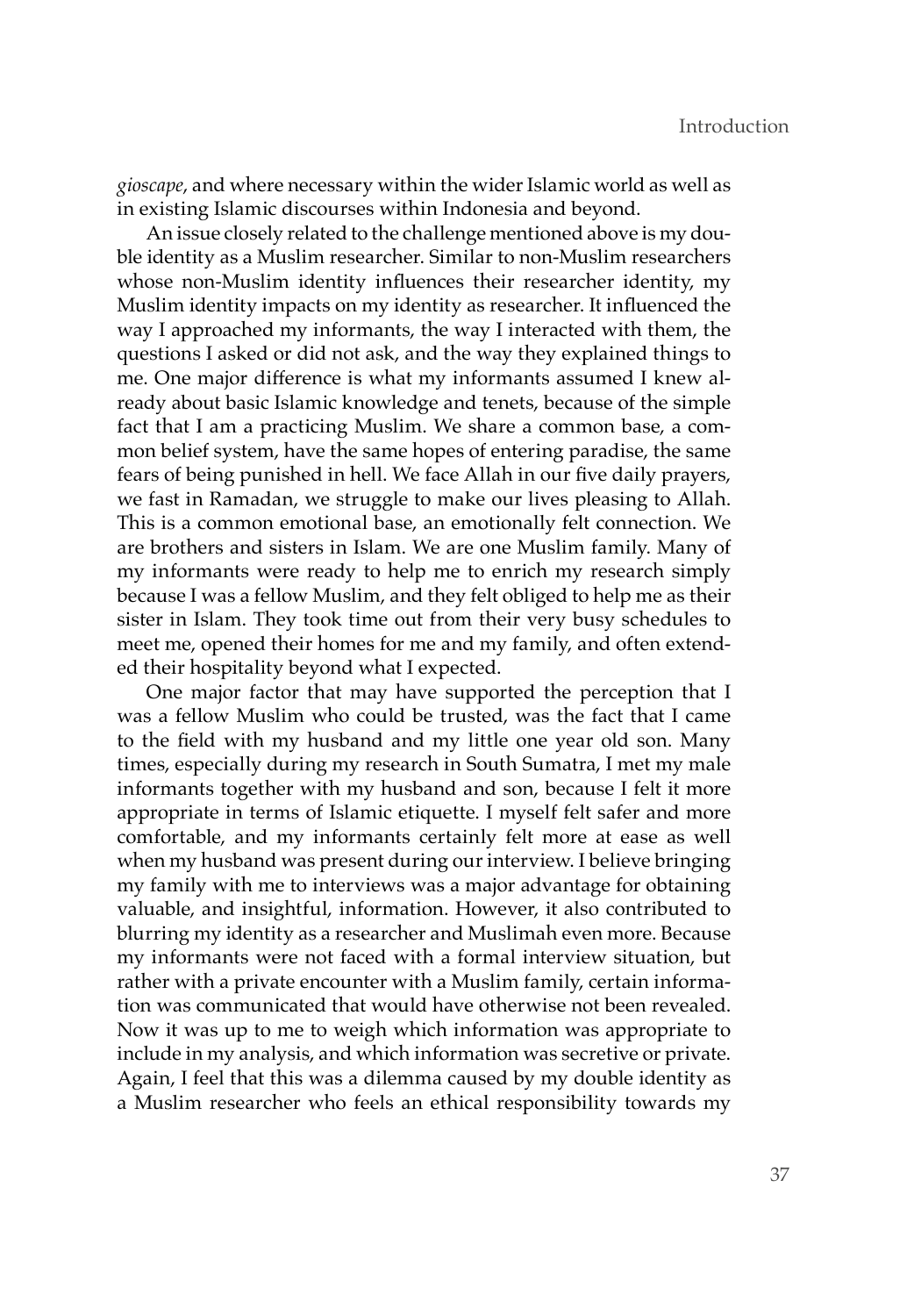*gioscape*, and where necessary within the wider Islamic world as well as in existing Islamic discourses within Indonesia and beyond.

An issue closely related to the challenge mentioned above is my double identity as a Muslim researcher. Similar to non-Muslim researchers whose non-Muslim identity influences their researcher identity, my Muslim identity impacts on my identity as researcher. It influenced the way I approached my informants, the way I interacted with them, the questions I asked or did not ask, and the way they explained things to me. One major difference is what my informants assumed I knew already about basic Islamic knowledge and tenets, because of the simple fact that I am a practicing Muslim. We share a common base, a common belief system, have the same hopes of entering paradise, the same fears of being punished in hell. We face Allah in our five daily prayers, we fast in Ramadan, we struggle to make our lives pleasing to Allah. This is a common emotional base, an emotionally felt connection. We are brothers and sisters in Islam. We are one Muslim family. Many of my informants were ready to help me to enrich my research simply because I was a fellow Muslim, and they felt obliged to help me as their sister in Islam. They took time out from their very busy schedules to meet me, opened their homes for me and my family, and often extended their hospitality beyond what I expected.

One major factor that may have supported the perception that I was a fellow Muslim who could be trusted, was the fact that I came to the field with my husband and my little one year old son. Many times, especially during my research in South Sumatra, I met my male informants together with my husband and son, because I felt it more appropriate in terms of Islamic etiquette. I myself felt safer and more comfortable, and my informants certainly felt more at ease as well when my husband was present during our interview. I believe bringing my family with me to interviews was a major advantage for obtaining valuable, and insightful, information. However, it also contributed to blurring my identity as a researcher and Muslimah even more. Because my informants were not faced with a formal interview situation, but rather with a private encounter with a Muslim family, certain information was communicated that would have otherwise not been revealed. Now it was up to me to weigh which information was appropriate to include in my analysis, and which information was secretive or private. Again, I feel that this was a dilemma caused by my double identity as a Muslim researcher who feels an ethical responsibility towards my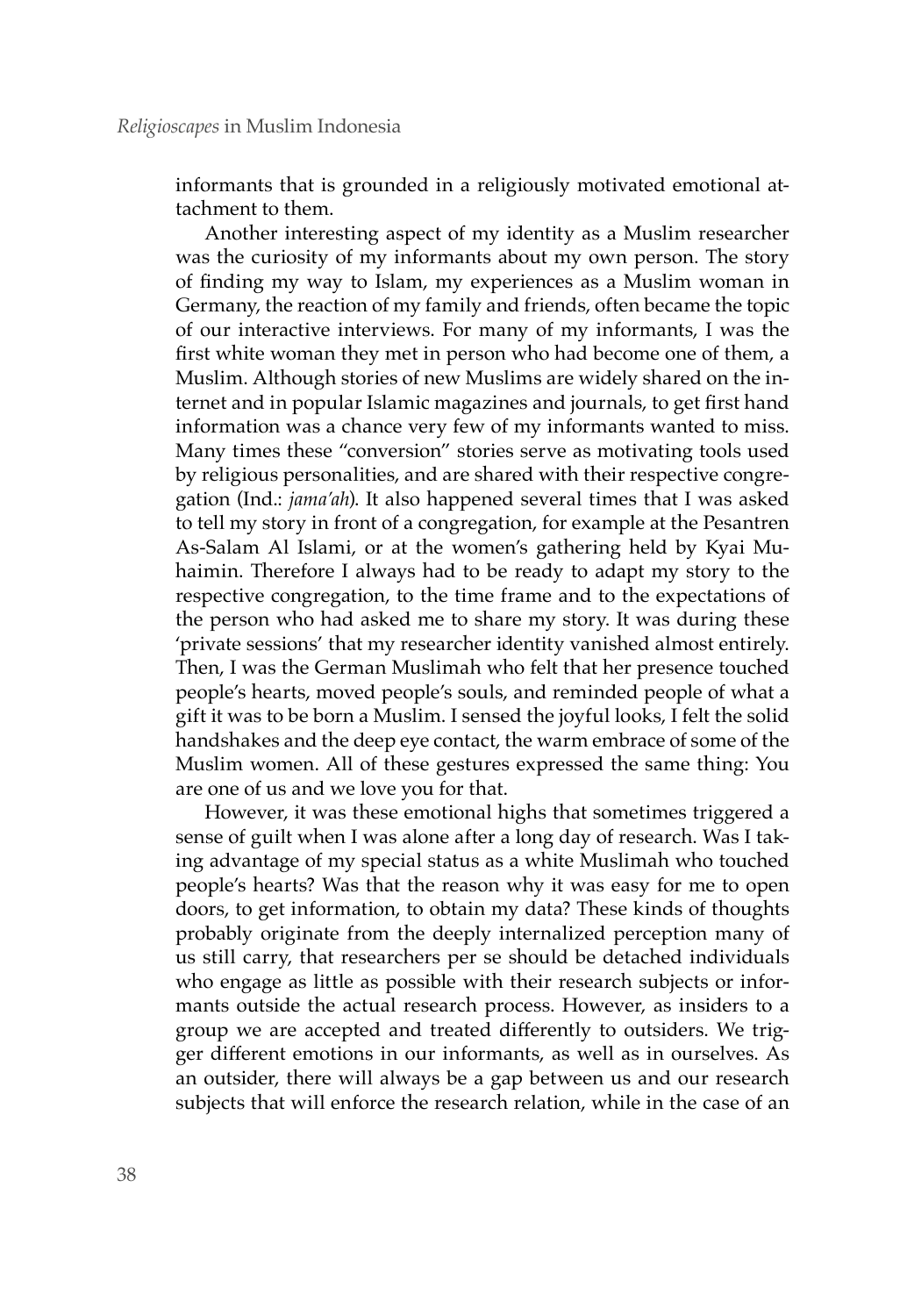informants that is grounded in a religiously motivated emotional attachment to them.

Another interesting aspect of my identity as a Muslim researcher was the curiosity of my informants about my own person. The story of finding my way to Islam, my experiences as a Muslim woman in Germany, the reaction of my family and friends, often became the topic of our interactive interviews. For many of my informants, I was the first white woman they met in person who had become one of them, a Muslim. Although stories of new Muslims are widely shared on the internet and in popular Islamic magazines and journals, to get first hand information was a chance very few of my informants wanted to miss. Many times these "conversion" stories serve as motivating tools used by religious personalities, and are shared with their respective congregation (Ind.: *jama'ah*). It also happened several times that I was asked to tell my story in front of a congregation, for example at the Pesantren As-Salam Al Islami, or at the women's gathering held by Kyai Muhaimin. Therefore I always had to be ready to adapt my story to the respective congregation, to the time frame and to the expectations of the person who had asked me to share my story. It was during these 'private sessions' that my researcher identity vanished almost entirely. Then, I was the German Muslimah who felt that her presence touched people's hearts, moved people's souls, and reminded people of what a gift it was to be born a Muslim. I sensed the joyful looks, I felt the solid handshakes and the deep eye contact, the warm embrace of some of the Muslim women. All of these gestures expressed the same thing: You are one of us and we love you for that.

However, it was these emotional highs that sometimes triggered a sense of guilt when I was alone after a long day of research. Was I taking advantage of my special status as a white Muslimah who touched people's hearts? Was that the reason why it was easy for me to open doors, to get information, to obtain my data? These kinds of thoughts probably originate from the deeply internalized perception many of us still carry, that researchers per se should be detached individuals who engage as little as possible with their research subjects or informants outside the actual research process. However, as insiders to a group we are accepted and treated differently to outsiders. We trigger different emotions in our informants, as well as in ourselves. As an outsider, there will always be a gap between us and our research subjects that will enforce the research relation, while in the case of an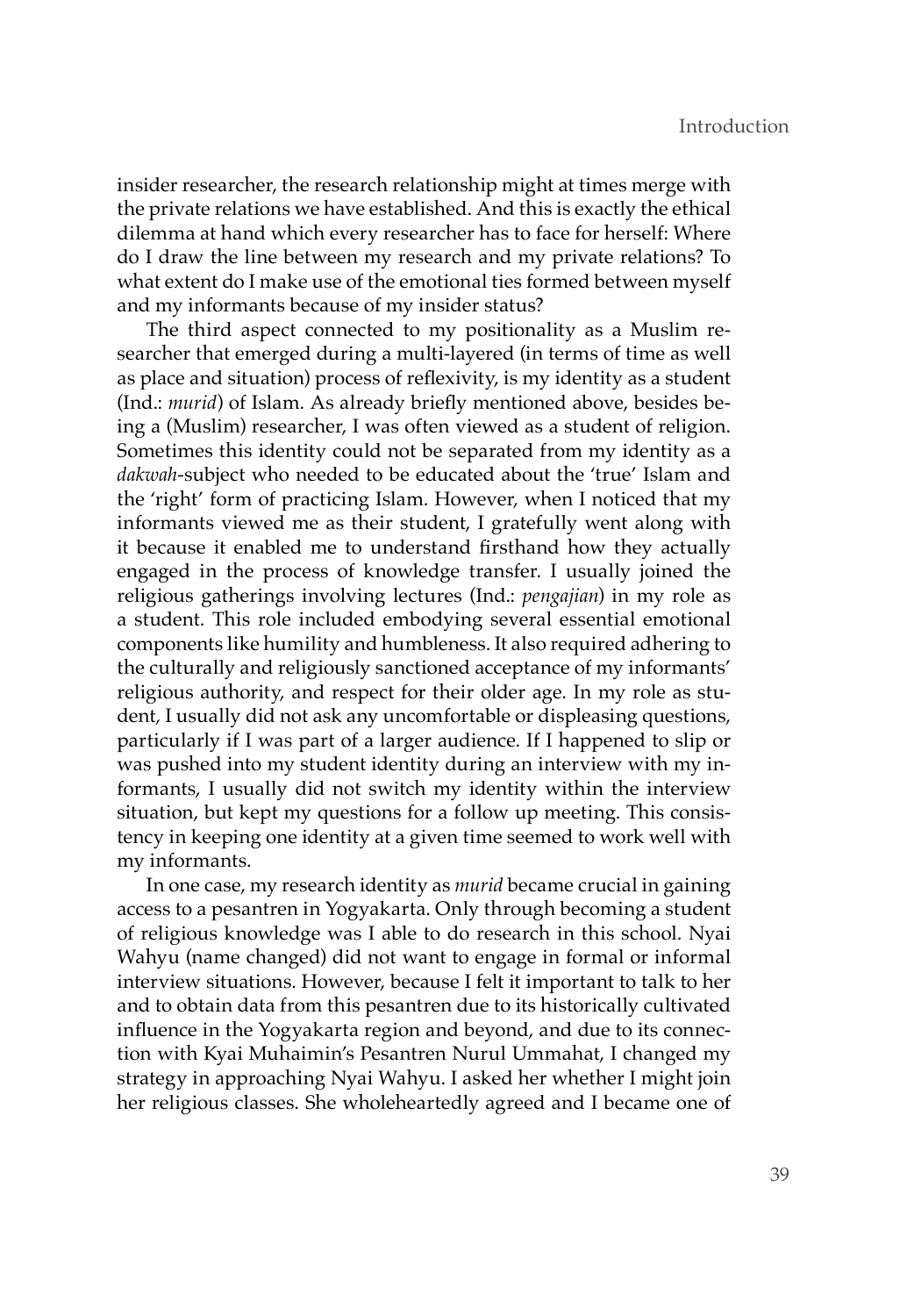insider researcher, the research relationship might at times merge with the private relations we have established. And this is exactly the ethical dilemma at hand which every researcher has to face for herself: Where do I draw the line between my research and my private relations? To what extent do I make use of the emotional ties formed between myself and my informants because of my insider status?

The third aspect connected to my positionality as a Muslim researcher that emerged during a multi-layered (in terms of time as well as place and situation) process of reflexivity, is my identity as a student (Ind.: *murid*) of Islam. As already briefly mentioned above, besides being a (Muslim) researcher, I was often viewed as a student of religion. Sometimes this identity could not be separated from my identity as a *dakwah*-subject who needed to be educated about the 'true' Islam and the 'right' form of practicing Islam. However, when I noticed that my informants viewed me as their student, I gratefully went along with it because it enabled me to understand firsthand how they actually engaged in the process of knowledge transfer. I usually joined the religious gatherings involving lectures (Ind.: *pengajian*) in my role as a student. This role included embodying several essential emotional components like humility and humbleness. It also required adhering to the culturally and religiously sanctioned acceptance of my informants' religious authority, and respect for their older age. In my role as student, I usually did not ask any uncomfortable or displeasing questions, particularly if I was part of a larger audience. If I happened to slip or was pushed into my student identity during an interview with my informants, I usually did not switch my identity within the interview situation, but kept my questions for a follow up meeting. This consistency in keeping one identity at a given time seemed to work well with my informants.

In one case, my research identity as *murid* became crucial in gaining access to a pesantren in Yogyakarta. Only through becoming a student of religious knowledge was I able to do research in this school. Nyai Wahyu (name changed) did not want to engage in formal or informal interview situations. However, because I felt it important to talk to her and to obtain data from this pesantren due to its historically cultivated influence in the Yogyakarta region and beyond, and due to its connection with Kyai Muhaimin's Pesantren Nurul Ummahat, I changed my strategy in approaching Nyai Wahyu. I asked her whether I might join her religious classes. She wholeheartedly agreed and I became one of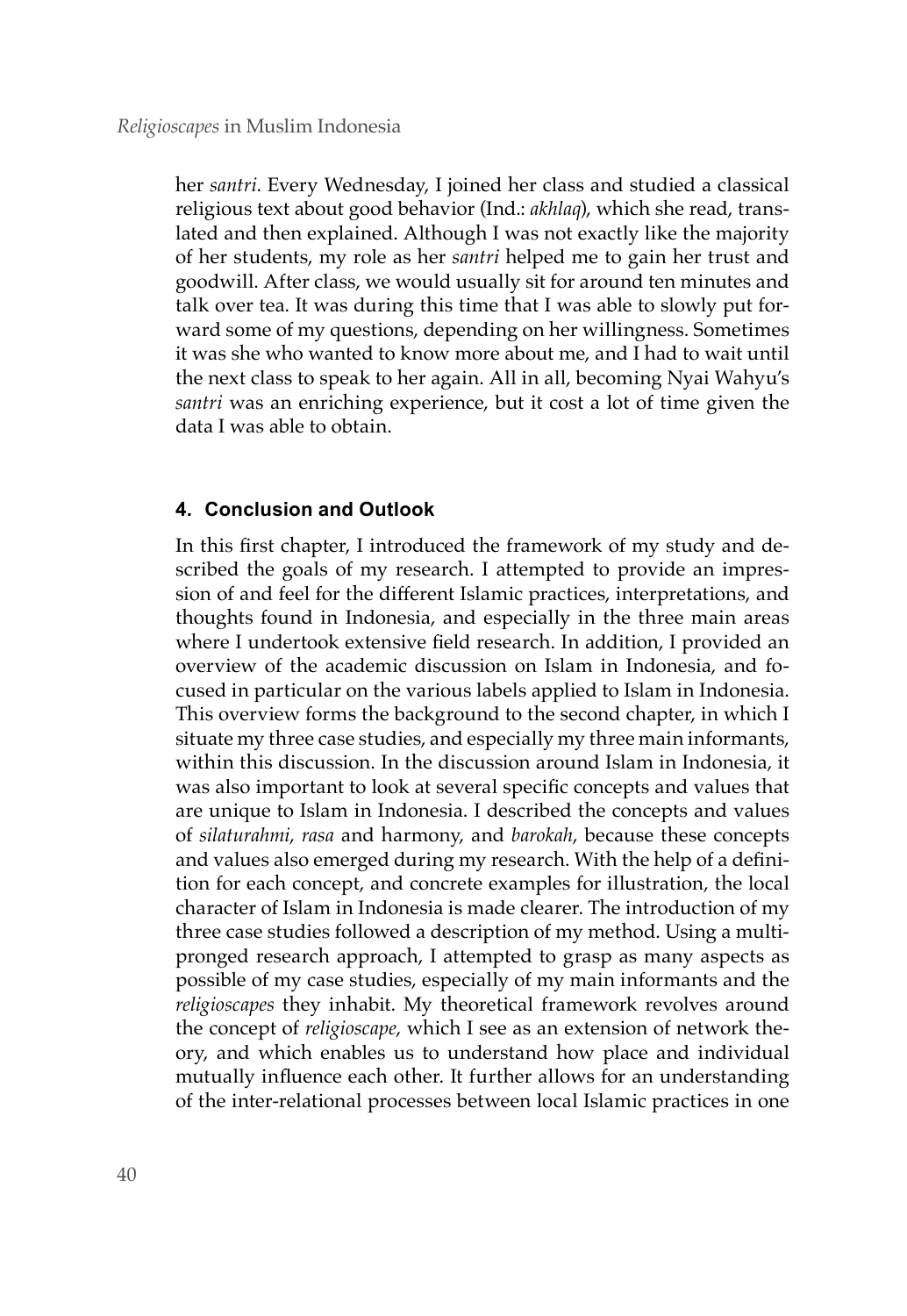her *santri*. Every Wednesday, I joined her class and studied a classical religious text about good behavior (Ind.: *akhlaq*), which she read, translated and then explained. Although I was not exactly like the majority of her students, my role as her *santri* helped me to gain her trust and goodwill. After class, we would usually sit for around ten minutes and talk over tea. It was during this time that I was able to slowly put forward some of my questions, depending on her willingness. Sometimes it was she who wanted to know more about me, and I had to wait until the next class to speak to her again. All in all, becoming Nyai Wahyu's *santri* was an enriching experience, but it cost a lot of time given the data I was able to obtain.

# **4. Conclusion and Outlook**

In this first chapter, I introduced the framework of my study and described the goals of my research. I attempted to provide an impression of and feel for the different Islamic practices, interpretations, and thoughts found in Indonesia, and especially in the three main areas where I undertook extensive field research. In addition, I provided an overview of the academic discussion on Islam in Indonesia, and focused in particular on the various labels applied to Islam in Indonesia. This overview forms the background to the second chapter, in which I situate my three case studies, and especially my three main informants, within this discussion. In the discussion around Islam in Indonesia, it was also important to look at several specific concepts and values that are unique to Islam in Indonesia. I described the concepts and values of *silaturahmi*, *rasa* and harmony, and *barokah*, because these concepts and values also emerged during my research. With the help of a definition for each concept, and concrete examples for illustration, the local character of Islam in Indonesia is made clearer. The introduction of my three case studies followed a description of my method. Using a multipronged research approach, I attempted to grasp as many aspects as possible of my case studies, especially of my main informants and the *religioscapes* they inhabit. My theoretical framework revolves around the concept of *religioscape*, which I see as an extension of network theory, and which enables us to understand how place and individual mutually influence each other. It further allows for an understanding of the inter-relational processes between local Islamic practices in one